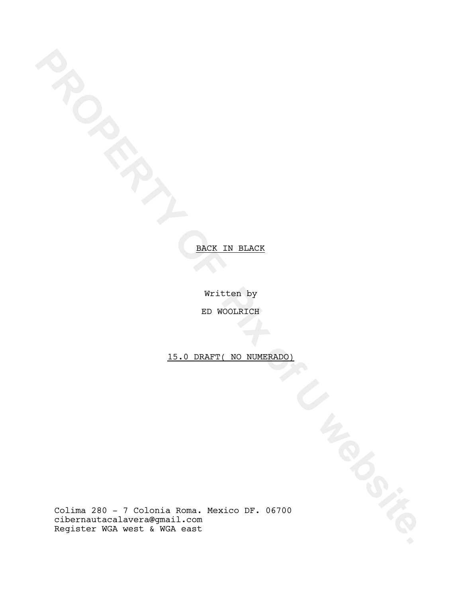Written by

ED WOOLRICH

15.0 DRAFT( NO NUMERADO)

**PROPERTY OF PIX OF PIX OF PIX OF PIX OF PIX OF PIX OF PIX OF PIX OF PIX OF PIX OF PIX OF PIX OF PIX OF PIX OF PIX OF PIX OF PIX OF PIX OF PIX OF PIX OF PIX OF PIX OF PIX OF PIX OF PIX OF PIX OF PIX OF PIX OF PIX OF PIX OF** Colima 280 - 7 Colonia Roma. Mexico DF. 06700 cibernautacalavera@gmail.com Register WGA west & WGA east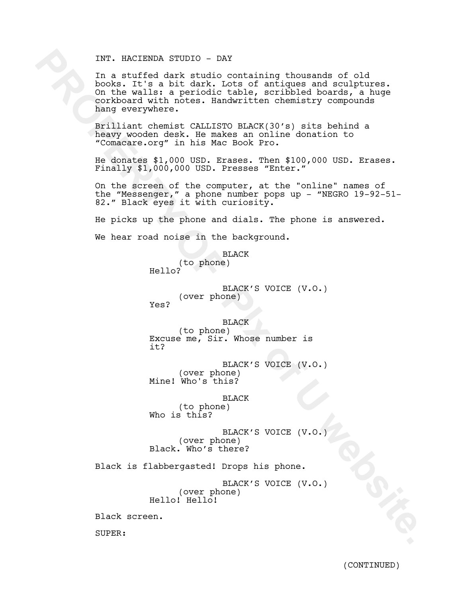## INT. HACIENDA STUDIO - DAY

INT. HACIENDA STUDIO - DAY<br>
In a surfice dark studio containing thousands of old<br>
In a surface dark studio containing thousands of old<br>
contoxed with noves. Handwritten chemistry compounds<br>
contained with noves. Handwritte In a stuffed dark studio containing thousands of old books. It's a bit dark. Lots of antiques and sculptures. On the walls: a periodic table, scribbled boards, a huge corkboard with notes. Handwritten chemistry compounds hang everywhere.

Brilliant chemist CALLISTO BLACK(30's) sits behind a heavy wooden desk. He makes an online donation to "Comacare.org" in his Mac Book Pro.

He donates \$1,000 USD. Erases. Then \$100,000 USD. Erases. Finally \$1,000,000 USD. Presses "Enter."

On the screen of the computer, at the "online" names of the "Messenger," a phone number pops up - "NEGRO 19-92-51- 82." Black eyes it with curiosity.

He picks up the phone and dials. The phone is answered. We hear road noise in the background.

BLACK

(to phone) Hello?

BLACK'S VOICE (V.O.) (over phone) Yes?

BLACK (to phone) Excuse me, Sir. Whose number is it?

BLACK'S VOICE (V.O.) (over phone) Mine! Who's this?

BLACK (to phone) Who is this?

BLACK'S VOICE (V.O.) (over phone) Black. Who's there?

Black is flabbergasted! Drops his phone.

BLACK'S VOICE (V.O.) (over phone) Hello! Hello!

Black screen.

SUPER: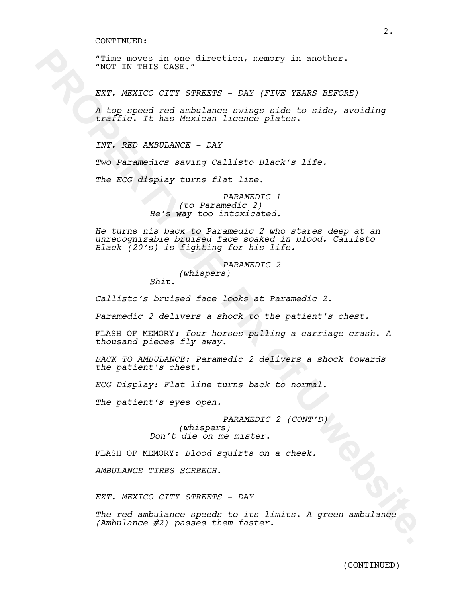"Time moves in one direction, memory in another. "NOT IN THIS CASE."

*EXT. MEXICO CITY STREETS - DAY (FIVE YEARS BEFORE)*

*A top speed red ambulance swings side to side, avoiding traffic. It has Mexican licence plates.*

*INT. RED AMBULANCE - DAY* 

*Two Paramedics saving Callisto Black's life.* 

*The ECG display turns flat line.*

*PARAMEDIC 1 (to Paramedic 2) He's way too intoxicated.* 

**PIRE EVALUATION CONSULTERED AND ADDETESTING CONSULTER (NOTE)**<br> **PROPERTY OF PROPERTY OF PIX ONES ARENOS**<br> **RAPY OF PIX ONES ARENOS DEVALUATION**<br> *RAPY OF PIX OF PIX OF PIX OF PIX OF PIX OF PIX OF PIX OF PIX OF PIX OF PIX He turns his back to Paramedic 2 who stares deep at an unrecognizable bruised face soaked in blood. Callisto Black (20's) is fighting for his life.*

*PARAMEDIC 2 (whispers) Shit.*

*Callisto's bruised face looks at Paramedic 2.*

*Paramedic 2 delivers a shock to the patient's chest.*

FLASH OF MEMORY*: four horses pulling a carriage crash. A thousand pieces fly away.*

*BACK TO AMBULANCE: Paramedic 2 delivers a shock towards the patient's chest.*

*ECG Display: Flat line turns back to normal.*

*The patient's eyes open.*

*PARAMEDIC 2 (CONT'D) (whispers) Don't die on me mister.*

FLASH OF MEMORY: *Blood squirts on a cheek.*

*AMBULANCE TIRES SCREECH.*

*EXT. MEXICO CITY STREETS - DAY* 

*The red ambulance speeds to its limits. A green ambulance (Ambulance #2) passes them faster.*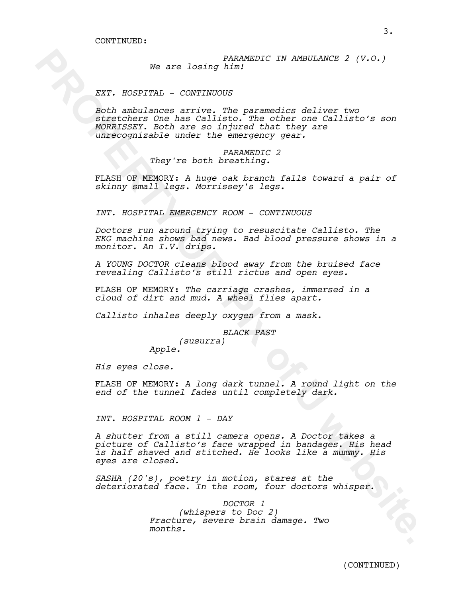*PARAMEDIC IN AMBULANCE 2 (V.O.) We are losing him!*

### *EXT. HOSPITAL - CONTINUOUS*

We are loging hand<br>corrections and the stationary and the stationary and the stationary and<br>more more interesting and the stationary and the stationary and the<br>stationary and the stationary and the stationary and the stati *Both ambulances arrive. The paramedics deliver two stretchers One has Callisto. The other one Callisto's son MORRISSEY. Both are so injured that they are unrecognizable under the emergency gear.* 

### *PARAMEDIC 2 They're both breathing.*

FLASH OF MEMORY: *A huge oak branch falls toward a pair of skinny small legs. Morrissey's legs.*

*INT. HOSPITAL EMERGENCY ROOM - CONTINUOUS* 

*Doctors run around trying to resuscitate Callisto. The EKG machine shows bad news. Bad blood pressure shows in a monitor. An I.V. drips.* 

*A YOUNG DOCTOR cleans blood away from the bruised face revealing Callisto's still rictus and open eyes.* 

FLASH OF MEMORY: *The carriage crashes, immersed in a cloud of dirt and mud. A wheel flies apart.*

*Callisto inhales deeply oxygen from a mask.*

*BLACK PAST*

*(susurra) Apple.*

*His eyes close.* 

FLASH OF MEMORY: *A long dark tunnel. A round light on the end of the tunnel fades until completely dark.*

*INT. HOSPITAL ROOM 1 - DAY*

*A shutter from a still camera opens. A Doctor takes a picture of Callisto's face wrapped in bandages. His head is half shaved and stitched. He looks like a mummy. His eyes are closed.* 

*SASHA (20's), poetry in motion, stares at the deteriorated face. In the room, four doctors whisper.*

> *DOCTOR 1 (whispers to Doc 2) Fracture, severe brain damage. Two months.*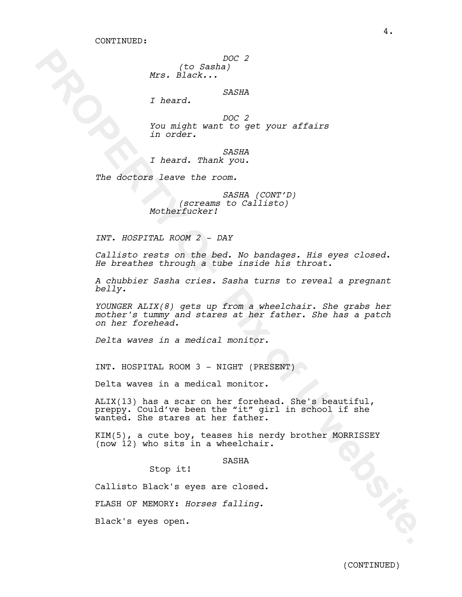*DOC 2*

*(to Sasha) Mrs. Black...*

*SASHA*

*I heard.*

*DOC 2 You might want to get your affairs in order.*

*SASHA I heard. Thank you.*

*The doctors leave the room.* 

*SASHA (CONT'D) (screams to Callisto) Motherfucker!*

*INT. HOSPITAL ROOM 2 - DAY*

*Callisto rests on the bed. No bandages. His eyes closed. He breathes through a tube inside his throat.* 

*A chubbier Sasha cries. Sasha turns to reveal a pregnant belly.* 

**PROPERTY THE SAME AND ACCESS AND ARREL AND ACCESS AND ARREL AND A SAME AND ACCESS AND ANOTHER CONTINUES.**<br> **PROPERTY OF PIX OF PIX OF PIX OF PIX OF PIX OF PIX OF PIX OF PIX OF PIX OF PIX OF PIX OF PIX OF PIX OF PIX OF PIX** *YOUNGER ALIX(8) gets up from a wheelchair. She grabs her mother's tummy and stares at her father. She has a patch on her forehead.*

*Delta waves in a medical monitor.*

INT. HOSPITAL ROOM 3 - NIGHT (PRESENT)

Delta waves in a medical monitor.

ALIX(13) has a scar on her forehead. She's beautiful, preppy. Could've been the "it" girl in school if she wanted. She stares at her father.

KIM(5), a cute boy, teases his nerdy brother MORRISSEY (now 12) who sits in a wheelchair.

SASHA

Stop it!

Callisto Black's eyes are closed.

FLASH OF MEMORY: *Horses falling.*

Black's eyes open.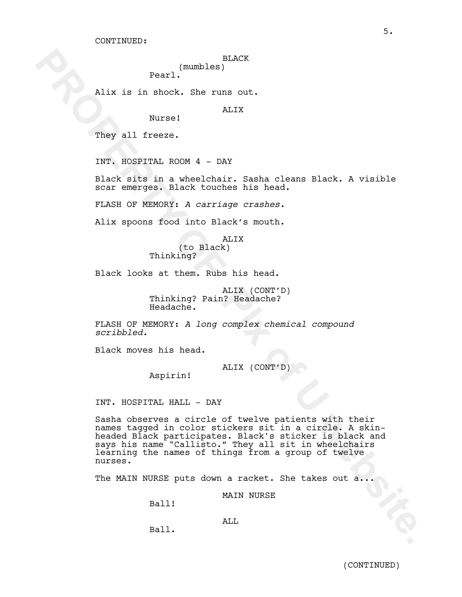### BLACK (mumbles)

Pearl.

Alix is in shock. She runs out.

ALIX

They all freeze.

INT. HOSPITAL ROOM 4 - DAY

Nurse!

Black sits in a wheelchair. Sasha cleans Black. A visible scar emerges. Black touches his head.

FLASH OF MEMORY: *A carriage crashes.*

Alix spoons food into Black's mouth.

AT<sub>I</sub>TX (to Black) Thinking?

Black looks at them. Rubs his head.

ALIX (CONT'D) Thinking? Pain? Headache? Headache.

FLASH OF MEMORY: *A long complex chemical compound scribbled.*

Black moves his head.

ALIX (CONT'D)

Aspirin!

INT. HOSPITAL HALL - DAY

**PROPERTY AND ACTES (EXECUTE:**<br> **PROPERTY OF PIX ONE OF ALL AND ACT AND ACT AND ACT AND ACT AND SET AND SET AND SERVED FOR SERVED FOR SERVED FOR SERVED FOR A SUBSEMBLE TO SERVE A CONTINGE CONSULT.<br>
ALL SPOONS (A CONTINUE O** Sasha observes a circle of twelve patients with their names tagged in color stickers sit in a circle. A skinheaded Black participates. Black's sticker is black and says his name "Callisto." They all sit in wheelchairs learning the names of things from a group of twelve nurses.

The MAIN NURSE puts down a racket. She takes out a...

MAIN NURSE

Ball!

ALL

Ball.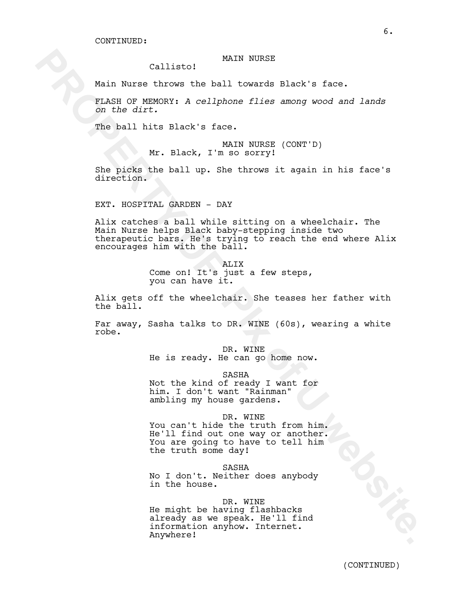### MAIN NURSE

Callisto!

Main Nurse throws the ball towards Black's face.

FLASH OF MEMORY: *A cellphone flies among wood and lands on the dirt.*

The ball hits Black's face.

MAIN NURSE (CONT'D) Mr. Black, I'm so sorry!

She picks the ball up. She throws it again in his face's direction.

EXT. HOSPITAL GARDEN - DAY

Calliste! WAIN NURSE<br>
Main Nurse throws the ball towards Flack's face.<br>
Figure 2002 2002 2012<br>
Control of Distribution of Distribution of Distribution<br>
The ball hits Flack's face.<br>
Xr. Black, I website.<br>
Xr. Black, I websi Alix catches a ball while sitting on a wheelchair. The Main Nurse helps Black baby-stepping inside two therapeutic bars. He's trying to reach the end where Alix encourages him with the ball.

ALIX Come on! It's just a few steps, you can have it.

Alix gets off the wheelchair. She teases her father with the ball.

Far away, Sasha talks to DR. WINE (60s), wearing a white robe.

> DR. WINE He is ready. He can go home now.

> > SASHA

Not the kind of ready I want for him. I don't want "Rainman" ambling my house gardens.

DR. WINE

You can't hide the truth from him. He'll find out one way or another. You are going to have to tell him the truth some day!

SASHA

No I don't. Neither does anybody in the house.

### DR. WINE

He might be having flashbacks already as we speak. He'll find information anyhow. Internet. Anywhere!

(CONTINUED)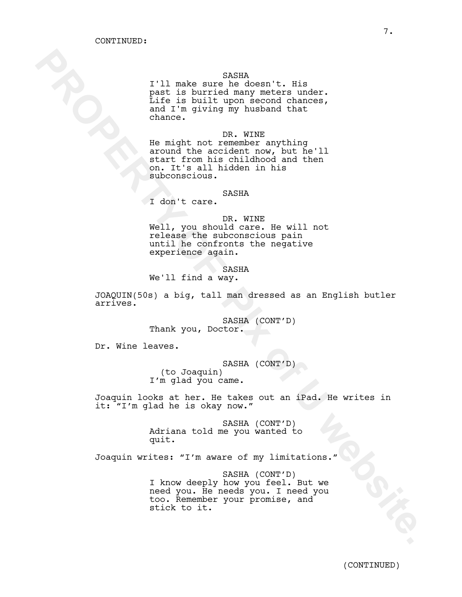### SASHA

I'll make sure he doesn't. His past is burried many meters under. Life is built upon second chances, and I'm giving my husband that chance.

**Fig.11 mats encode the property of PROPERTY CONTECTS (200)**<br> **PROPERTY OF PROPERTY OF PROPERTY OF PROPERTY OF PROPERTY OF PROPERTY OF PROPERTY OF PROPERTY OF PROPERTY OF PROPERTY OF PROPERTY OF PROPERTY OF PROPERTY OF PRO** DR. WINE He might not remember anything around the accident now, but he'll start from his childhood and then on. It's all hidden in his subconscious.

### SASHA

I don't care.

DR. WINE

Well, you should care. He will not release the subconscious pain until he confronts the negative experience again.

**SASHA** 

We'll find a way.

JOAQUIN(50s) a big, tall man dressed as an English butler arrives.

> SASHA (CONT'D) Thank you, Doctor.

Dr. Wine leaves.

SASHA (CONT'D) (to Joaquin) I'm glad you came.

Joaquin looks at her. He takes out an iPad. He writes in it: "I'm glad he is okay now."

> SASHA (CONT'D) Adriana told me you wanted to quit.

Joaquin writes: "I'm aware of my limitations."

SASHA (CONT'D) I know deeply how you feel. But we need you. He needs you. I need you too. Remember your promise, and stick to it.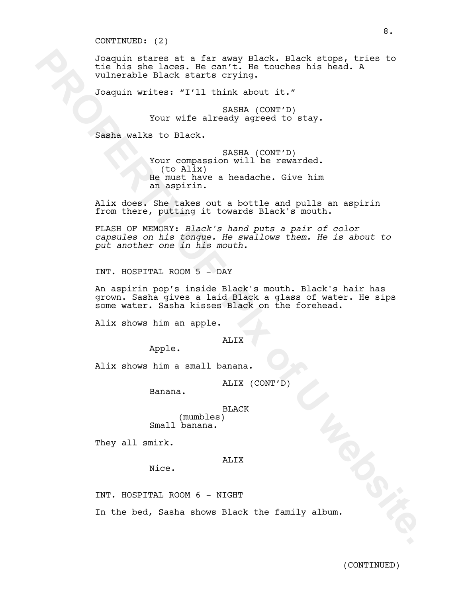#### CONTINUED: (2)

Dasayin stares at a far sear plack. Black stares at a far sear plack in<br>the his shell haden for the control of the controls his heat. A<br>Joaquin wirther orving.<br>
Your wife already squeed to stay.<br>
Your wife already squeed t Joaquin stares at a far away Black. Black stops, tries to tie his she laces. He can't. He touches his head. A vulnerable Black starts crying.

Joaquin writes: "I'll think about it."

SASHA (CONT'D) Your wife already agreed to stay.

Sasha walks to Black.

SASHA (CONT'D) Your compassion will be rewarded. (to Alix) He must have a headache. Give him an aspirin.

Alix does. She takes out a bottle and pulls an aspirin from there, putting it towards Black's mouth.

FLASH OF MEMORY: *Black's hand puts a pair of color capsules on his tongue. He swallows them. He is about to put another one in his mouth.* 

INT. HOSPITAL ROOM 5 - DAY

An aspirin pop's inside Black's mouth. Black's hair has grown. Sasha gives a laid Black a glass of water. He sips some water. Sasha kisses Black on the forehead.

Alix shows him an apple.

# ALIX

Apple.

Alix shows him a small banana.

ALIX (CONT'D)

Banana.

BLACK (mumbles) Small banana.

They all smirk.

## ALIX

INT. HOSPITAL ROOM 6 - NIGHT

Nice.

In the bed, Sasha shows Black the family album.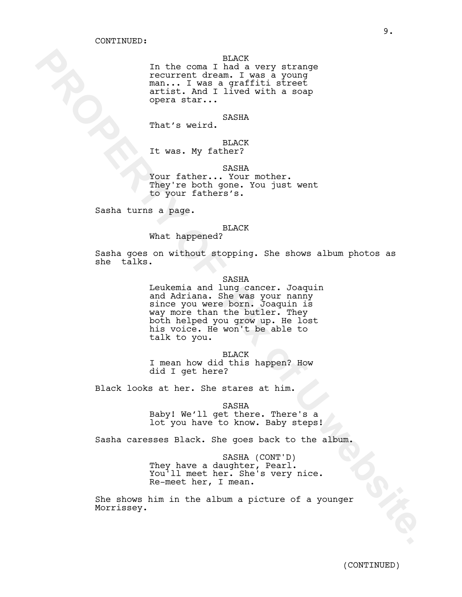BLACK

In the coma I had a very strange recurrent dream. I was a young man... I was a graffiti street artist. And I lived with a soap opera star...

#### SASHA

That's weird.

BLACK

It was. My father?

SASHA

Your father... Your mother. They're both gone. You just went to your fathers's.

Sasha turns a page.

### BLACK

What happened?

Sasha goes on without stopping. She shows album photos as she talks.

In the commutions I had a very strange<br>
resultions. I website.<br> **PROPERTY OF PIX ONES**<br> **PROPERTY OF PIX OF PIX OF PIX OF PIX OF PIX OF PIX OF PIX OF PIX OF PIX OF PIX OF PIX<br>
That is welft. ANDREY.<br>
That is welft.<br>
The we** SASHA Leukemia and lung cancer. Joaquin and Adriana. She was your nanny since you were born. Joaquin is way more than the butler. They both helped you grow up. He lost his voice. He won't be able to

BLACK I mean how did this happen? How did I get here?

Black looks at her. She stares at him.

talk to you.

SASHA Baby! We'll get there. There's a lot you have to know. Baby steps!

Sasha caresses Black. She goes back to the album.

SASHA (CONT'D) They have a daughter, Pearl. You'll meet her. She's very nice. Re-meet her, I mean.

She shows him in the album a picture of a younger Morrissey.

9.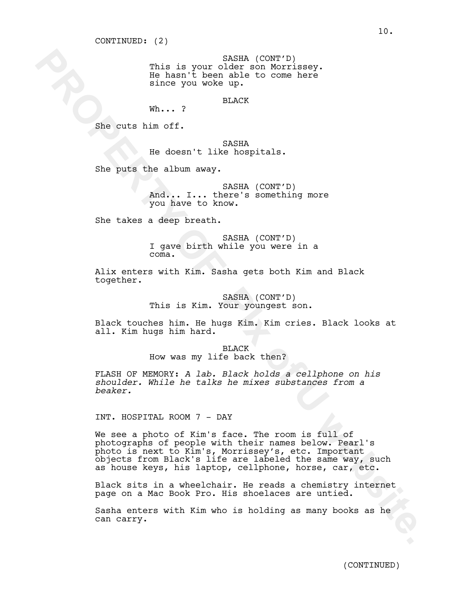SASHA (CONT'D) This is your older son Morrissey. He hasn't been able to come here since you woke up.

BLACK

She cuts him off.

SASHA He doesn't like hospitals.

She puts the album away.

Wh... ?

SASHA (CONT'D) And... I... there's something more you have to know.

She takes a deep breath.

SASHA (CONT'D) I gave birth while you were in a coma.

Alix enters with Kim. Sasha gets both Kim and Black together.

> SASHA (CONT'D) This is Kim. Your youngest son.

Black touches him. He hugs Kim. Kim cries. Black looks at all. Kim hugs him hard.

> BLACK How was my life back then?

FLASH OF MEMORY: *A lab. Black holds a cellphone on his shoulder. While he talks he mixes substances from a beaker.*

INT. HOSPITAL ROOM 7 - DAY

This is your color of the near the size of the near the near the near the near the size of the size of the size of the size of the size of the size of the size of the size of the size of the size of the size of the size of We see a photo of Kim's face. The room is full of photographs of people with their names below. Pearl's photo is next to Kim's, Morrissey's, etc. Important objects from Black's life are labeled the same way, such as house keys, his laptop, cellphone, horse, car, etc.

Black sits in a wheelchair. He reads a chemistry internet page on a Mac Book Pro. His shoelaces are untied.

Sasha enters with Kim who is holding as many books as he can carry.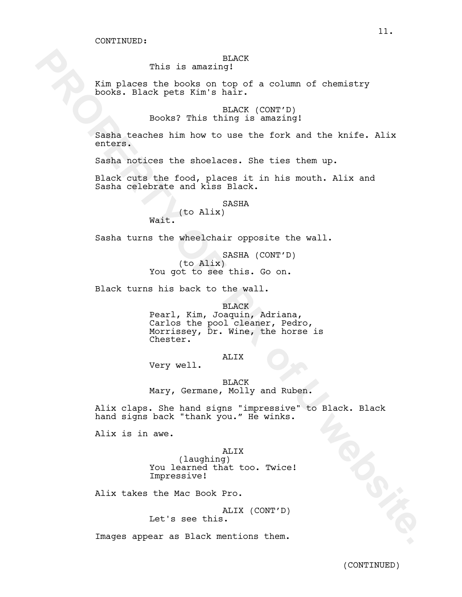# BLACK

This is amazing!

Kim places the books on top of a column of chemistry books. Black pets Kim's hair.

> BLACK (CONT'D) Books? This thing is amazing!

Sasha teaches him how to use the fork and the knife. Alix enters.

Sasha notices the shoelaces. She ties them up.

Black cuts the food, places it in his mouth. Alix and Sasha celebrate and kiss Black.

> SASHA (to Alix)

Wait.

Sasha turns the wheelchair opposite the wall.

SASHA (CONT'D) (to Alix) You got to see this. Go on.

Black turns his back to the wall.

This is annuality!<br> **Examples the hooks on top of a column of chemistry**<br>
Homoks, Blanck Kim <sup>1</sup> MAOK (CONT'B)<br> **Books 7** This import<br> **Books** 7 This import (CONT'B)<br> **Books** 7 This import (CONT'B)<br> **Books** continues the p BLACK Pearl, Kim, Joaquin, Adriana, Carlos the pool cleaner, Pedro, Morrissey, Dr. Wine, the horse is Chester.

ALIX

Very well.

BLACK Mary, Germane, Molly and Ruben.

Alix claps. She hand signs "impressive" to Black. Black hand signs back "thank you." He winks.

Alix is in awe.

ALIX (laughing) You learned that too. Twice! Impressive!

Alix takes the Mac Book Pro.

ALIX (CONT'D) Let's see this.

Images appear as Black mentions them.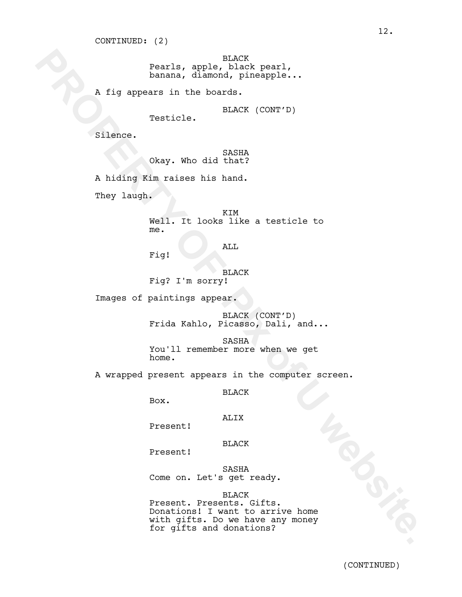BLACK Pearls, apple, black pearl, banana, diamond, pineapple...

A fig appears in the boards.

BLACK (CONT'D) Testicle.

Silence.

SASHA Okay. Who did that?

A hiding Kim raises his hand.

They laugh.

KIM Well. It looks like a testicle to me.

ALL

Fig!

BLACK Fig? I'm sorry!

Images of paintings appear.

BLACK (CONT'D) Frida Kahlo, Picasso, Dali, and...

SASHA You'll remember more when we get home.

A wrapped present appears in the computer screen.

BLACK

Box.

## ALIX

Present!

### BLACK

Present!

SASHA Come on. Let's get ready.

#### BLACK

Pearls, apple, black pearl,<br>
black pearl,<br>
historical dimension of interactions<br>
The form of the black pearls of the black (CONT'D)<br>
Silence.<br>
Since Control of the black of CONT'D)<br>
Silence.<br>
Since Control of the black<br>
Th Present. Presents. Gifts. Donations! I want to arrive home with gifts. Do we have any money for gifts and donations?

12.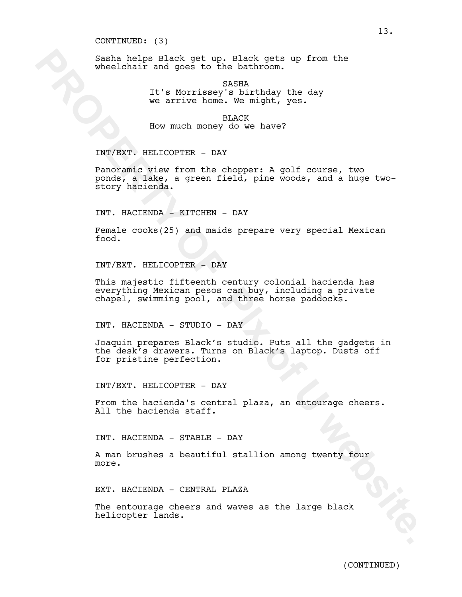CONTINUED: (3)

Sasha helps Black get up. Black gets up from the wheelchair and goes to the bathroom.

> SASHA It's Morrissey's birthday the day we arrive home. We might, yes.

BLACK How much money do we have?

INT/EXT. HELICOPTER - DAY

Seable hip a lack get up. Diack getter up from the<br>wholehair and goes to the bathroon. The day<br>we arrive home. We also the day<br>we arrive home. We also the day<br>we arrive home. We have it<br>is the much money do we have?<br>INY/EX Panoramic view from the chopper: A golf course, two ponds, a lake, a green field, pine woods, and a huge twostory hacienda.

INT. HACIENDA - KITCHEN - DAY

Female cooks(25) and maids prepare very special Mexican food.

INT/EXT. HELICOPTER - DAY

This majestic fifteenth century colonial hacienda has everything Mexican pesos can buy, including a private chapel, swimming pool, and three horse paddocks.

INT. HACIENDA - STUDIO - DAY

Joaquin prepares Black's studio. Puts all the gadgets in the desk's drawers. Turns on Black's laptop. Dusts off for pristine perfection.

INT/EXT. HELICOPTER - DAY

From the hacienda's central plaza, an entourage cheers. All the hacienda staff.

INT. HACIENDA - STABLE - DAY

A man brushes a beautiful stallion among twenty four more.

EXT. HACIENDA - CENTRAL PLAZA

The entourage cheers and waves as the large black helicopter lands.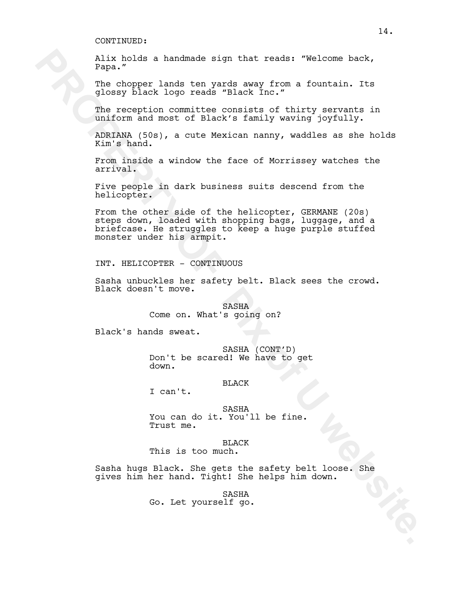Alix holds a handmade sign that reads: "Welcome back, Papa."

The chopper lands ten yards away from a fountain. Its glossy black logo reads "Black Inc."

The reception committee consists of thirty servants in uniform and most of Black's family waving joyfully.

ADRIANA (50s), a cute Mexican nanny, waddles as she holds Kim's hand.

From inside a window the face of Morrissey watches the arrival.

Five people in dark business suits descend from the helicopter.

Xir holde a bandmade sign that reade: "Welcome back,<br>
The oborger lands ten wede, website a fountain, its<br>
when we have been a small of thirty servents in<br>
the vecention committee consists of thirty servents in<br>
this order From the other side of the helicopter, GERMANE (20s) steps down, loaded with shopping bags, luggage, and a briefcase. He struggles to keep a huge purple stuffed monster under his armpit.

INT. HELICOPTER - CONTINUOUS

Sasha unbuckles her safety belt. Black sees the crowd. Black doesn't move.

> **SASHA** Come on. What's going on?

Black's hands sweat.

SASHA (CONT'D) Don't be scared! We have to get down.

### BLACK

I can't.

SASHA You can do it. You'll be fine. Trust me.

#### BLACK

This is too much.

Sasha hugs Black. She gets the safety belt loose. She gives him her hand. Tight! She helps him down.

> SASHA Go. Let yourself go.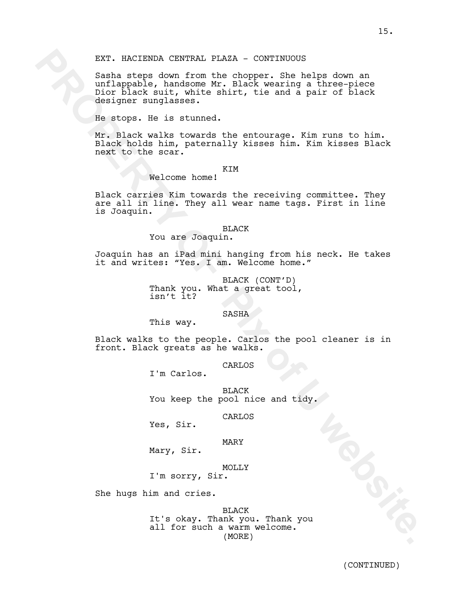EXT. NACIENDA CENTRAL PLAZA - CONTINUOUS<br>
Scale steps doom from the chopper. She kelps doom an<br>
scale belonger over 100 the chopper. She kelps doom an<br>
designer surglasses. The internet<br>
designer surglasses. The result of Sasha steps down from the chopper. She helps down an unflappable, handsome Mr. Black wearing a three-piece Dior black suit, white shirt, tie and a pair of black designer sunglasses.

He stops. He is stunned.

Mr. Black walks towards the entourage. Kim runs to him. Black holds him, paternally kisses him. Kim kisses Black next to the scar.

## KIM

Welcome home!

Black carries Kim towards the receiving committee. They are all in line. They all wear name tags. First in line is Joaquin.

### BLACK

## You are Joaquin.

Joaquin has an iPad mini hanging from his neck. He takes it and writes: "Yes. I am. Welcome home."

> BLACK (CONT'D) Thank you. What a great tool, isn't it?

#### SASHA

This way.

Black walks to the people. Carlos the pool cleaner is in front. Black greats as he walks.

CARLOS

I'm Carlos.

BLACK You keep the pool nice and tidy.

CARLOS

Yes, Sir.

### MARY

Mary, Sir.

MOLLY

I'm sorry, Sir.

She hugs him and cries.

BLACK It's okay. Thank you. Thank you all for such a warm welcome. (MORE)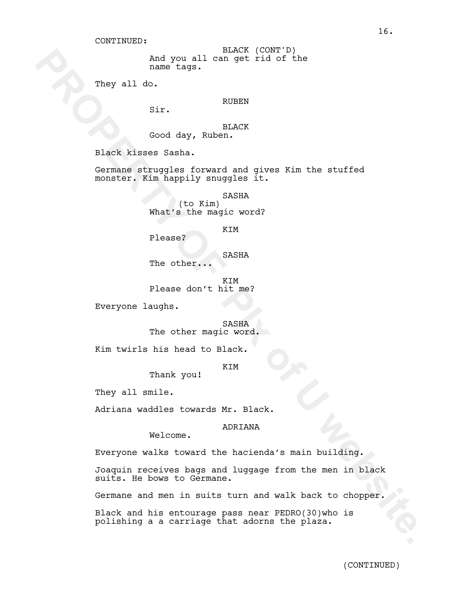And you all can get rid of the name tags. BLACK (CONT'D)

They all do.

RUBEN

Sir.

BLACK Good day, Ruben.

Black kisses Sasha.

Germane struggles forward and gives Kim the stuffed monster. Kim happily snuggles it.

> SASHA (to Kim)

What's the magic word?

KIM

Please?

The other...

SASHA

KIM Please don't hit me?

Everyone laughs.

SASHA The other magic word.

Kim twirls his head to Black.

**KTM** 

Thank you!

They all smile.

Adriana waddles towards Mr. Black.

ADRIANA

Welcome.

Everyone walks toward the hacienda's main building.

Majou all elact (court p)<br>
name bags.<br>
They all do.<br> **River and the set of the start of the start of the start of the start of the start<br>
PROPERTY SERVERTY OF THE SERVER CONTROL CONTROL CONTROL CONTROL CONTROL CONTROL CONT** Joaquin receives bags and luggage from the men in black suits. He bows to Germane.

Germane and men in suits turn and walk back to chopper.

Black and his entourage pass near PEDRO(30)who is polishing a a carriage that adorns the plaza.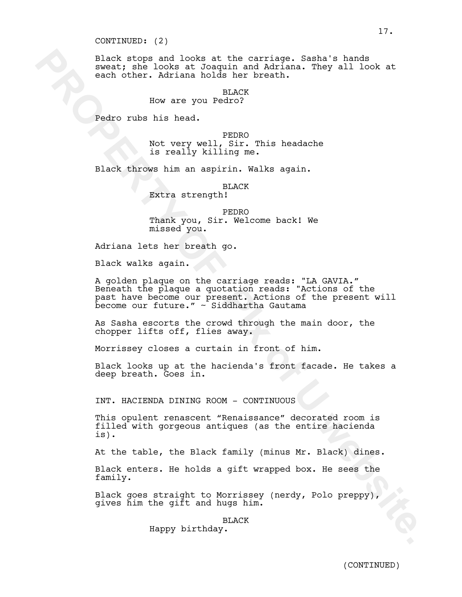#### CONTINUED: (2)

Black stops and looks at the carriage. Sasha's hands sweat; she looks at Joaquin and Adriana. They all look at each other. Adriana holds her breath.

> BLACK How are you Pedro?

Pedro rubs his head.

PEDRO Not very well, Sir. This headache is really killing me.

Black throws him an aspirin. Walks again.

BLACK

Extra strength!

PEDRO Thank you, Sir. Welcome back! We missed you.

Adriana lets her breath go.

Black walks again.

Riach stops and looks at the carrier<br>specifier. Administration, They all look at the looks at Joequin and Administration. They all look at<br>non-ther. Administration in the breath.<br>We were you Pedro?<br>The mass of the specific A golden plaque on the carriage reads: "LA GAVIA." Beneath the plaque a quotation reads: "Actions of the past have become our present. Actions of the present will become our future." ~ Siddhartha Gautama

As Sasha escorts the crowd through the main door, the chopper lifts off, flies away.

Morrissey closes a curtain in front of him.

Black looks up at the hacienda's front facade. He takes a deep breath. Goes in.

INT. HACIENDA DINING ROOM - CONTINUOUS

This opulent renascent "Renaissance" decorated room is filled with gorgeous antiques (as the entire hacienda is).

At the table, the Black family (minus Mr. Black) dines.

Black enters. He holds a gift wrapped box. He sees the family.

Black goes straight to Morrissey (nerdy, Polo preppy), gives him the gift and hugs him.

BLACK

Happy birthday.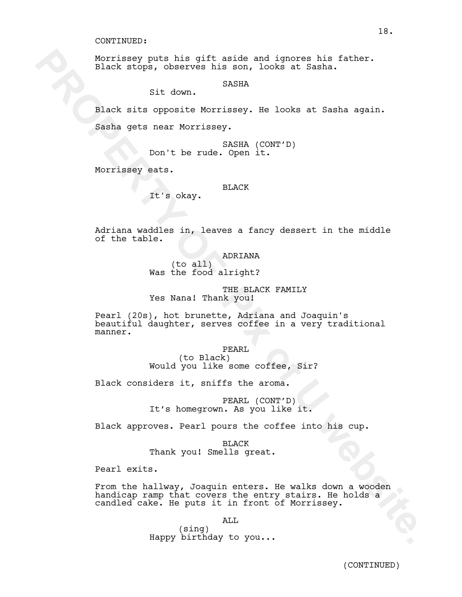Morrissey puts his gift aside and ignores his father. Black stops, observes his son, looks at Sasha.

SASHA

Sit down.

Black sits opposite Morrissey. He looks at Sasha again. Sasha gets near Morrissey.

> SASHA (CONT'D) Don't be rude. Open it.

Morrissey eats.

BLACK

It's okay.

Adriana waddles in, leaves a fancy dessert in the middle of the table.

ADRIANA

 (to all) Was the food alright?

THE BLACK FAMILY Yes Nana! Thank you!

 **PACK SCALE 12:16** and ignores his son, looks at Sasha.<br> **Since his son, looks at Sasha.**<br> **Since scape and some starts and solution**.<br> **Since at Sasha (CONTTP)**<br> **PROPERTY OF PIX OF PIX OF PIX OF PIX OF PIX OF PIX OF PIX** Pearl (20s), hot brunette, Adriana and Joaquin's beautiful daughter, serves coffee in a very traditional manner.

PEARL (to Black) Would you like some coffee, Sir?

Black considers it, sniffs the aroma.

PEARL (CONT'D) It's homegrown. As you like it.

Black approves. Pearl pours the coffee into his cup.

BLACK Thank you! Smells great.

Pearl exits.

From the hallway, Joaquin enters. He walks down a wooden handicap ramp that covers the entry stairs. He holds a candled cake. He puts it in front of Morrissey.

ALL

(sing) Happy birthday to you...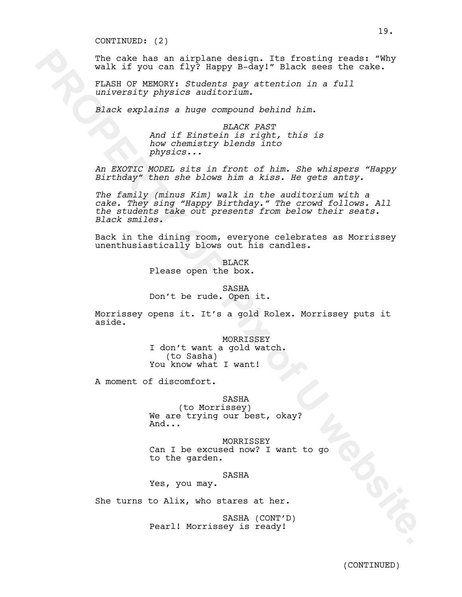CONTINUED: (2)

The cake has an airplane design. Its frosting reads: "Why walk if you can fly? Happy B-day!" Black sees the cake.

FLASH OF MEMORY: *Students pay attention in a full university physics auditorium.*

*Black explains a huge compound behind him.*

*BLACK PAST And if Einstein is right, this is how chemistry blends into physics...*

*An EXOTIC MODEL sits in front of him. She whispers "Happy Birthday" then she blows him a kiss. He gets antsy.* 

The case an airline and if we have a simple case of the case of the same of the same of the same of the same of the same of the same of the same of the same of the same of the same of the same of the same of the same of th *The family (minus Kim) walk in the auditorium with a cake. They sing "Happy Birthday." The crowd follows. All the students take out presents from below their seats. Black smiles.*

Back in the dining room, everyone celebrates as Morrissey unenthusiastically blows out his candles.

> BLACK Please open the box.

SASHA Don't be rude. Open it.

Morrissey opens it. It's a gold Rolex. Morrissey puts it aside.

> MORRISSEY I don't want a gold watch. (to Sasha) You know what I want!

A moment of discomfort.

SASHA (to Morrissey) We are trying our best, okay? And...

MORRISSEY Can I be excused now? I want to go to the garden.

SASHA

Yes, you may.

She turns to Alix, who stares at her.

SASHA (CONT'D) Pearl! Morrissey is ready!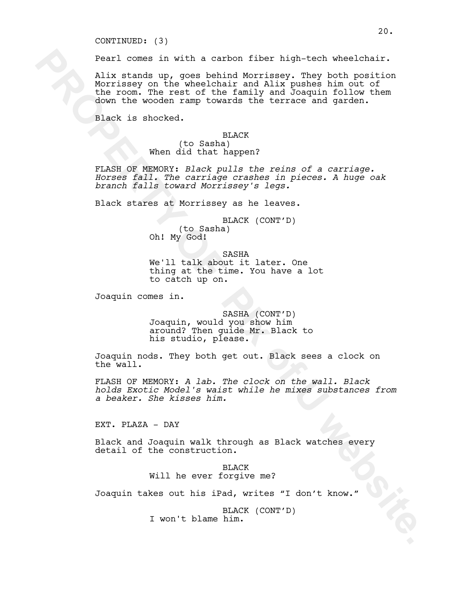CONTINUED: (3)

Pearl comes in with a carbon fiber high-tech wheelchair.

**Pearl comes in with a carbon fiber high-tech wheelchair.**<br>Alux stands up, goes behind Morrissey, They best behind in the state of the model of the model of the state of the state of the state of the state of the state of Alix stands up, goes behind Morrissey. They both position Morrissey on the wheelchair and Alix pushes him out of the room. The rest of the family and Joaquin follow them down the wooden ramp towards the terrace and garden.

Black is shocked.

#### BLACK

(to Sasha) When did that happen?

FLASH OF MEMORY: *Black pulls the reins of a carriage. Horses fall. The carriage crashes in pieces. A huge oak branch falls toward Morrissey's legs.*

Black stares at Morrissey as he leaves.

BLACK (CONT'D) (to Sasha) Oh! My God!

SASHA We'll talk about it later. One thing at the time. You have a lot to catch up on.

Joaquin comes in.

SASHA (CONT'D) Joaquin, would you show him around? Then guide Mr. Black to his studio, please.

Joaquin nods. They both get out. Black sees a clock on the wall.

FLASH OF MEMORY: *A lab. The clock on the wall. Black holds Exotic Model's waist while he mixes substances from a beaker. She kisses him.*

EXT. PLAZA - DAY

Black and Joaquin walk through as Black watches every detail of the construction.

> BLACK Will he ever forgive me?

Joaquin takes out his iPad, writes "I don't know."

BLACK (CONT'D) I won't blame him.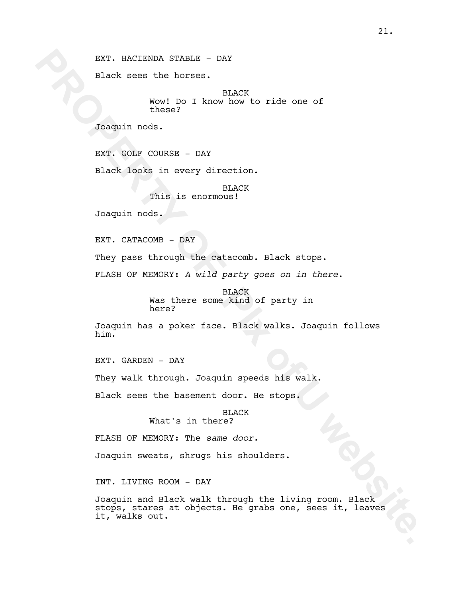EXT. HACIENDA STABLE - DAY

Black sees the horses.

BLACK Wow! Do I know how to ride one of these?

Joaquin nods.

EXT. GOLF COURSE - DAY

Black looks in every direction.

BLACK This is enormous!

Joaquin nods.

EXT. CATACOMB - DAY

They pass through the catacomb. Black stops.

FLASH OF MEMORY: *A wild party goes on in there.*

BLACK Was there some kind of party in here?

Joaquin has a poker face. Black walks. Joaquin follows him.

EXT. GARDEN - DAY

They walk through. Joaquin speeds his walk.

Black sees the basement door. He stops.

BLACK What's in there?

FLASH OF MEMORY: The *same door.*

Joaquin sweats, shrugs his shoulders.

INT. LIVING ROOM - DAY

EXT. NACIENDA STANCE - DAY<br>
NACIEN<br>
Well Do I know how to ride one of<br>
Well Done<br>
Designin node.<br> **EXT. GOIF COURSE - DAY**<br>
Designin node.<br> **EXT. GOIF COURSE - DAY**<br>
This is encrmous!<br> **PROPERTY OF PROPERTY OF PROPERTY**<br>
T Joaquin and Black walk through the living room. Black stops, stares at objects. He grabs one, sees it, leaves it, walks out.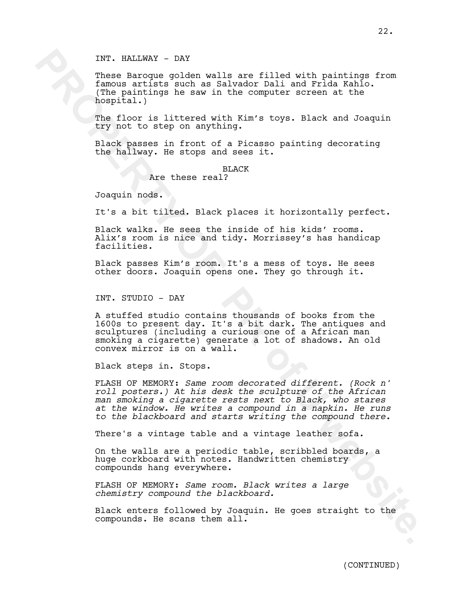INT. HALLWAY - DAY

These Baroque golden walls are filled with paintings from famous artists such as Salvador Dali and Frida Kahlo. (The paintings he saw in the computer screen at the hospital.)

The floor is littered with Kim's toys. Black and Joaquin try not to step on anything.

Black passes in front of a Picasso painting decorating the hallway. He stops and sees it.

BLACK

Are these real?

Joaquin nods.

It's a bit tilted. Black places it horizontally perfect.

Black walks. He sees the inside of his kids' rooms. Alix's room is nice and tidy. Morrissey's has handicap facilities.

Black passes Kim's room. It's a mess of toys. He sees other doors. Joaquin opens one. They go through it.

INT. STUDIO - DAY

A stuffed studio contains thousands of books from the 1600s to present day. It's a bit dark. The antiques and sculptures (including a curious one of a African man smoking a cigarette) generate a lot of shadows. An old convex mirror is on a wall.

Black steps in. Stops.

INT. HALEWAY - DAY<br>These Barcone golden wells are filled with paintings from<br>tempora arriete such as Salvador Bali and Frida Kahlo.<br>Newborn in the momentum in the momentum in the momentum of<br>the second of the momentum of t FLASH OF MEMORY: *Same room decorated different. (Rock n' roll posters.) At his desk the sculpture of the African man smoking a cigarette rests next to Black, who stares at the window. He writes a compound in a napkin. He runs to the blackboard and starts writing the compound there.*

There's a vintage table and a vintage leather sofa.

On the walls are a periodic table, scribbled boards, a huge corkboard with notes. Handwritten chemistry compounds hang everywhere.

FLASH OF MEMORY: *Same room. Black writes a large chemistry compound the blackboard.* 

Black enters followed by Joaquin. He goes straight to the compounds. He scans them all.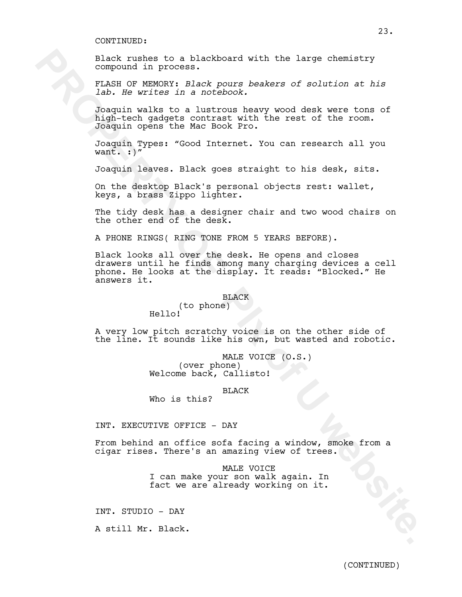Black rushes to a blackboard with the large chemistry compound in process.

FLASH OF MEMORY: *Black pours beakers of solution at his lab. He writes in a notebook.*

Joaquin walks to a lustrous heavy wood desk were tons of high-tech gadgets contrast with the rest of the room. Joaquin opens the Mac Book Pro.

Joaquin Types: "Good Internet. You can research all you want.  $:$   $)$ "

Joaquin leaves. Black goes straight to his desk, sits.

On the desktop Black's personal objects rest: wallet, keys, a brass Zippo lighter.

The tidy desk has a designer chair and two wood chairs on the other end of the desk.

A PHONE RINGS( RING TONE FROM 5 YEARS BEFORE).

Riary to expect to a blackboard with the large chemistry<br> **PROPERTY OF XENDING ISLACK POWER DEARERTS** of solution at *his*<br> **PROPERTY PROPERTY** and the method may would denk were tona of<br> **PROPERTY PROPERTY** of the interna Black looks all over the desk. He opens and closes drawers until he finds among many charging devices a cell phone. He looks at the display. It reads: "Blocked." He answers it.

BLACK

(to phone) Hello!

A very low pitch scratchy voice is on the other side of the line. It sounds like his own, but wasted and robotic.

> MALE VOICE (O.S.) (over phone) Welcome back, Callisto!

> > BLACK

Who is this?

INT. EXECUTIVE OFFICE - DAY

From behind an office sofa facing a window, smoke from a cigar rises. There's an amazing view of trees.

> MALE VOICE I can make your son walk again. In fact we are already working on it.

INT. STUDIO - DAY

A still Mr. Black.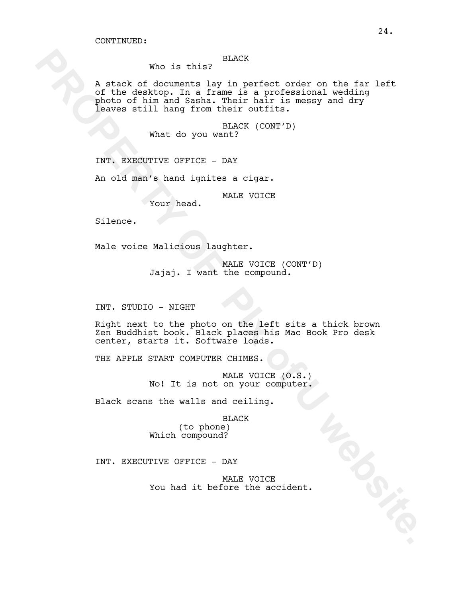## BLACK

Who is this?

Who is this? HARIX<br>
of the destinant in prime in particular on the far left<br>
pictor of the destinant in their that are the arrotonic on the far<br>
photo of him and samble. Their tails is measy and dry<br>
leaves will hang from A stack of documents lay in perfect order on the far left of the desktop. In a frame is a professional wedding photo of him and Sasha. Their hair is messy and dry leaves still hang from their outfits.

BLACK (CONT'D) What do you want?

INT. EXECUTIVE OFFICE - DAY

An old man's hand ignites a cigar.

MALE VOICE

Silence.

Male voice Malicious laughter.

Your head.

MALE VOICE (CONT'D) Jajaj. I want the compound.

INT. STUDIO - NIGHT

Right next to the photo on the left sits a thick brown Zen Buddhist book. Black places his Mac Book Pro desk center, starts it. Software loads.

THE APPLE START COMPUTER CHIMES.

MALE VOICE (O.S.) No! It is not on your computer.

Black scans the walls and ceiling.

BLACK

(to phone) Which compound?

INT. EXECUTIVE OFFICE - DAY

MALE VOICE You had it before the accident.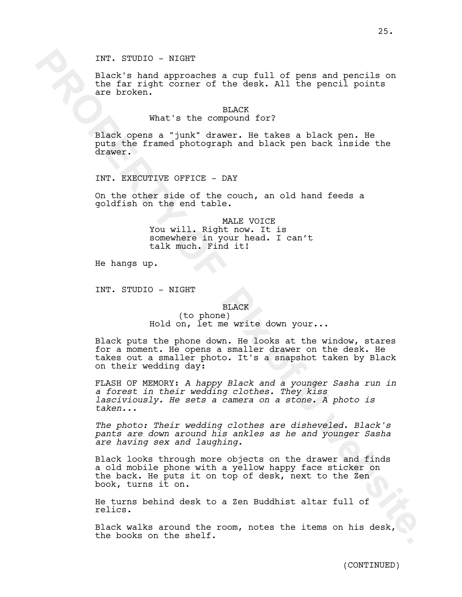INT. STUDIO - NIGHT

Black's hand approaches a cup full of pens and pencils on the far right corner of the desk. All the pencil points are broken.

### BLACK

## What's the compound for?

Black opens a "junk" drawer. He takes a black pen. He puts the framed photograph and black pen back inside the drawer.

INT. EXECUTIVE OFFICE - DAY

On the other side of the couch, an old hand feeds a goldfish on the end table.

> MALE VOICE You will. Right now. It is somewhere in your head. I can't talk much. Find it!

He hangs up.

INT. STUDIO - NIGHT

#### BLACK

(to phone) Hold on, let me write down your...

INT. STUDIO - NIGHT<br>
slack ghand approaches a cup full of pens and pencils on<br>
the fax ingit corner of the deex. All the pencil points<br>
rm bychan a "junk" drawer. He takes a black pan. He<br>
puts the computer of the deex. Al Black puts the phone down. He looks at the window, stares for a moment. He opens a smaller drawer on the desk. He takes out a smaller photo. It's a snapshot taken by Black on their wedding day:

FLASH OF MEMORY: *A happy Black and a younger Sasha run in a forest in their wedding clothes. They kiss lasciviously. He sets a camera on a stone. A photo is taken...*

*The photo: Their wedding clothes are disheveled. Black's pants are down around his ankles as he and younger Sasha are having sex and laughing.*

Black looks through more objects on the drawer and finds a old mobile phone with a yellow happy face sticker on the back. He puts it on top of desk, next to the Zen book, turns it on.

He turns behind desk to a Zen Buddhist altar full of relics.

Black walks around the room, notes the items on his desk, the books on the shelf.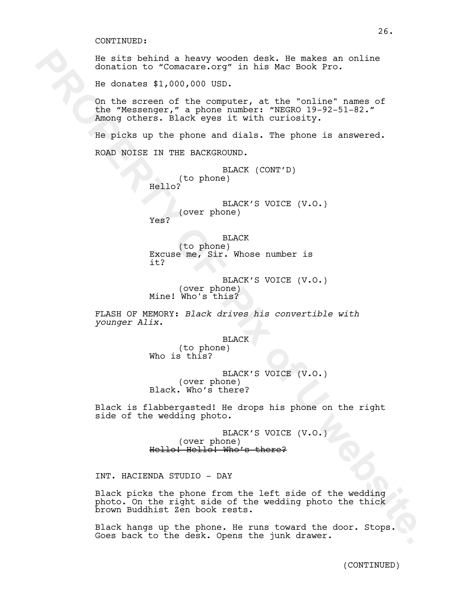He sits behind a heavy wooden desk. He makes an online donation to "Comacare.org" in his Mac Book Pro.

He donates \$1,000,000 USD.

On the screen of the computer, at the "online" names of the "Messenger," a phone number: "NEGRO 19-92-51-82." Among others. Black eyes it with curiosity.

Fe site behind a heavy wooden deak. He makes an online<br> **Exchange of the deak of the Sook Form**<br> **Exchange 1,000,000 USD.**<br> **On be streen of the computer, at the form in the streen of the deak of the fitness of the "Mename** He picks up the phone and dials. The phone is answered. ROAD NOISE IN THE BACKGROUND.

BLACK (CONT'D) (to phone) Hello?

BLACK'S VOICE (V.O.) (over phone)

Yes?

BLACK (to phone) Excuse me, Sir. Whose number is it?

BLACK'S VOICE (V.O.) (over phone) Mine! Who's this?

FLASH OF MEMORY: *Black drives his convertible with younger Alix.*

BLACK

(to phone) Who is this?

BLACK'S VOICE (V.O.) (over phone) Black. Who's there?

Black is flabbergasted! He drops his phone on the right side of the wedding photo.

> BLACK'S VOICE (V.O.) (over phone) Hello! Hello! Who's there?

INT. HACIENDA STUDIO - DAY

Black picks the phone from the left side of the wedding photo. On the right side of the wedding photo the thick brown Buddhist Zen book rests.

Black hangs up the phone. He runs toward the door. Stops. Goes back to the desk. Opens the junk drawer.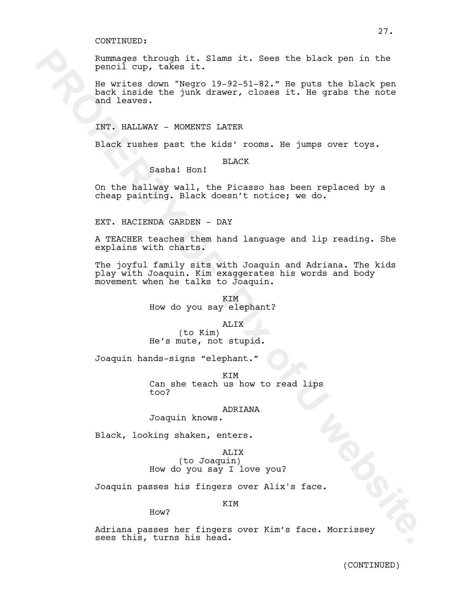Rummages through it. Slams it. Sees the black pen in the pencil cup, takes it.

He writes down "Negro 19-92-51-82." He puts the black pen back inside the junk drawer, closes it. He grabs the note and leaves.

INT. HALLWAY - MOMENTS LATER

Sasha! Hon!

Black rushes past the kids' rooms. He jumps over toys.

## BLACK

On the hallway wall, the Picasso has been replaced by a cheap painting. Black doesn't notice; we do.

EXT. HACIENDA GARDEN - DAY

A TEACHER teaches them hand language and lip reading. She explains with charts.

**Examples through it. Slams it. Sees the black pan in the proties down "Negro 19-92-51-82." He puts the black pan in the virtual deaver.** We will make over the lines of the puts of the black pan in the same of the puts of The joyful family sits with Joaquin and Adriana. The kids play with Joaquin. Kim exaggerates his words and body movement when he talks to Joaquin.

KIM How do you say elephant?

### ALIX

(to Kim) He's mute, not stupid.

Joaquin hands-signs "elephant."

KIM Can she teach us how to read lips too?

## ADRIANA

Joaquin knows.

Black, looking shaken, enters.

ALIX (to Joaquin) How do you say I love you?

Joaquin passes his fingers over Alix's face.

### **KTM**

How?

Adriana passes her fingers over Kim's face. Morrissey sees this, turns his head.

27.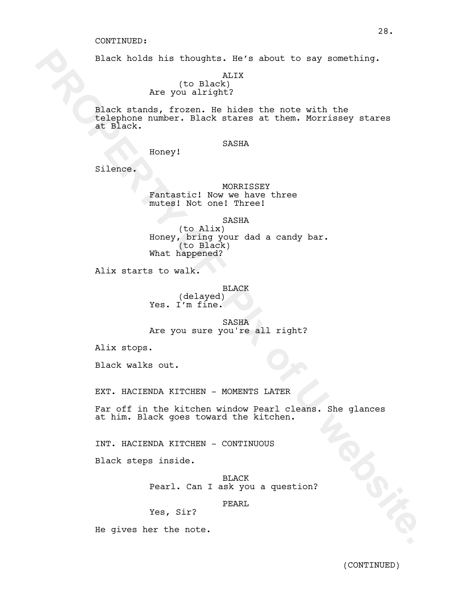Black holds his thoughts. He's about to say something.

ALIX (to Black) Are you alright?

Black holds his thoughts. He's about to say something.<br>
You black!<br>
New your airlight?<br>
New Your airlight?<br>
Rich stands, frozen. He hides the motio with the<br>
factor stands function: He hides det them. Morrissey stands<br>
Hon Black stands, frozen. He hides the note with the telephone number. Black stares at them. Morrissey stares at Black.

### SASHA

Honey!

Silence.

## MORRISSEY Fantastic! Now we have three mutes! Not one! Three!

SASHA

(to Alix) Honey, bring your dad a candy bar. (to Black) What happened?

Alix starts to walk.

#### BLACK

(delayed) Yes. I'm fine.

SASHA Are you sure you're all right?

Alix stops.

Black walks out.

EXT. HACIENDA KITCHEN - MOMENTS LATER

Far off in the kitchen window Pearl cleans. She glances at him. Black goes toward the kitchen.

INT. HACIENDA KITCHEN - CONTINUOUS

Black steps inside.

BLACK Pearl. Can I ask you a question?

## PEARL

Yes, Sir?

He gives her the note.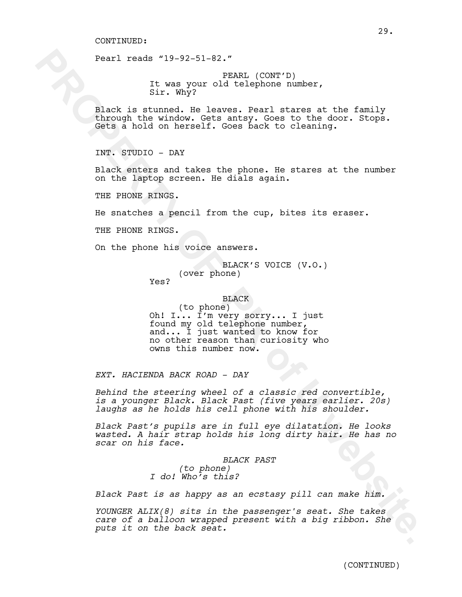Pearl reads "19-92-51-82."

PEARL (CONT'D) It was your old telephone number, Sir. Why?

Black is stunned. He leaves. Pearl stares at the family through the window. Gets antsy. Goes to the door. Stops. Gets a hold on herself. Goes back to cleaning.

INT. STUDIO - DAY

Black enters and takes the phone. He stares at the number on the laptop screen. He dials again.

THE PHONE RINGS.

He snatches a pencil from the cup, bites its eraser.

THE PHONE RINGS.

On the phone his voice answers.

BLACK'S VOICE (V.O.) (over phone)

Yes?

## BLACK

**Pearl reade** "19-92-51-52."<br>
In the your plant (commit).<br>
In the your plant of the phonon sharp at the family distinged. He has<br>van . Bearl distinged minimize the family declined in the sharp of the<br>sharp of the state of (to phone) Oh! I... I'm very sorry... I just found my old telephone number, and... I just wanted to know for no other reason than curiosity who owns this number now.

*EXT. HACIENDA BACK ROAD - DAY*

*Behind the steering wheel of a classic red convertible, is a younger Black. Black Past (five years earlier. 20s) laughs as he holds his cell phone with his shoulder.* 

*Black Past's pupils are in full eye dilatation. He looks wasted. A hair strap holds his long dirty hair. He has no scar on his face.*

> *BLACK PAST (to phone) I do! Who's this?*

*Black Past is as happy as an ecstasy pill can make him.*

*YOUNGER ALIX(8) sits in the passenger's seat. She takes care of a balloon wrapped present with a big ribbon. She puts it on the back seat.*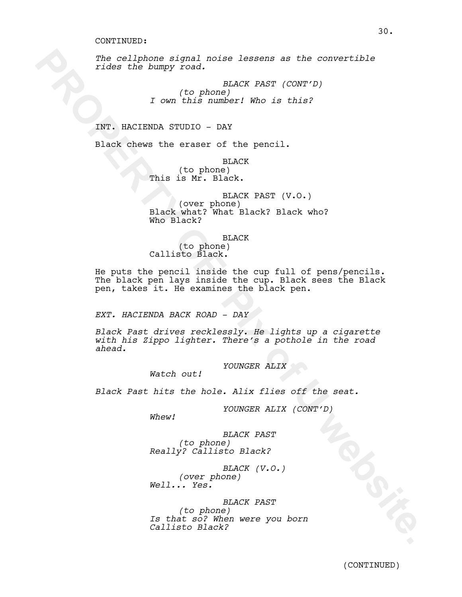*The cellphone signal noise lessens as the convertible rides the bumpy road.*

> *BLACK PAST (CONT'D) (to phone) I own this number! Who is this?*

INT. HACIENDA STUDIO - DAY

Black chews the eraser of the pencil.

BLACK (to phone) This is Mr. Black.

BLACK PAST (V.O.) (over phone) Black what? What Black? Black who? Who Black?

BLACK

(to phone) Callisto Black.

The cellphone signal noise leasens as the convertible<br>rides the bumpy road.<br> **Eldes the Dength CK PAST (CONT'D)**<br> **1** com this numberi who is this?<br> **IRT.** HACIENDA STUDIO - BAY<br> **PROPERTY OF PIX CONTEXT (CONT'D)**<br> **IRT.** He puts the pencil inside the cup full of pens/pencils. The black pen lays inside the cup. Black sees the Black pen, takes it. He examines the black pen.

*EXT. HACIENDA BACK ROAD - DAY*

*Black Past drives recklessly. He lights up a cigarette with his Zippo lighter. There's a pothole in the road ahead.*

*YOUNGER ALIX*

*Watch out!*

*Black Past hits the hole. Alix flies off the seat.*

*YOUNGER ALIX (CONT'D)*

*Whew!*

*BLACK PAST (to phone) Really? Callisto Black?*

*BLACK (V.O.) (over phone) Well... Yes.*

*BLACK PAST (to phone) Is that so? When were you born Callisto Black?*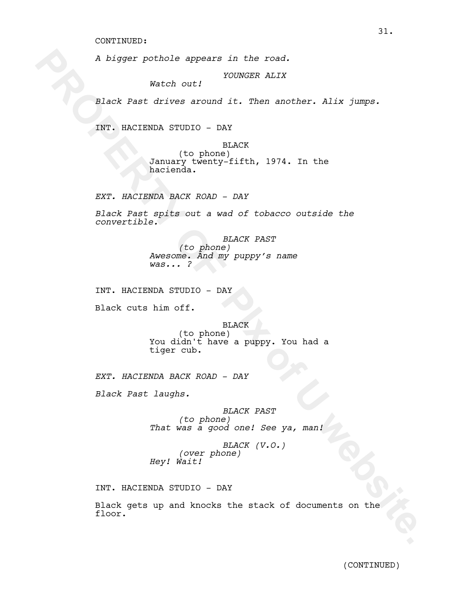*A bigger pothole appears in the road.* 

*YOUNGER ALIX*

*Black Past drives around it. Then another. Alix jumps.*

INT. HACIENDA STUDIO - DAY

*Watch out!*

A bigger pothols appears in the road.<br>
Watch out!<br> **Elack Past drives around it. Then another. Alix jumps.**<br> **RRT.** RACTENDA STUDIO DAY<br>
(to phone 14.4%)<br>  $\frac{1}{2}$  and  $\frac{1}{2}$  and  $\frac{1}{2}$  and  $\frac{1}{2}$  and  $\frac{1}{2}$  a BLACK (to phone) January twenty-fifth, 1974. In the hacienda.

*EXT. HACIENDA BACK ROAD - DAY*

*Black Past spits out a wad of tobacco outside the convertible.*

> *BLACK PAST (to phone) Awesome. And my puppy's name was... ?*

INT. HACIENDA STUDIO - DAY

Black cuts him off.

BLACK

(to phone) You didn't have a puppy. You had a tiger cub.

*EXT. HACIENDA BACK ROAD - DAY*

*Black Past laughs.*

*BLACK PAST (to phone) That was a good one! See ya, man!*

*BLACK (V.O.) (over phone) Hey! Wait!* 

INT. HACIENDA STUDIO - DAY

Black gets up and knocks the stack of documents on the floor.

31.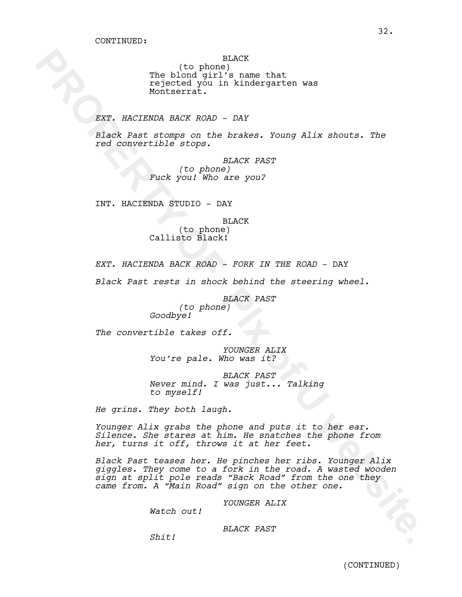BLACK

(to phone) The blond girl's name that rejected you in kindergarten was Montserrat.

*EXT. HACIENDA BACK ROAD - DAY*

*Black Past stomps on the brakes. Young Alix shouts. The red convertible stops.*

> *BLACK PAST (to phone) Fuck you! Who are you?*

INT. HACIENDA STUDIO - DAY

BLACK

(to phone) Callisto Black!

*EXT. HACIENDA BACK ROAD - FORK IN THE ROAD* - DAY

*Black Past rests in shock behind the steering wheel.*

*BLACK PAST (to phone) Goodbye!*

*The convertible takes off.*

*YOUNGER ALIX You're pale. Who was it?* 

*BLACK PAST Never mind. I was just... Talking to myself!* 

*He grins. They both laugh.* 

*Younger Alix grabs the phone and puts it to her ear. Silence. She stares at him. He snatches the phone from her, turns it off, throws it at her feet.* 

The bindigiting in the binds<br>
The Hender of the stress of the time that<br> **Expected you in kindergarten was**<br> **EXP.** EACIENDA BACK RADIO DAY<br> **EXP. EACIENDA BOX** CODE on the binding are positive formulations of the property *Black Past teases her. He pinches her ribs. Younger Alix giggles. They come to a fork in the road. A wasted wooden sign at split pole reads "Back Road" from the one they came from. A "Main Road" sign on the other one.*

*YOUNGER ALIX*

*Watch out!*

*BLACK PAST*

*Shit!*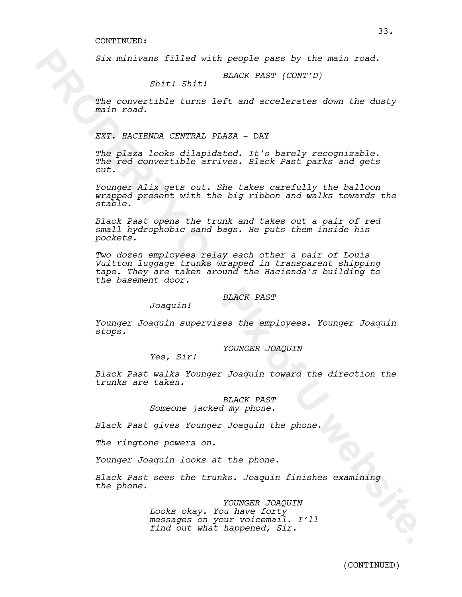*Six minivans filled with people pass by the main road.*

*BLACK PAST (CONT'D) Shit! Shit!*

*The convertible turns left and accelerates down the dusty main road.*

*EXT. HACIENDA CENTRAL PLAZA* - DAY

*The plaza looks dilapidated. It's barely recognizable. The red convertible arrives. Black Past parks and gets out.* 

*Younger Alix gets out. She takes carefully the balloon wrapped present with the big ribbon and walks towards the stable.* 

*Black Past opens the trunk and takes out a pair of red small hydrophobic sand bags. He puts them inside his pockets.* 

Six minivans filled with people pass by the main road.<br>
Shitl Shitl BLACK PAST (CONT'D)<br>
The convertible turns left and accelerates down the dusty<br>
The convertible turns left and accelerates down the dusty<br>
method converti *Two dozen employees relay each other a pair of Louis Vuitton luggage trunks wrapped in transparent shipping tape. They are taken around the Hacienda's building to the basement door.* 

### *BLACK PAST*

*Joaquin!*

*Younger Joaquin supervises the employees. Younger Joaquin stops.* 

*YOUNGER JOAQUIN*

*Yes, Sir!*

*Black Past walks Younger Joaquin toward the direction the trunks are taken.*

> *BLACK PAST Someone jacked my phone.*

*Black Past gives Younger Joaquin the phone.* 

*The ringtone powers on.* 

*Younger Joaquin looks at the phone.* 

*Black Past sees the trunks. Joaquin finishes examining the phone.* 

> *YOUNGER JOAQUIN Looks okay. You have forty messages on your voicemail. I'll find out what happened, Sir.*

33.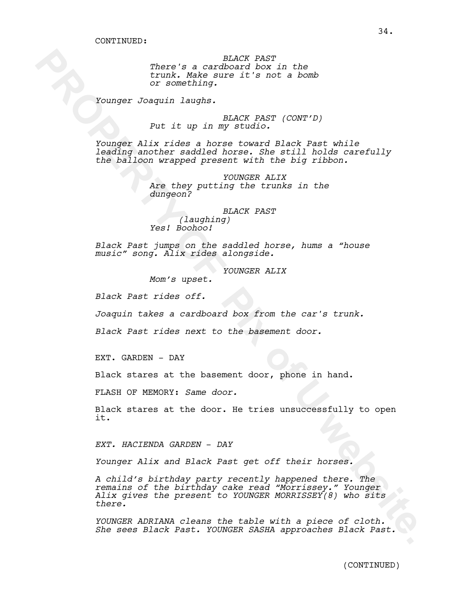*BLACK PAST There's a cardboard box in the trunk. Make sure it's not a bomb or something.*

*Younger Joaquin laughs.*

*BLACK PAST (CONT'D) Put it up in my studio.*

*Younger Alix rides a horse toward Black Past while leading another saddled horse. She still holds carefully the balloon wrapped present with the big ribbon.* 

> *YOUNGER ALIX Are they putting the trunks in the dungeon?*

*BLACK PAST (laughing) Yes! Boohoo!*

*Black Past jumps on the saddled horse, hums a "house music" song. Alix rides alongside.*

*YOUNGER ALIX*

*Mom's upset.*

*Black Past rides off.*

*Joaquin takes a cardboard box from the car's trunk.* 

*Black Past rides next to the basement door.*

EXT. GARDEN - DAY

Black stares at the basement door, phone in hand.

FLASH OF MEMORY: *Same door.*

Black stares at the door. He tries unsuccessfully to open it.

*EXT. HACIENDA GARDEN* - *DAY*

*Younger Alix and Black Past get off their horses.* 

**PROPERTY IS CONDUCT AND INTERFRAL IN the form of exceptionary it sends a bomb**<br>or sceneching.<br> **PROPERTY OF PIX only a PROPERTY (CONT'D)**<br>
PROPERTY CONTEXTS (CONT'D)<br>
PROPERTY OF PIX or a bomb is a matrix of the interpr *A child's birthday party recently happened there. The remains of the birthday cake read "Morrissey." Younger Alix gives the present to YOUNGER MORRISSEY(8) who sits there.* 

*YOUNGER ADRIANA cleans the table with a piece of cloth. She sees Black Past. YOUNGER SASHA approaches Black Past.*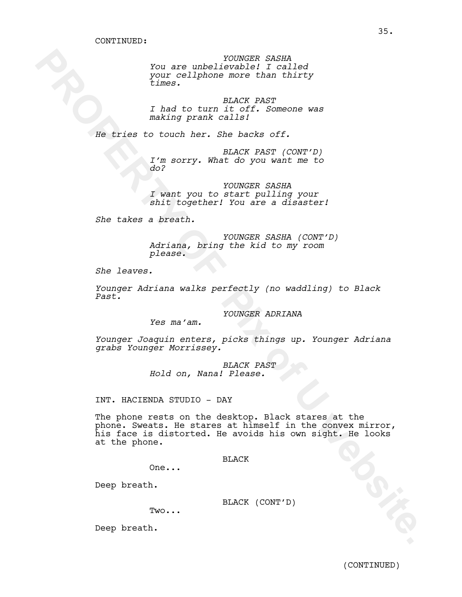*YOUNGER SASHA You are unbelievable! I called your cellphone more than thirty times.* 

*BLACK PAST I had to turn it off. Someone was making prank calls!*

*He tries to touch her. She backs off.*

*BLACK PAST (CONT'D) I'm sorry. What do you want me to do?* 

*YOUNGER SASHA I want you to start pulling your shit together! You are a disaster!* 

*She takes a breath.*

*YOUNGER SASHA (CONT'D) Adriana, bring the kid to my room please.*

*She leaves.*

*Younger Adriana walks perfectly (no waddling) to Black Past.*

*YOUNGER ADRIANA*

*Yes ma'am.*

*Younger Joaquin enters, picks things up. Younger Adriana grabs Younger Morrissey.* 

> *BLACK PAST Hold on, Nana! Please.*

INT. HACIENDA STUDIO - DAY

**PROPERTY AND ACCONSER SARE AND ACCONSER AND ACCORDINATION** (1997)<br> **EXECUTE ACCORD ACCORD ACCORD ACCORD ACCORD CONSERVATION**<br> **EXECUTE ACCORD ACCORD ACCORD ACCORD**<br> **EXECUTE ACCORD ACCORD ACCORD ACCORD ACCORD ACCORD ACCOR** The phone rests on the desktop. Black stares at the phone. Sweats. He stares at himself in the convex mirror, his face is distorted. He avoids his own sight. He looks at the phone.

BLACK

One...

Deep breath.

BLACK (CONT'D)

Two...

Deep breath.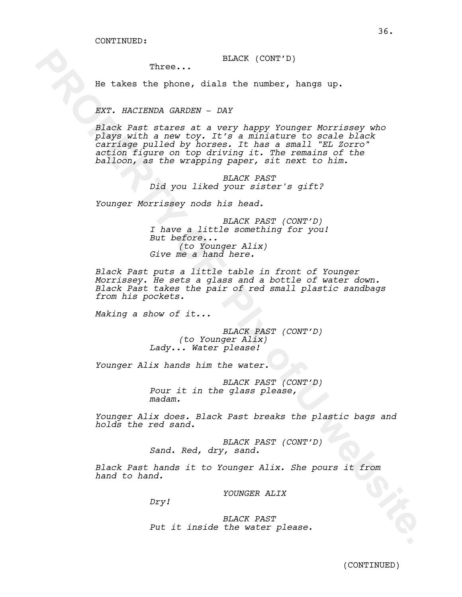BLACK (CONT'D)

Three...

He takes the phone, dials the number, hangs up.

*EXT. HACIENDA GARDEN* - *DAY*

Three... The set a label the number, hange up.<br>
Rev. MACTESTAN CANDENT DAY<br>
Rev. MACTESTAN CANDENT DAY<br>
Rev. MACTESTAN CANDENT DAY<br>
Playe with a new roor. It's a miniature to scale black<br>
contrade pulse of the set of User, *Black Past stares at a very happy Younger Morrissey who plays with a new toy. It's a miniature to scale black carriage pulled by horses. It has a small "EL Zorro" action figure on top driving it. The remains of the balloon, as the wrapping paper, sit next to him.*

*BLACK PAST Did you liked your sister's gift?*

*Younger Morrissey nods his head.*

*BLACK PAST (CONT'D) I have a little something for you! But before... (to Younger Alix) Give me a hand here.*

*Black Past puts a little table in front of Younger Morrissey. He sets a glass and a bottle of water down. Black Past takes the pair of red small plastic sandbags from his pockets.* 

*Making a show of it...*

*BLACK PAST (CONT'D) (to Younger Alix) Lady... Water please!*

*Younger Alix hands him the water.*

*BLACK PAST (CONT'D) Pour it in the glass please, madam.*

*Younger Alix does. Black Past breaks the plastic bags and holds the red sand.*

> *BLACK PAST (CONT'D) Sand. Red, dry, sand.*

*Black Past hands it to Younger Alix. She pours it from hand to hand.*

*YOUNGER ALIX*

*Dry!*

*BLACK PAST Put it inside the water please.*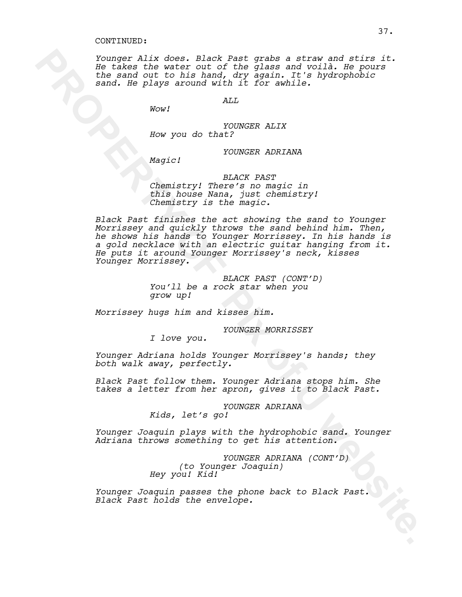*Younger Alix does. Black Past grabs a straw and stirs it. He takes the water out of the glass and voilà. He pours the sand out to his hand, dry again. It's hydrophobic sand. He plays around with it for awhile.*

*ALL*

*YOUNGER ALIX How you do that?*

*YOUNGER ADRIANA*

*Magic!*

*Wow!*

*BLACK PAST Chemistry! There's no magic in this house Nana, just chemistry! Chemistry is the magic.*

**Fourier Alix does, Black Fast grabe a strait since it and still it.**<br>Be takes the water out of the glass and volin. He had the same out as the plays around with it for mathle.<br>
Final is proposed and it for mathle.<br> **PROPE** *Black Past finishes the act showing the sand to Younger Morrissey and quickly throws the sand behind him. Then, he shows his hands to Younger Morrissey. In his hands is a gold necklace with an electric guitar hanging from it. He puts it around Younger Morrissey's neck, kisses Younger Morrissey.*

*BLACK PAST (CONT'D) You'll be a rock star when you grow up!*

*Morrissey hugs him and kisses him.*

*YOUNGER MORRISSEY*

*I love you.*

*Younger Adriana holds Younger Morrissey's hands; they both walk away, perfectly.* 

*Black Past follow them. Younger Adriana stops him. She takes a letter from her apron, gives it to Black Past.*

> *YOUNGER ADRIANA Kids, let's go!*

*Younger Joaquin plays with the hydrophobic sand. Younger Adriana throws something to get his attention.*

> *YOUNGER ADRIANA (CONT'D) (to Younger Joaquin) Hey you! Kid!*

*Younger Joaquin passes the phone back to Black Past. Black Past holds the envelope.*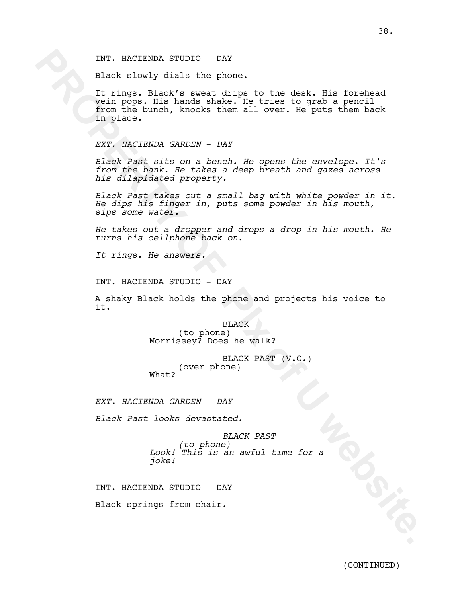INT. HACIENDA STUDIO - DAY

Black slowly dials the phone.

INT. NACIENDA STUDIO - DAY<br>
Black showld dist the phone.<br>
It rings, Black's showld display the bine disk. His formboad<br>
Voir prop. His hands shake. He tries to grab a peculi<br>
Trom the burnt, knocke them all over. He puts t It rings. Black's sweat drips to the desk. His forehead vein pops. His hands shake. He tries to grab a pencil from the bunch, knocks them all over. He puts them back in place.

*EXT. HACIENDA GARDEN* - *DAY*

*Black Past sits on a bench. He opens the envelope. It's from the bank. He takes a deep breath and gazes across his dilapidated property.* 

*Black Past takes out a small bag with white powder in it. He dips his finger in, puts some powder in his mouth, sips some water.* 

*He takes out a dropper and drops a drop in his mouth. He turns his cellphone back on.*

*It rings. He answers.*

INT. HACIENDA STUDIO - DAY

A shaky Black holds the phone and projects his voice to it.

> BLACK (to phone) Morrissey? Does he walk?

BLACK PAST (V.O.) (over phone) What?

*EXT. HACIENDA GARDEN* - *DAY*

*Black Past looks devastated.*

*BLACK PAST (to phone) Look! This is an awful time for a joke!*

INT. HACIENDA STUDIO - DAY

Black springs from chair.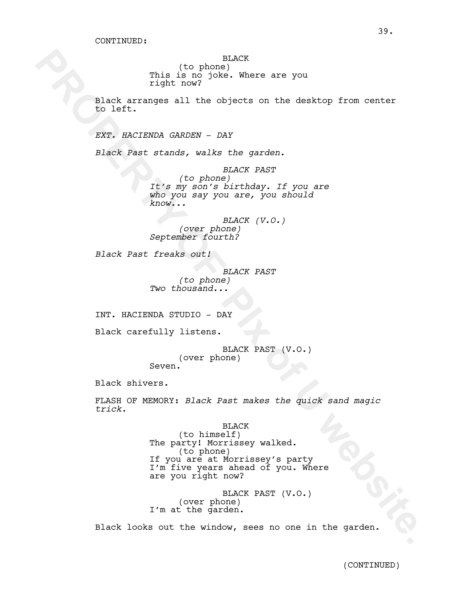BLACK

(to phone) This is no joke. Where are you right now?

Black arranges all the objects on the desktop from center to left.

*EXT. HACIENDA GARDEN* - *DAY*

*Black Past stands, walks the garden.*

*BLACK PAST (to phone) It's my son's birthday. If you are who you say you are, you should know...*

*BLACK (V.O.) (over phone) September fourth?*

*Black Past freaks out!*

*BLACK PAST (to phone) Two thousand...*

INT. HACIENDA STUDIO - DAY

Black carefully listens.

BLACK PAST (V.O.) (over phone) Seven.

Black shivers.

FLASH OF MEMORY: *Black Past makes the quick sand magic trick.*

**PROPERTY IS THE SUBARU SET AND PARTY CONDUCTS**<br> **PROPERTY OF PIX OF PIX OF PIX ONES**<br> **EXC. NACTESTED SUBARUM** - DAY<br> **EXC. NACTESTED SUBARUM** - DAY<br> **EXC. NACTESTED SUBARUM** - DAY<br> **PROPERTY OF OREAL SUBARUM** FOR THE SUB BLACK (to himself) The party! Morrissey walked. (to phone) If you are at Morrissey's party I'm five years ahead of you. Where are you right now?

BLACK PAST (V.O.) (over phone) I'm at the garden.

Black looks out the window, sees no one in the garden.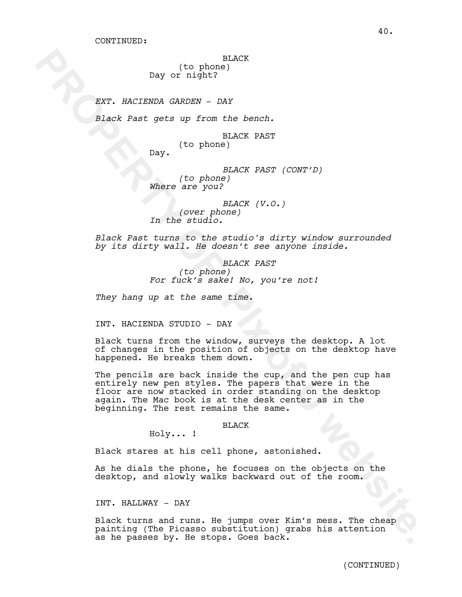BLACK (to phone)

Day or night?

*EXT. HACIENDA GARDEN* - *DAY*

*Black Past gets up from the bench.* 

BLACK PAST (to phone)

Day.

*BLACK PAST (CONT'D)*

*(to phone) Where are you?*

*BLACK (V.O.) (over phone) In the studio.*

*Black Past turns to the studio's dirty window surrounded by its dirty wall. He doesn't see anyone inside.*

> *BLACK PAST (to phone) For fuck's sake! No, you're not!*

*They hang up at the same time.*

INT. HACIENDA STUDIO - DAY

Black turns from the window, surveys the desktop. A lot of changes in the position of objects on the desktop have happened. He breaks them down.

**PROPERTY:** The state of the state of the state of the state of the state of the phone of the state of the state of the state of the state of the state of the state of the state of the state of the state of the state of th The pencils are back inside the cup, and the pen cup has entirely new pen styles. The papers that were in the floor are now stacked in order standing on the desktop again. The Mac book is at the desk center as in the beginning. The rest remains the same.

BLACK

Holy... !

Black stares at his cell phone, astonished.

As he dials the phone, he focuses on the objects on the desktop, and slowly walks backward out of the room.

# INT. HALLWAY - DAY

Black turns and runs. He jumps over Kim's mess. The cheap painting (The Picasso substitution) grabs his attention as he passes by. He stops. Goes back.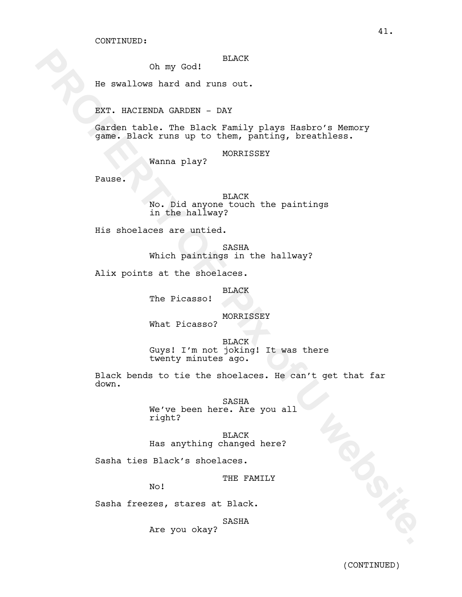### BLACK

Oh my God!

He swallows hard and runs out.

EXT. HACIENDA GARDEN - DAY

Garden table. The Black Family plays Hasbro's Memory game. Black runs up to them, panting, breathless.

MORRISSEY

Wanna play?

Pause.

BLACK No. Did anyone touch the paintings in the hallway?

His shoelaces are untied.

SASHA Which paintings in the hallway?

Alix points at the shoelaces.

## BLACK

The Picasso!

MORRISSEY

What Picasso?

**BLACK** Guys! I'm not joking! It was there twenty minutes ago.

Oh my God:<br> **Exertions and any out**<br> **BACK**<br> **BACK**<br> **BACK**<br> **Candar Each Pix only by Exertional Pix of Each Pix of Pix of Pix of Pix of Pix of Pix of Pix of Pix of Pix of Pix of Pix of Pix of Pix of Pix of the Back Pix of** Black bends to tie the shoelaces. He can't get that far down.

SASHA We've been here. Are you all right?

BLACK Has anything changed here?

Sasha ties Black's shoelaces.

THE FAMILY

No!

Sasha freezes, stares at Black.

SASHA

Are you okay?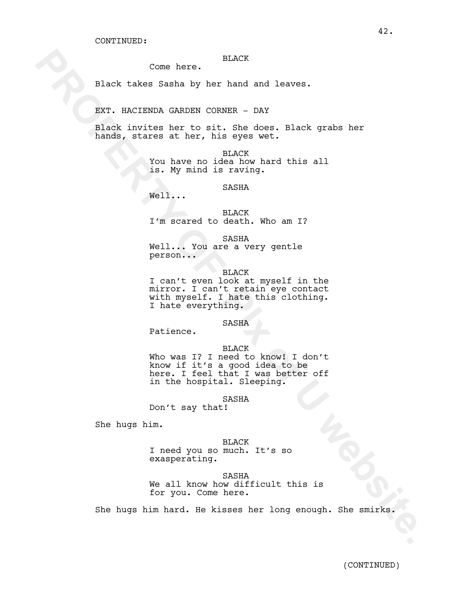#### BLACK

Come here.

Black takes Sasha by her hand and leaves.

EXT. HACIENDA GARDEN CORNER - DAY

Black invites her to sit. She does. Black grabs her hands, stares at her, his eyes wet.

> BLACK You have no idea how hard this all is. My mind is raving.

> > SASHA

Well...

BLACK I'm scared to death. Who am I?

SASHA Well... You are a very gentle person...

BLACK I can't even look at myself in the mirror. I can't retain eye contact

with myself. I hate this clothing. I hate everything.

# SASHA

Patience.

#### BLACK

Come here. BLACK<br>
Black takes Sasha by her hand and leaves.<br>
RNC HOCKSTRON CONTRE<br>
RNC invitame her is eit, she does. Black grabs her<br>
hands, stare at her, is eyes wet.<br>
You have no idea hew hard this sll<br>
is. My wind is r Who was I? I need to know! I don't know if it's a good idea to be here. I feel that I was better off in the hospital. Sleeping.

### SASHA

Don't say that!

She hugs him.

BLACK I need you so much. It's so exasperating.

SASHA We all know how difficult this is for you. Come here.

She hugs him hard. He kisses her long enough. She smirks.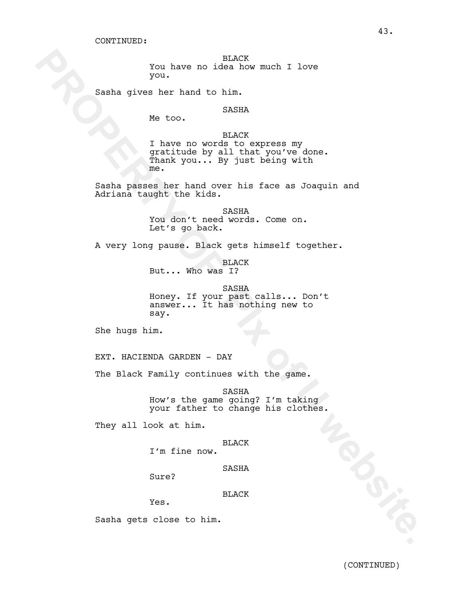BLACK You have no idea how much I love you.

Sasha gives her hand to him.

# SASHA

Me too.

BLACK

You have no idea have much I love<br>
You have no idea<br>
we be shown in the bulk of the state of the state of the state of the state of the state of the state of the state of the state of the state of the state of the state of I have no words to express my gratitude by all that you've done. Thank you... By just being with me.

Sasha passes her hand over his face as Joaquin and Adriana taught the kids.

> SASHA You don't need words. Come on. Let's go back.

A very long pause. Black gets himself together.

BLACK But... Who was I?

SASHA Honey. If your past calls... Don't answer... It has nothing new to say.

She hugs him.

EXT. HACIENDA GARDEN - DAY

The Black Family continues with the game.

SASHA How's the game going? I'm taking your father to change his clothes.

They all look at him.

#### BLACK

I'm fine now.

SASHA

Sure?

BLACK

Yes.

Sasha gets close to him.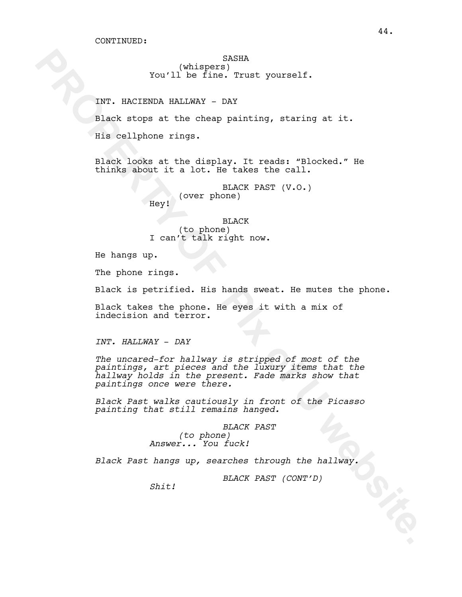(whispers) You'll be fine. Trust yourself.

INT. HACIENDA HALLWAY - DAY

Black stops at the cheap painting, staring at it.

His cellphone rings.

Black looks at the display. It reads: "Blocked." He thinks about it a lot. He takes the call.

> BLACK PAST (V.O.) (over phone) Hey!

> > BLACK

(to phone) I can't talk right now.

He hangs up.

The phone rings.

Black is petrified. His hands sweat. He mutes the phone.

Black takes the phone. He eyes it with a mix of indecision and terror.

*INT. HALLWAY* - *DAY*

**PROPERTY (Whispers)**<br> **PROPERTY AND SET AND ANOTEST TERM (THE SET AND SET AND SET AND SET AND ANOTEST AND ANOTHOLOGY. The scheme of the scheme of the scheme of the scheme of the scheme of the scheme of the scheme of the s** *The uncared-for hallway is stripped of most of the paintings, art pieces and the luxury items that the hallway holds in the present. Fade marks show that paintings once were there.* 

*Black Past walks cautiously in front of the Picasso painting that still remains hanged.* 

> *BLACK PAST (to phone) Answer... You fuck!*

*Black Past hangs up, searches through the hallway.*

*BLACK PAST (CONT'D)*

*Shit!*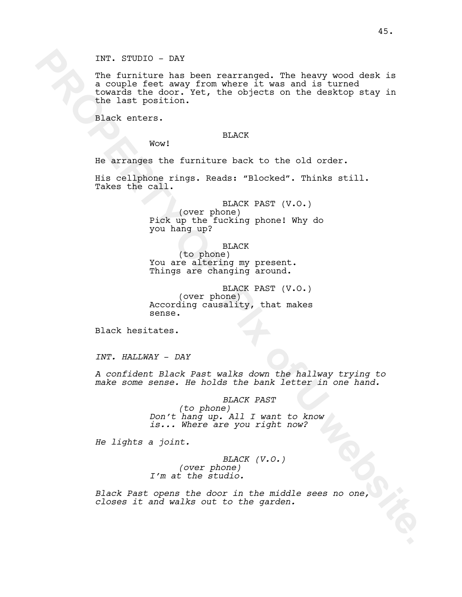INT. STUDIO - DAY

INT. STUDIO - DAY<br>
Interting has been rearranged. The keavy wood deak is<br>
is complete heavy from where it was and is turned<br>
it complete the last position. This, that abjuate an the density at<br>
the last position. The compl The furniture has been rearranged. The heavy wood desk is a couple feet away from where it was and is turned towards the door. Yet, the objects on the desktop stay in the last position.

Black enters.

### BLACK

Wow!

He arranges the furniture back to the old order.

His cellphone rings. Reads: "Blocked". Thinks still. Takes the call.

> BLACK PAST (V.O.) (over phone) Pick up the fucking phone! Why do you hang up?

> > BLACK

(to phone) You are altering my present. Things are changing around.

BLACK PAST (V.O.) (over phone) According causality, that makes sense.

Black hesitates.

*INT. HALLWAY* - *DAY*

*A confident Black Past walks down the hallway trying to make some sense. He holds the bank letter in one hand.*

#### *BLACK PAST*

*(to phone) Don't hang up. All I want to know is... Where are you right now?*

*He lights a joint.*

# *BLACK (V.O.)*

*(over phone) I'm at the studio.*

*Black Past opens the door in the middle sees no one, closes it and walks out to the garden.*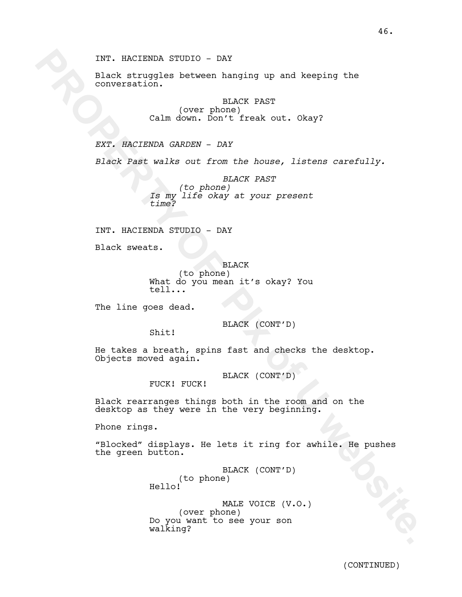Black struggles between hanging up and keeping the conversation.

> BLACK PAST (over phone) Calm down. Don't freak out. Okay?

*EXT. HACIENDA GARDEN* - *DAY*

*Black Past walks out from the house, listens carefully.*

INT. NACIENDA STUDIO - DAY<br>
places arrowed between hanging up and keeping the<br>
convergation.<br>
Calm down, Don't frank out. Okay?<br>
EXT. RACIENDA GRADES - DAY<br>
EXT. RACIENDA GRADES - DAY<br>
FROPERTY - INCORES<br>
FROPERTY - INCORE *BLACK PAST (to phone) Is my life okay at your present time?*

INT. HACIENDA STUDIO - DAY

Black sweats.

BLACK (to phone) What do you mean it's okay? You tell...

The line goes dead.

BLACK (CONT'D)

Shit!

Hello!

He takes a breath, spins fast and checks the desktop. Objects moved again.

BLACK (CONT'D)

FUCK! FUCK!

Black rearranges things both in the room and on the desktop as they were in the very beginning.

Phone rings.

"Blocked" displays. He lets it ring for awhile. He pushes the green button.

> BLACK (CONT'D) (to phone)

MALE VOICE (V.O.) (over phone) Do you want to see your son walking?

(CONTINUED)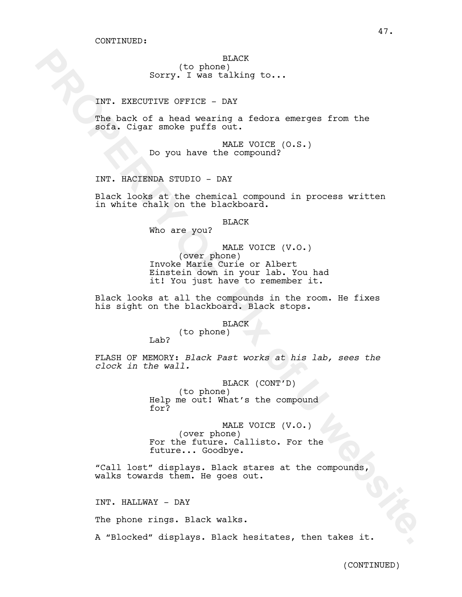(to phone) Sorry. I was talking to...

INT. EXECUTIVE OFFICE - DAY

The back of a head wearing a fedora emerges from the sofa. Cigar smoke puffs out.

> MALE VOICE (O.S.) Do you have the compound?

INT. HACIENDA STUDIO - DAY

Lab?

Black looks at the chemical compound in process written in white chalk on the blackboard.

BLACK

Who are you?

**EXECUTE:** Twenting to...<br> **BUT:** EXECUTIVE OFFICE DAM A MANIFORM CONDITIONS (THE BOOK of EXPLAIN THE POINT OF THE SOCK OF THE SOCK OF THE SOCK CONDUCTS (C.S.)<br> **DETERTY INCOTENTS STATE OF THE COMPONENT** (TO SEE AND LOTED MALE VOICE (V.O.) (over phone) Invoke Marie Curie or Albert Einstein down in your lab. You had it! You just have to remember it.

Black looks at all the compounds in the room. He fixes his sight on the blackboard. Black stops.

BLACK

(to phone)

FLASH OF MEMORY: *Black Past works at his lab, sees the clock in the wall.*

> BLACK (CONT'D) (to phone) Help me out! What's the compound for?

MALE VOICE (V.O.) (over phone) For the future. Callisto. For the future... Goodbye.

"Call lost" displays. Black stares at the compounds, walks towards them. He goes out.

INT. HALLWAY - DAY

The phone rings. Black walks.

A "Blocked" displays. Black hesitates, then takes it.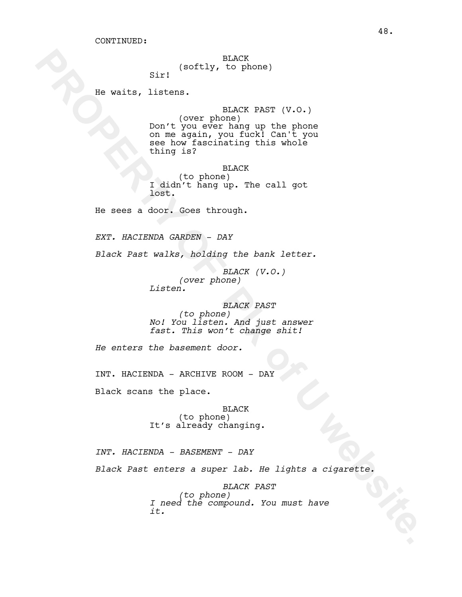BLACK (softly, to phone)

He waits, listens.

Sir!

Re welts, listing.<br> **PROPERTY THE CONSULTER CONSULTS** (V.O.)<br> **PROPERTY OF CONSULTS** (V.O.)<br>
Don't you were hard a given you include that you were hard a given you include that you<br>
with the flow and the property of the c BLACK PAST (V.O.) (over phone) Don't you ever hang up the phone on me again, you fuck! Can't you see how fascinating this whole thing is?

BLACK (to phone) I didn't hang up. The call got lost.

He sees a door. Goes through.

*EXT. HACIENDA GARDEN - DAY*

*Black Past walks, holding the bank letter.*

*BLACK (V.O.) (over phone) Listen.*

*BLACK PAST (to phone) No! You listen. And just answer fast. This won't change shit!*

*He enters the basement door.*

INT. HACIENDA - ARCHIVE ROOM - DAY

Black scans the place.

BLACK (to phone) It's already changing.

*INT. HACIENDA - BASEMENT - DAY*

*Black Past enters a super lab. He lights a cigarette.* 

*BLACK PAST (to phone) I need the compound. You must have it.*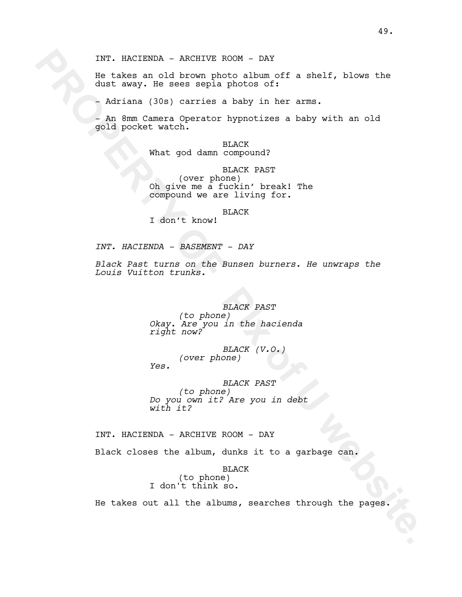He takes an old brown photo album off a shelf, blows the dust away. He sees sepia photos of:

- Adriana (30s) carries a baby in her arms.

- An 8mm Camera Operator hypnotizes a baby with an old gold pocket watch.

> BLACK What god damn compound?

BLACK PAST (over phone) Oh give me a fuckin' break! The compound we are living for.

BLACK

I don't know!

*INT. HACIENDA - BASEMENT - DAY*

*Black Past turns on the Bunsen burners. He unwraps the Louis Vuitton trunks.*

INT. HACIENDA - ARCHIVE ROOM - DAY<br>
the takes an old brown photo alternative a shell, blows the<br>
dust away, the sees sepia photos of:<br>
- African (30s) carries a baby in her arms.<br>
- African (30s) carries a baby in her arms *BLACK PAST (to phone) Okay. Are you in the hacienda right now?*

*BLACK (V.O.) (over phone) Yes.*

*BLACK PAST (to phone) Do you own it? Are you in debt with it?*

INT. HACIENDA - ARCHIVE ROOM - DAY

Black closes the album, dunks it to a garbage can.

BLACK (to phone) I don't think so.

He takes out all the albums, searches through the pages.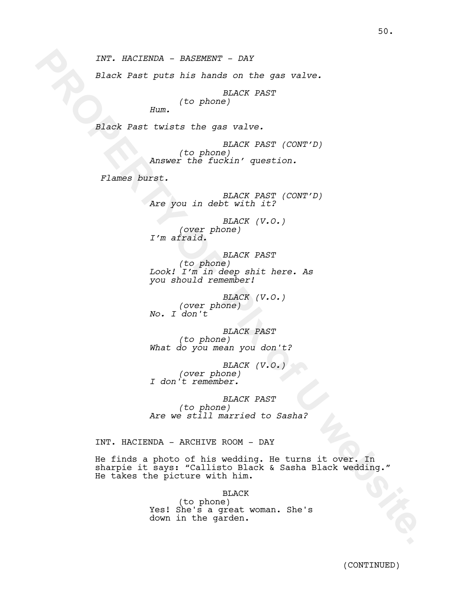*INT. HACIENDA - BASEMENT - DAY*

*Black Past puts his hands on the gas valve.*

*BLACK PAST (to phone)*

*Hum.*

*Black Past twists the gas valve.*

*BLACK PAST (CONT'D) (to phone) Answer the fuckin' question.* 

 *Flames burst.*

*BLACK PAST (CONT'D) Are you in debt with it?*

*BLACK (V.O.) (over phone) I'm afraid.*

*BLACK PAST (to phone) Look! I'm in deep shit here. As you should remember!*

*BLACK (V.O.) (over phone) No. I don't*

*BLACK PAST (to phone) What do you mean you don't?*

*BLACK (V.O.) (over phone) I don't remember.*

*BLACK PAST (to phone) Are we still married to Sasha?*

INT. HACIENDA - ARCHIVE ROOM - DAY

**PROPERTY:** BACEBONA - BASEWENT - DAY<br> **Black Past putch is an ending on the gas valve.**<br> **PROPERTY OF PROPERTY OF PIX OF PIX OF PIX OF PIX OF PIX OF PIX OF PIX OF PIX OF PIX OF PIX OF PIX OF PIX OF PIX OF PIX OF PIX OF PI** He finds a photo of his wedding. He turns it over. In sharpie it says: "Callisto Black & Sasha Black wedding." He takes the picture with him.

BLACK

(to phone) Yes! She's a great woman. She's down in the garden.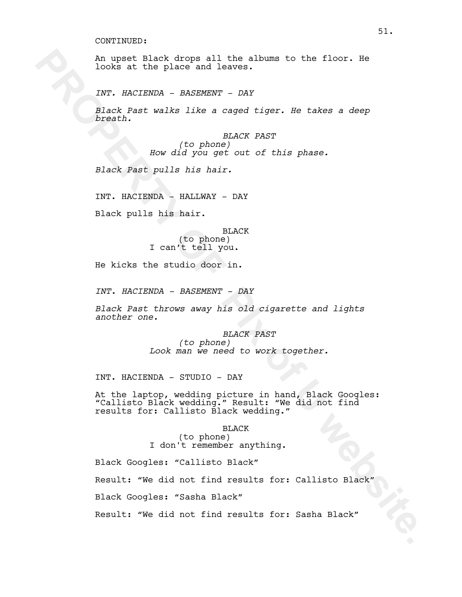An upset Black drops all the albums to the floor. He looks at the place and leaves.

*INT. HACIENDA - BASEMENT - DAY*

*Black Past walks like a caged tiger. He takes a deep breath.*

> *BLACK PAST (to phone) How did you get out of this phase.*

*Black Past pulls his hair.*

INT. HACIENDA - HALLWAY - DAY

Black pulls his hair.

BLACK (to phone) I can't tell you.

He kicks the studio door in.

*INT. HACIENDA - BASEMENT - DAY*

*Black Past throws away his old cigarette and lights another one.*

> *BLACK PAST (to phone) Look man we need to work together.*

INT. HACIENDA - STUDIO - DAY

**PROPERTY DESCRIPED AIR ANDERS THE ALLOWS TO THE ALLOWS AT THE ART PROPERTY.** PROPERTY THE SURFACE A CONSULTED AND  $d/dt$  you get our of this phase.<br> **FROPERTY OF PIX OF PIX OF PIX OF PIX OF PIX OF PIX OF PIX OF PIX OF PIX** At the laptop, wedding picture in hand, Black Googles: "Callisto Black wedding." Result: "We did not find results for: Callisto Black wedding."

BLACK (to phone) I don't remember anything.

Black Googles: "Callisto Black"

Result: "We did not find results for: Callisto Black"

Black Googles: "Sasha Black"

Result: "We did not find results for: Sasha Black"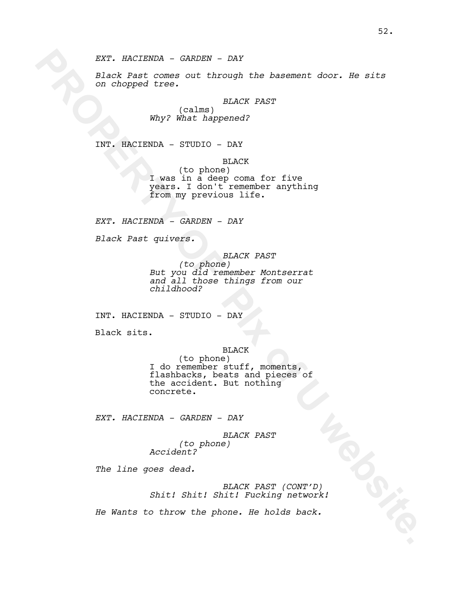*EXT. HACIENDA - GARDEN - DAY*

*Black Past comes out through the basement door. He sits on chopped tree.*

*BLACK PAST*

(calms) *Why? What happened?*

INT. HACIENDA - STUDIO - DAY

BLACK

(to phone) I was in a deep coma for five years. I don't remember anything from my previous life.

*EXT. HACIENDA - GARDEN - DAY*

*Black Past quivers.* 

*BLACK PAST*

*(to phone) But you did remember Montserrat and all those things from our childhood?*

INT. HACIENDA - STUDIO - DAY

Black sits.

BLACK

**EXAMPLE 2020**<br> **PROPERTY AND DESCRIPTION AND CONSULTER CONSULTER CONSULTER CONSULTER (VALUE)**<br> **PROPERTY**<br> **EXAMPLE 2020**<br> **PROPERTY**<br> **PROPERTY**<br> **PROPERTY**<br> **PROPERTY**<br> **PROPERTY**<br> **PROPERTY**<br> **PROPERTY**<br> **PROPERTY**<br> **P** (to phone) I do remember stuff, moments, flashbacks, beats and pieces of the accident. But nothing concrete.

*EXT. HACIENDA - GARDEN - DAY*

*BLACK PAST (to phone) Accident?*

*The line goes dead.* 

*BLACK PAST (CONT'D) Shit! Shit! Shit! Fucking network!*

*He Wants to throw the phone. He holds back.*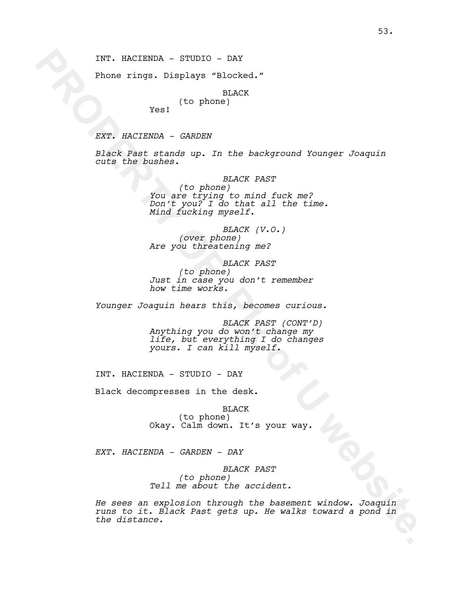INT. HACIENDA - STUDIO - DAY

Phone rings. Displays "Blocked."

BLACK

# (to phone)

Yes!

*EXT. HACIENDA - GARDEN*

*Black Past stands up. In the background Younger Joaquin cuts the bushes.*

INT. NACIENDA - STUDIO - DAY<br>
Phone ringe. Displaye "Blocks."<br>
Yosh HACK<br>
Yosh HACK<br>
Yosh HACK<br>
Yosh HACK<br>
PROPERTY OF PIX OF PIX ONCE YOSH CONGER JOURNAL<br>
CONGERTY OF PIX OF PIX OF PIX OF PIX OF PIX OF PIX OF PIX OF PIX O *BLACK PAST (to phone) You are trying to mind fuck me? Don't you? I do that all the time. Mind fucking myself.*

*BLACK (V.O.) (over phone) Are you threatening me?*

*BLACK PAST (to phone) Just in case you don't remember how time works.* 

*Younger Joaquin hears this, becomes curious.*

*BLACK PAST (CONT'D) Anything you do won't change my life, but everything I do changes yours. I can kill myself.*

INT. HACIENDA - STUDIO - DAY

Black decompresses in the desk.

BLACK (to phone) Okay. Calm down. It's your way.

*EXT. HACIENDA - GARDEN - DAY*

*BLACK PAST (to phone) Tell me about the accident.*

*He sees an explosion through the basement window. Joaquin runs to it. Black Past gets up. He walks toward a pond in the distance.*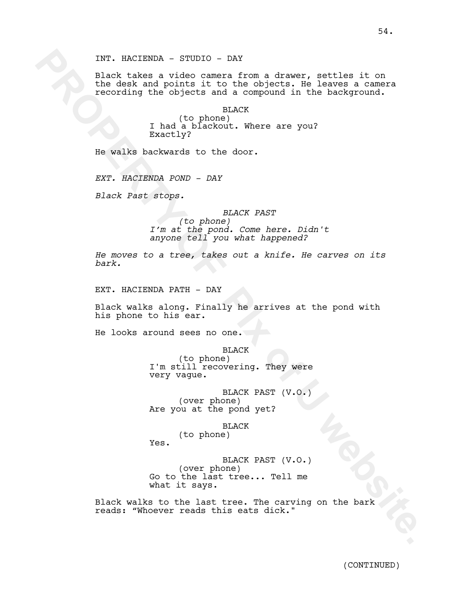INT. NACIENDA - STUDIO - DAY<br>
block takes a video commers from a drawer, settles it on<br>
the degk and points it to the objects; be leaves a commern<br>
monting the unit of the objects; be leaves a commern<br>
removed in the same Black takes a video camera from a drawer, settles it on the desk and points it to the objects. He leaves a camera recording the objects and a compound in the background.

BLACK (to phone) I had a blackout. Where are you? Exactly?

He walks backwards to the door.

*EXT. HACIENDA POND - DAY*

*Black Past stops.* 

*BLACK PAST (to phone) I'm at the pond. Come here. Didn't anyone tell you what happened?*

*He moves to a tree, takes out a knife. He carves on its bark.*

EXT. HACIENDA PATH - DAY

Black walks along. Finally he arrives at the pond with his phone to his ear.

He looks around sees no one.

BLACK

(to phone) I'm still recovering. They were very vague.

BLACK PAST (V.O.) (over phone) Are you at the pond yet?

BLACK

(to phone) Yes.

BLACK PAST (V.O.) (over phone) Go to the last tree... Tell me what it says.

Black walks to the last tree. The carving on the bark reads: "Whoever reads this eats dick."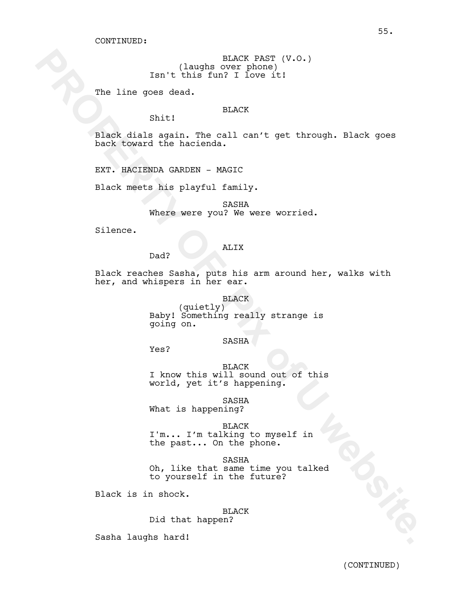BLACK PAST (V.O.) (laughs over phone) Isn't this fun? I love it!

The line goes dead.

# BLACK

Black dials again. The call can't get through. Black goes back toward the hacienda.

EXT. HACIENDA GARDEN - MAGIC

Shit!

Black meets his playful family.

SASHA Where were you? We were worried.

Silence.

# ALIX

Black reaches Sasha, puts his arm around her, walks with her, and whispers in her ear.

**PROPERTY (Recept A)**<br> **PROPERTY OF PROPERTY OF PROPERTY OF PROPERTY OF PROPERTY OF PROPERTY OF PROPERTY OF PROPERTY OF PROPERTY PROPERTY.<br>
<b>PROPERTY OF PROPERTY OF PROPERTY OF PROPERTY OF PROPERTY OF PROPERTY OF PROPERTY** BLACK (quietly) Baby! Something really strange is going on.

### SASHA

Yes?

Dad?

BLACK I know this will sound out of this world, yet it's happening.

SASHA What is happening?

BLACK I'm... I'm talking to myself in the past... On the phone.

SASHA Oh, like that same time you talked to yourself in the future?

Black is in shock.

BLACK Did that happen?

Sasha laughs hard!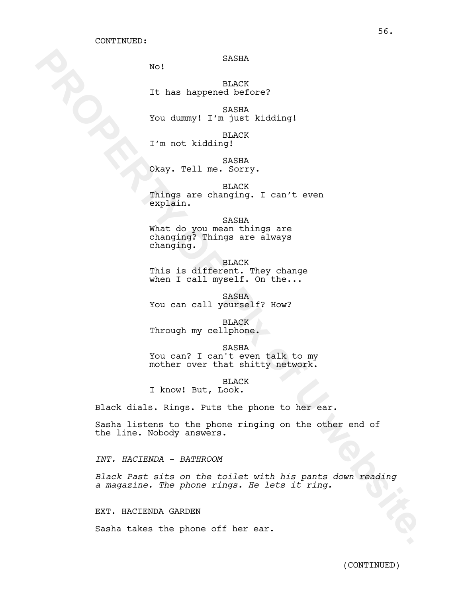### SASHA

No!

BLACK It has happened before?

SASHA You dummy! I'm just kidding!

BLACK I'm not kidding!

SASHA Okay. Tell me. Sorry.

BLACK Things are changing. I can't even explain.

SASHA What do you mean things are changing? Things are always changing.

BLACK This is different. They change when I call myself. On the...

SASHA You can call yourself? How?

BLACK Through my cellphone.

SASHA You can? I can't even talk to my mother over that shitty network.

BLACK

I know! But, Look.

Black dials. Rings. Puts the phone to her ear.

Sasha listens to the phone ringing on the other end of the line. Nobody answers.

*INT. HACIENDA - BATHROOM*

**PROPERTY OF SAMIRAL SAMIRAL SAMIRAL SAMIRAL SERVICION CONSULTING SAMIRAL SAMIRAL SAMIRAL SAMIRAL SAMIRAL SAMIRAL SAMIRAL SAMIRAL SAMIRAL SAMIRAL SAMIRAL SAMIRAL SAMIRAL SAMIRAL SAMIRAL SAMIRAL SAMIRAL SAMIRAL SAMIRAL SAMI** *Black Past sits on the toilet with his pants down reading a magazine. The phone rings. He lets it ring.*

EXT. HACIENDA GARDEN

Sasha takes the phone off her ear.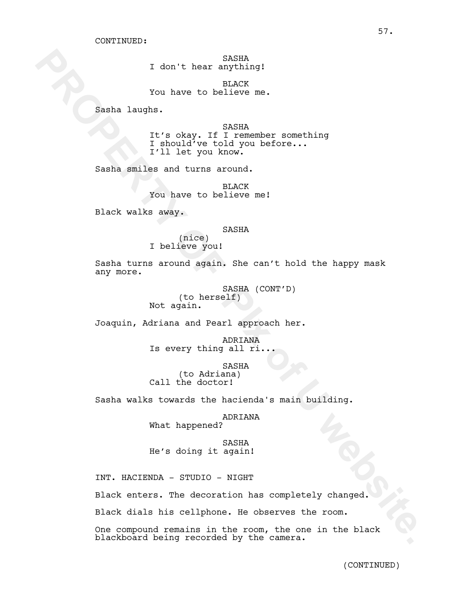SASHA I don't hear anything!

BLACK You have to believe me.

Sasha laughs.

I don't hear capital<br>
You have to believe any<br>
Sensha lengths.<br>
Sensha lengths.<br>
The obsay. If its cameador something<br>  $\frac{1}{2}$  in the count you before...<br>
Sensha smiles and turns oround you before...<br>
Sensha smiles and t SASHA It's okay. If I remember something I should've told you before... I'll let you know.

Sasha smiles and turns around.

BLACK You have to believe me!

Black walks away.

#### SASHA

(nice) I believe you!

Sasha turns around again. She can't hold the happy mask any more.

> SASHA (CONT'D) (to herself) Not again.

Joaquin, Adriana and Pearl approach her.

ADRIANA Is every thing all ri.

SASHA

(to Adriana) Call the doctor!

Sasha walks towards the hacienda's main building.

ADRIANA

What happened?

SASHA He's doing it again!

INT. HACIENDA - STUDIO - NIGHT

Black enters. The decoration has completely changed.

Black dials his cellphone. He observes the room.

One compound remains in the room, the one in the black blackboard being recorded by the camera.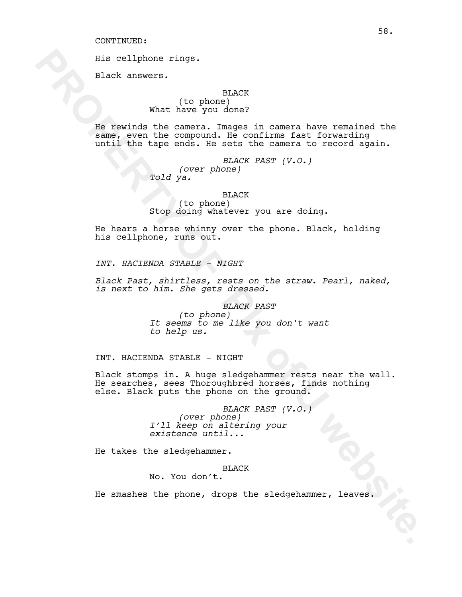His cellphone rings.

Black answers.

#### BLACK

(to phone) What have you done?

Fiscallphone rings.<br> **PROPERTY AND ANOTEST AND MANU** (to phone) in  $NMC$ <br> **PROPERTY (10 DEFINE THE 1 CONSTRUE THE CONSTRUE CONSTRUE CONSTRUE CONSTRUE CONSTRUE CONSTRUE (THE CONSTRUENT)<br>
TOLD (THE PROPERTY OF DEFINE THE CON** He rewinds the camera. Images in camera have remained the same, even the compound. He confirms fast forwarding until the tape ends. He sets the camera to record again.

*BLACK PAST (V.O.) (over phone) Told ya.*

#### BLACK

(to phone) Stop doing whatever you are doing.

He hears a horse whinny over the phone. Black, holding his cellphone, runs out.

*INT. HACIENDA STABLE - NIGHT*

*Black Past, shirtless, rests on the straw. Pearl, naked, is next to him. She gets dressed.*

#### *BLACK PAST*

*(to phone) It seems to me like you don't want to help us.*

INT. HACIENDA STABLE - NIGHT

Black stomps in. A huge sledgehammer rests near the wall. He searches, sees Thoroughbred horses, finds nothing else. Black puts the phone on the ground.

> *BLACK PAST (V.O.) (over phone) I'll keep on altering your existence until...*

He takes the sledgehammer.

### BLACK

No. You don't.

He smashes the phone, drops the sledgehammer, leaves.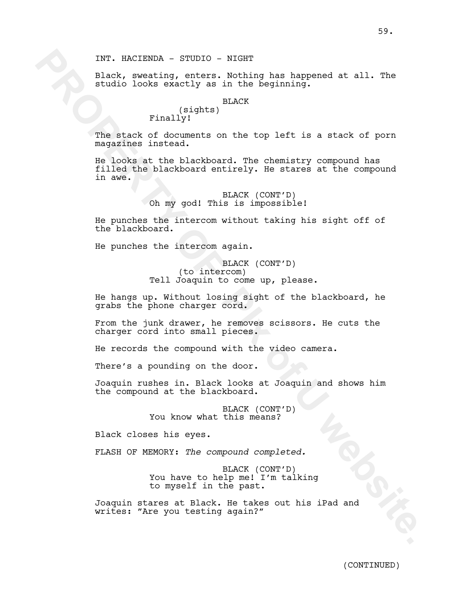INT. HACIENDA - STUDIO - NIGHT

Black, sweating, enters. Nothing has happened at all. The studio looks exactly as in the beginning.

### BLACK

# (sights) Finally!

The stack of documents on the top left is a stack of porn magazines instead.

INT. HACIENDA - STUDIO - NIGHT<br>
place, meaning, enter, Nothing has happened at all. The<br>
place, meaning internal place of the first of the stack of porne<br>
Final (rights)<br>
The stack of documents on the top left is a stack o He looks at the blackboard. The chemistry compound has filled the blackboard entirely. He stares at the compound in awe.

# BLACK (CONT'D) Oh my god! This is impossible!

He punches the intercom without taking his sight off of the blackboard.

He punches the intercom again.

### BLACK (CONT'D) (to intercom) Tell Joaquin to come up, please.

He hangs up. Without losing sight of the blackboard, he grabs the phone charger cord.

From the junk drawer, he removes scissors. He cuts the charger cord into small pieces.

He records the compound with the video camera.

There's a pounding on the door.

Joaquin rushes in. Black looks at Joaquin and shows him the compound at the blackboard.

> BLACK (CONT'D) You know what this means?

Black closes his eyes.

FLASH OF MEMORY: *The compound completed.*

BLACK (CONT'D) You have to help me! I'm talking to myself in the past.

Joaquin stares at Black. He takes out his iPad and writes: "Are you testing again?"

(CONTINUED)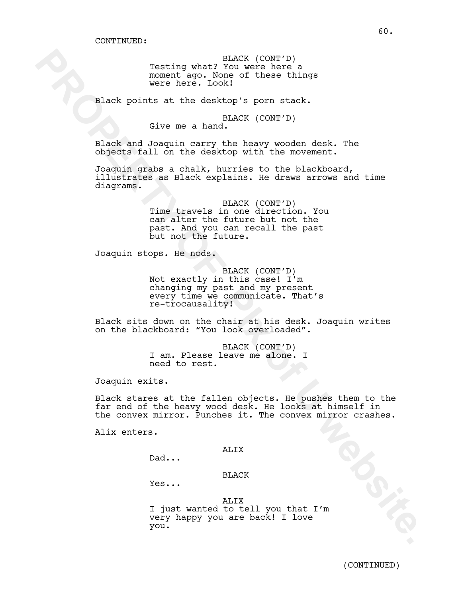BLACK (CONT'D) Testing what? You were here a moment ago. None of these things were here. Look!

Black points at the desktop's porn stack.

BLACK (CONT'D)

Give me a hand.

Black and Joaquin carry the heavy wooden desk. The objects fall on the desktop with the movement.

Joaquin grabs a chalk, hurries to the blackboard, illustrates as Black explains. He draws arrows and time diagrams.

The most property control in the space of the solution of the space of the space of the section of the section of the section of the section of the section of the section of the section of the section of the section of the BLACK (CONT'D) Time travels in one direction. You can alter the future but not the past. And you can recall the past but not the future.

Joaquin stops. He nods.

BLACK (CONT'D) Not exactly in this case! I'm changing my past and my present every time we communicate. That's re-trocausality!

Black sits down on the chair at his desk. Joaquin writes on the blackboard: "You look overloaded".

> BLACK (CONT'D) I am. Please leave me alone. I need to rest.

Joaquin exits.

Black stares at the fallen objects. He pushes them to the far end of the heavy wood desk. He looks at himself in the convex mirror. Punches it. The convex mirror crashes.

Alix enters.

#### ALIX

Dad...

BLACK

Yes...

#### ALIX

I just wanted to tell you that I'm very happy you are back! I love you.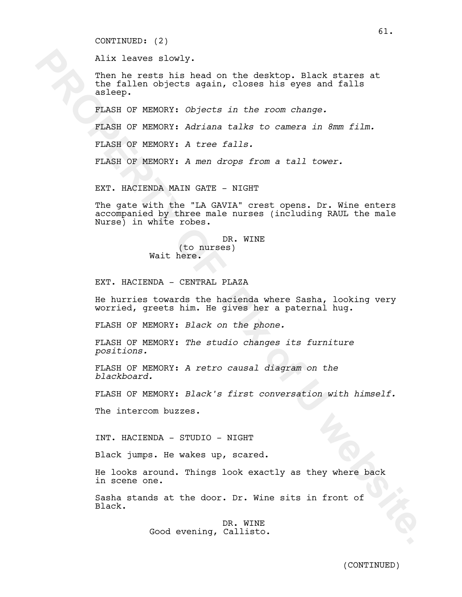CONTINUED: (2)

Alix leaves slowly.

Then he rests his head on the desktop. Black stares at the fallen objects again, closes his eyes and falls asleep.

FLASH OF MEMORY: *Objects in the room change.*

FLASH OF MEMORY: *Adriana talks to camera in 8mm film.*

FLASH OF MEMORY: *A tree falls.*

FLASH OF MEMORY: *A men drops from a tall tower.*

EXT. HACIENDA MAIN GATE - NIGHT

Alix leaves slowly.<br>
Then he rest his head on the desktop, Black states at<br>
the fallen Objects again, closes his eyes and falls<br>
rest his head on MPMONY: *Objects in the room change.*<br>
FIXES OF MEMONY: *Adriana talis to ca* The gate with the "LA GAVIA" crest opens. Dr. Wine enters accompanied by three male nurses (including RAUL the male Nurse) in white robes.

DR. WINE (to nurses) Wait here.

EXT. HACIENDA - CENTRAL PLAZA

He hurries towards the hacienda where Sasha, looking very worried, greets him. He gives her a paternal hug.

FLASH OF MEMORY: *Black on the phone.*

FLASH OF MEMORY: *The studio changes its furniture positions.*

FLASH OF MEMORY: *A retro causal diagram on the blackboard.*

FLASH OF MEMORY: *Black's first conversation with himself.*

The intercom buzzes.

INT. HACIENDA - STUDIO - NIGHT

Black jumps. He wakes up, scared.

He looks around. Things look exactly as they where back in scene one.

Sasha stands at the door. Dr. Wine sits in front of Black.

> DR. WINE Good evening, Callisto.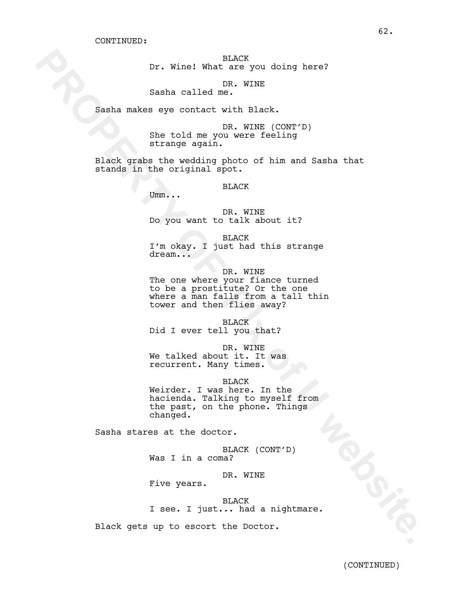BLACK Dr. Wine! What are you doing here?

DR. WINE

Sasha called me.

Sasha makes eye contact with Black.

DR. WINE (CONT'D) She told me you were feeling strange again.

Black grabs the wedding photo of him and Sasha that stands in the original spot.

BLACK

Umm...

DR. WINE Do you want to talk about it?

BLACK I'm okay. I just had this strange dream...

Dr. Winel What are you doing here?<br>
Samba called m2. XINE<br>
Samba called m2. XINE<br>
Samba called m2. Winel (CONTTD)<br>
She told ma you were feeling<br>
property of the content with Black.<br>
Property of the content photo of him and DR. WINE The one where your fiance turned to be a prostitute? Or the one where a man falls from a tall thin tower and then flies away?

BLACK Did I ever tell you that?

DR. WINE We talked about it. It was recurrent. Many times.

BLACK

Weirder. I was here. In the hacienda. Talking to myself from the past, on the phone. Things changed.

Sasha stares at the doctor.

BLACK (CONT'D) Was I in a coma?

DR. WINE

Five years.

BLACK I see. I just... had a nightmare.

Black gets up to escort the Doctor.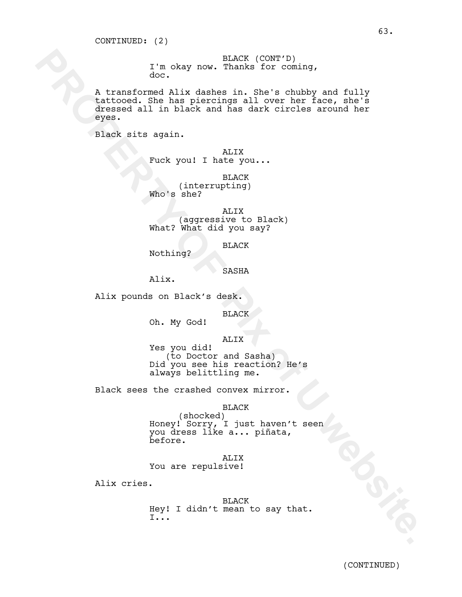BLACK (CONT'D) I'm okay now. Thanks for coming, doc.

I'm okay new. Thanks in. See is chubby and the various of the calculation of the base piercing all over her face, she's chubby and fully take based all in black cad has dark curreles around ber piec.<br>
Facebook Site has pie A transformed Alix dashes in. She's chubby and fully tattooed. She has piercings all over her face, she's dressed all in black and has dark circles around her eyes.

Black sits again.

ALIX Fuck you! I hate you...

BLACK (interrupting) Who's she?

ALIX (aggressive to Black) What? What did you say?

BLACK

Nothing?

SASHA

Alix.

Alix pounds on Black's desk.

BLACK

Oh. My God!

ALIX

Yes you did! (to Doctor and Sasha) Did you see his reaction? He's always belittling me.

Black sees the crashed convex mirror.

BLACK

(shocked) Honey! Sorry, I just haven't seen you dress like a... piñata, before.

ALIX You are repulsive!

Alix cries.

BLACK Hey! I didn't mean to say that. I...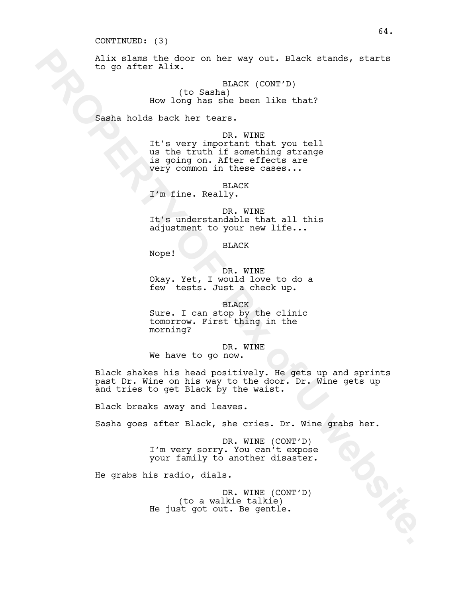#### CONTINUED: (3)

Alix slams the door on her way out. Black stands, starts to go after Alix.

> BLACK (CONT'D) (to Sasha) How long has she been like that?

Sasha holds back her tears.

#### DR. WINE

It's very important that you tell us the truth if something strange is going on. After effects are very common in these cases...

BLACK

I'm fine. Really.

DR. WINE It's understandable that all this adjustment to your new life...

BLACK

Nope!

DR. WINE Okay. Yet, I would love to do a few tests. Just a check up.

BLACK Sure. I can stop by the clinic tomorrow. First thing in the morning?

DR. WINE We have to go now.

Alix slame the door on her way out. Black stande, starts<br>to go after Alix.<br>(10 Sambale been like that?)<br> $\frac{100 \text{ MeV}}{100 \text{ MeV}}$  in Ref. (CONT'P)<br>100 How long has she been like that?<br> $\frac{100 \text{ MeV}}{100 \text{ MeV}}$  in the star.<br>Black shakes his head positively. He gets up and sprints past Dr. Wine on his way to the door. Dr. Wine gets up and tries to get Black by the waist.

Black breaks away and leaves.

Sasha goes after Black, she cries. Dr. Wine grabs her.

DR. WINE (CONT'D) I'm very sorry. You can't expose your family to another disaster.

He grabs his radio, dials.

DR. WINE (CONT'D) (to a walkie talkie) He just got out. Be gentle.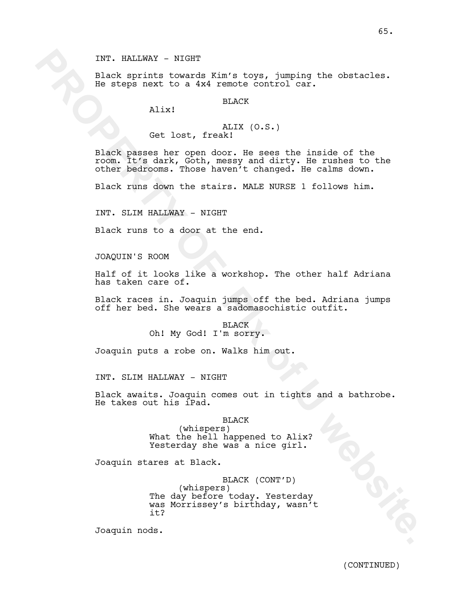### INT. HALLWAY - NIGHT

Black sprints towards Kim's toys, jumping the obstacles. He steps next to a 4x4 remote control car.

BLACK

Alix!

### ALIX (O.S.) Get lost, freak!

INT. NALEXANY - STGHT<br>
slack sprints towards Xim's tope, jumping the obstacles.<br>
the steps next to a ixi renote control car.<br>
NIX<br>
(Set lost, frankl<br>
making a step open door, it sees the inside of the<br>
room, it is differen Black passes her open door. He sees the inside of the room. It's dark, Goth, messy and dirty. He rushes to the other bedrooms. Those haven't changed. He calms down.

Black runs down the stairs. MALE NURSE 1 follows him.

INT. SLIM HALLWAY - NIGHT

Black runs to a door at the end.

JOAQUIN'S ROOM

Half of it looks like a workshop. The other half Adriana has taken care of.

Black races in. Joaquin jumps off the bed. Adriana jumps off her bed. She wears a sadomasochistic outfit.

> **BLACK** Oh! My God! I'm sorry.

Joaquin puts a robe on. Walks him out.

INT. SLIM HALLWAY - NIGHT

Black awaits. Joaquin comes out in tights and a bathrobe. He takes out his iPad.

BLACK

(whispers) What the hell happened to Alix? Yesterday she was a nice girl.

Joaquin stares at Black.

BLACK (CONT'D) (whispers) The day before today. Yesterday was Morrissey's birthday, wasn't it?

Joaquin nods.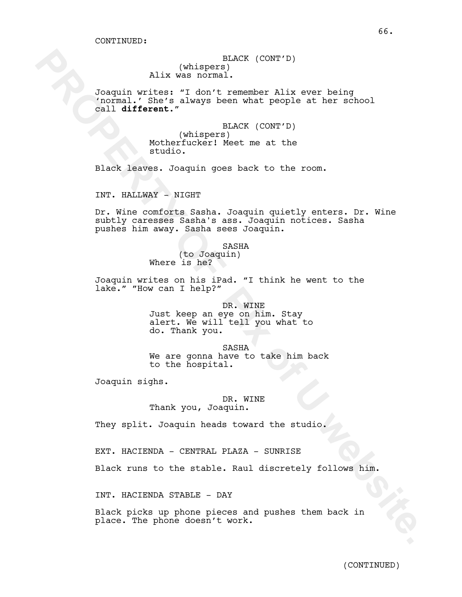BLACK (CONT'D) (whispers) Alix was normal.

Joaquin writes: "I don't remember Alix ever being 'normal.' She's always been what people at her school call **different**."

> BLACK (CONT'D) (whispers) Motherfucker! Meet me at the studio.

Black leaves. Joaquin goes back to the room.

INT. HALLWAY - NIGHT

 **PROPERTY OF PIx of U website.** Dr. Wine comforts Sasha. Joaquin quietly enters. Dr. Wine subtly caresses Sasha's ass. Joaquin notices. Sasha pushes him away. Sasha sees Joaquin.

SASHA

(to Joaquin) Where is he?

do. Thank you.

Joaquin writes on his iPad. "I think he went to the lake." "How can I help?"

> DR. WINE Just keep an eye on him. Stay alert. We will tell you what to

SASHA We are gonna have to take him back to the hospital.

Joaquin sighs.

DR. WINE Thank you, Joaquin.

They split. Joaquin heads toward the studio.

EXT. HACIENDA - CENTRAL PLAZA - SUNRISE

Black runs to the stable. Raul discretely follows him.

INT. HACIENDA STABLE - DAY

Black picks up phone pieces and pushes them back in place. The phone doesn't work.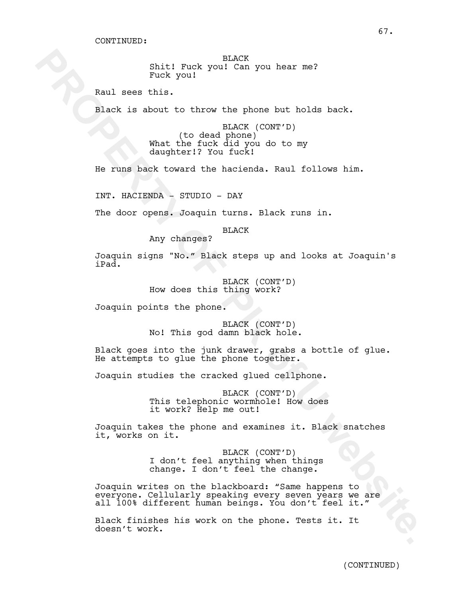BLACK Shit! Fuck you! Can you hear me? Fuck you!

Raul sees this.

Black is about to throw the phone but holds back.

BLACK (CONT'D) (to dead phone) What the fuck did you do to my daughter!? You fuck!

He runs back toward the hacienda. Raul follows him.

INT. HACIENDA - STUDIO - DAY

The door opens. Joaquin turns. Black runs in.

#### BLACK

Any changes?

Joaquin signs "No." Black steps up and looks at Joaquin's iPad.

> BLACK (CONT'D) How does this thing work?

Joaquin points the phone.

BLACK (CONT'D) No! This god damn black hole.

Black goes into the junk drawer, grabs a bottle of glue. He attempts to glue the phone together.

Joaquin studies the cracked glued cellphone.

BLACK (CONT'D) This telephonic wormhole! How does it work? Help me out!

Joaquin takes the phone and examines it. Black snatches it, works on it.

> BLACK (CONT'D) I don't feel anything when things change. I don't feel the change.

**PROPERTY INTERVALUATION CONTACT CONTINUES AND ASSESS (CONTIF)**<br> **PROPERTY OF A SET AND ASSESS (CONTIF)**<br> **PROPERTY OF A SET AND ASSESS (CONTIF)**<br> **PROPERTY OF PROPERTY OF A SET AND ASSESS (CONTIF)**<br> **PROPERTY OF THE CONTI** Joaquin writes on the blackboard: "Same happens to everyone. Cellularly speaking every seven years we are all 100% different human beings. You don't feel it."

Black finishes his work on the phone. Tests it. It doesn't work.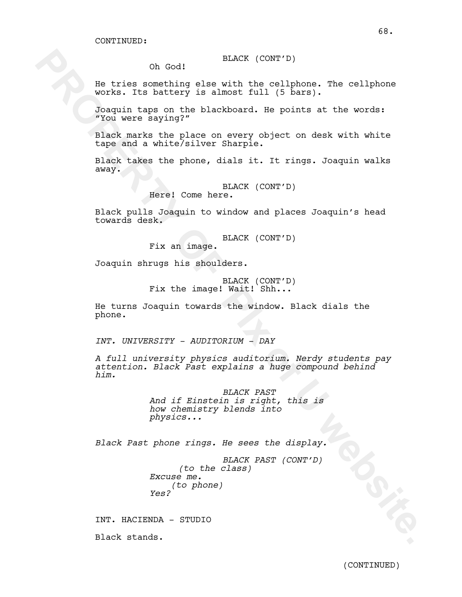BLACK (CONT'D)

Oh God!

He tries something else with the cellphone. The cellphone works. Its battery is almost full (5 bars).

Joaquin taps on the blackboard. He points at the words: "You were saying?"

Black marks the place on every object on desk with white tape and a white/silver Sharpie.

Black takes the phone, dials it. It rings. Joaquin walks away.

BLACK (CONT'D)

Here! Come here.

Black pulls Joaquin to window and places Joaquin's head towards desk.

BLACK (CONT'D)

Fix an image.

Joaquin shrugs his shoulders.

BLACK (CONT'D) Fix the image! Wait! Shh...

He turns Joaquin towards the window. Black dials the phone.

*INT. UNIVERSITY - AUDITORIUM - DAY*

On God!<br> **Extra something the with the collphone.** The collphone<br>
visit interactive in State full (2 herm).<br>
Inspires any independent in the blackboard. Reproduce a the blackboard interactive full<br>
problem as the place on *A full university physics auditorium. Nerdy students pay attention. Black Past explains a huge compound behind him.*

*BLACK PAST And if Einstein is right, this is how chemistry blends into physics...*

*Black Past phone rings. He sees the display.*

*BLACK PAST (CONT'D) (to the class) Excuse me. (to phone) Yes?*

INT. HACIENDA - STUDIO

Black stands.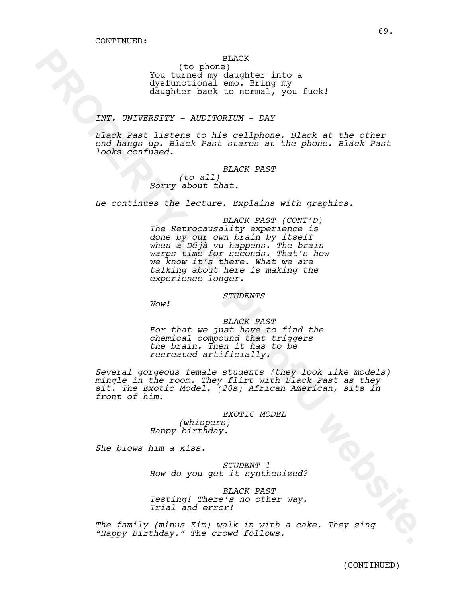### BLACK

(to phone) You turned my daughter into a dysfunctional emo. Bring my daughter back to normal, you fuck!

### *INT. UNIVERSITY - AUDITORIUM - DAY*

*Black Past listens to his cellphone. Black at the other end hangs up. Black Past stares at the phone. Black Past looks confused.*

*BLACK PAST*

*(to all) Sorry about that.*

*He continues the lecture. Explains with graphics.*

(to phone)<br>
You turned wy design<br>that into a System track and the subsite of the state of the state<br>
dynamics into normal, you ture!<br>
The state of the colliphone, Black at the other<br>
the state of the colliphone, Black at t *BLACK PAST (CONT'D) The Retrocausality experience is done by our own brain by itself when a Déjà vu happens. The brain warps time for seconds. That's how we know it's there. What we are talking about here is making the experience longer.* 

*STUDENTS*

*Wow!*

# *BLACK PAST For that we just have to find the chemical compound that triggers the brain. Then it has to be recreated artificially.*

*Several gorgeous female students (they look like models) mingle in the room. They flirt with Black Past as they sit. The Exotic Model, (20s) African American*, *sits in front of him.*

#### *EXOTIC MODEL*

*(whispers) Happy birthday.*

*She blows him a kiss.*

*STUDENT 1 How do you get it synthesized?*

*BLACK PAST Testing! There's no other way. Trial and error!*

*The family (minus Kim) walk in with a cake*. *They sing "Happy Birthday." The crowd follows.*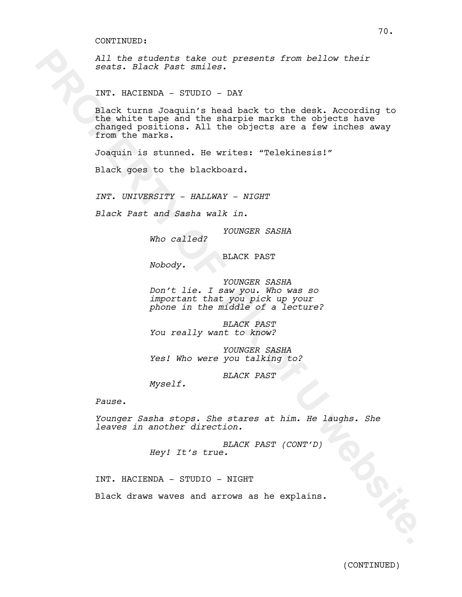*All the students take out presents from bellow their seats. Black Past smiles.*

INT. HACIENDA - STUDIO - DAY

All the student take out presents from believ their<br>sects. Since New Order of Pack to the dent of the students<br>Thr. RACTERDA, STUDIO - DAY<br>The band the head besite to the dent A Admonding to<br>the maximum computer and the ba Black turns Joaquin's head back to the desk. According to the white tape and the sharpie marks the objects have changed positions. All the objects are a few inches away from the marks.

Joaquin is stunned. He writes: "Telekinesis!"

Black goes to the blackboard.

*INT. UNIVERSITY - HALLWAY - NIGHT*

*Black Past and Sasha walk in.*

*YOUNGER SASHA*

*Who called?* 

BLACK PAST

*Nobody.*

*YOUNGER SASHA Don't lie. I saw you. Who was so important that you pick up your phone in the middle of a lecture?*

*BLACK PAST You really want to know?*

*YOUNGER SASHA Yes! Who were you talking to?*

*BLACK PAST*

*Myself.*

*Pause.*

*Younger Sasha stops. She stares at him. He laughs. She leaves in another direction.*

> *BLACK PAST (CONT'D) Hey! It's true.*

INT. HACIENDA - STUDIO - NIGHT

Black draws waves and arrows as he explains.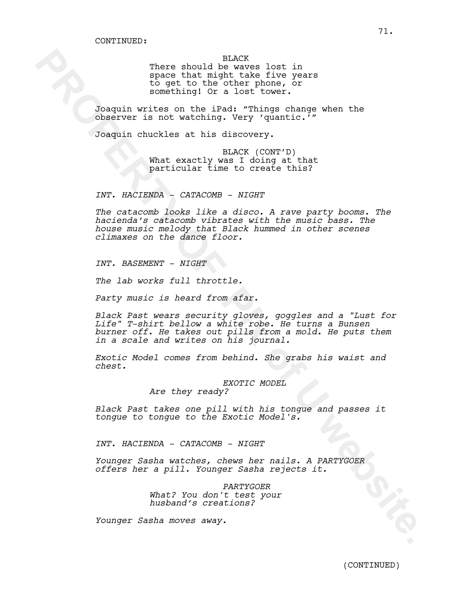BLACK

There should be waves lost in space that might take five years to get to the other phone, or something! Or a lost tower.

Joaquin writes on the iPad: "Things change when the observer is not watching. Very 'quantic.'"

Joaquin chuckles at his discovery.

BLACK (CONT'D) What exactly was I doing at that particular time to create this?

*INT. HACIENDA - CATACOMB - NIGHT*

*The catacomb looks like a disco. A rave party booms. The hacienda's catacomb vibrates with the music bass. The house music melody that Black hummed in other scenes climaxes on the dance floor.* 

*INT. BASEMENT - NIGHT*

*The lab works full throttle.*

*Party music is heard from afar.*

There should be where like further interests<br>operation that within the further application of the specifical to the specifical term<br>of the specifical state of the specifical state of the specifical state of<br>the U state of *Black Past wears security gloves, goggles and a "Lust for Life" T-shirt bellow a white robe. He turns a Bunsen burner off. He takes out pills from a mold. He puts them in a scale and writes on his journal.*

*Exotic Model comes from behind. She grabs his waist and chest.*

> *EXOTIC MODEL Are they ready?*

*Black Past takes one pill with his tongue and passes it tongue to tongue to the Exotic Model's.*

*INT. HACIENDA - CATACOMB - NIGHT*

*Younger Sasha watches, chews her nails. A PARTYGOER offers her a pill. Younger Sasha rejects it.*

> *PARTYGOER What? You don't test your husband's creations?*

*Younger Sasha moves away.*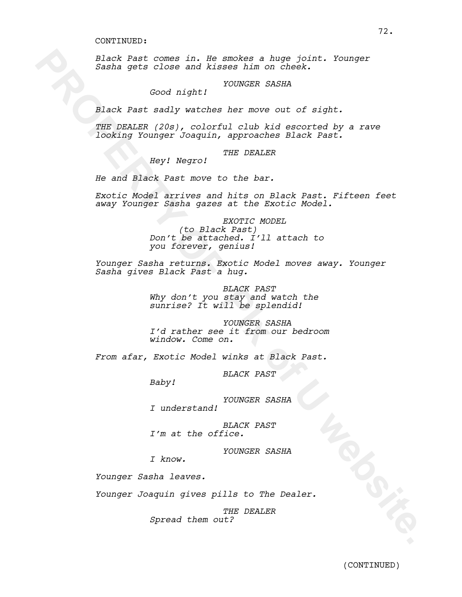*Black Past comes in. He smokes a huge joint. Younger Sasha gets close and kisses him on cheek.*

### *YOUNGER SASHA*

*Good night!* 

*Black Past sadly watches her move out of sight.* 

*THE DEALER (20s), colorful club kid escorted by a rave looking Younger Joaquin, approaches Black Past.* 

## *THE DEALER*

*Hey! Negro!*

*He and Black Past move to the bar.* 

Black Past comes in the smokes a hung joint. Younger<br>
Sasha gets close and kissee him on check.<br>
Good night!<br>
Younger Sasha<br>
Rimit Past andly website in the move out of night.<br>
The palist (2001), colorining margin and the *Exotic Model arrives and hits on Black Past. Fifteen feet away Younger Sasha gazes at the Exotic Model.*

# *EXOTIC MODEL*

*(to Black Past) Don't be attached. I'll attach to you forever, genius!*

*Younger Sasha returns. Exotic Model moves away. Younger Sasha gives Black Past a hug.*

> *BLACK PAST Why don't you stay and watch the sunrise? It will be splendid!*

*YOUNGER SASHA I'd rather see it from our bedroom window. Come on.*

*From afar, Exotic Model winks at Black Past.* 

*BLACK PAST*

*Baby!*

*YOUNGER SASHA*

*I understand!*

*BLACK PAST I'm at the office.*

*YOUNGER SASHA*

*I know.*

*Younger Sasha leaves.* 

*Younger Joaquin gives pills to The Dealer.*

*THE DEALER Spread them out?*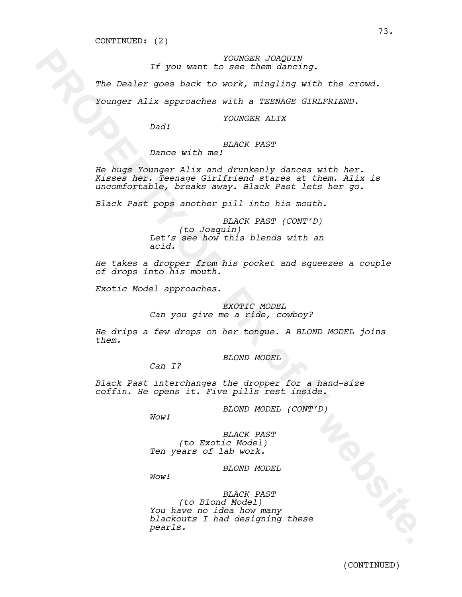# *YOUNGER JOAQUIN If you want to see them dancing.*

*The Dealer goes back to work, mingling with the crowd.* 

*Younger Alix approaches with a TEENAGE GIRLFRIEND.*

*YOUNGER ALIX*

*Dad!*

# *BLACK PAST*

*Dance with me!*

If you want to see them dangly<br>
The Dealer goes back to work, mingling with the crowd.<br>
Younger Alix approaches with a TEENAGE SIRUFRIEND.<br>
Dad! POWERR ALIX<br>
Dance with me PLACK VAST<br>
He hugger compare  $N(1)$  and dependent *He hugs Younger Alix and drunkenly dances with her. Kisses her. Teenage Girlfriend stares at them. Alix is uncomfortable, breaks away. Black Past lets her go.*

*Black Past pops another pill into his mouth.* 

*BLACK PAST (CONT'D) (to Joaquin) Let's see how this blends with an acid.*

*He takes a dropper from his pocket and squeezes a couple of drops into his mouth.* 

*Exotic Model approaches.*

# *EXOTIC MODEL*

*Can you give me a ride, cowboy?*

*He drips a few drops on her tongue. A BLOND MODEL joins them.* 

*BLOND MODEL*

*Can I?*

*Black Past interchanges the dropper for a hand-size coffin. He opens it. Five pills rest inside.* 

*BLOND MODEL (CONT'D)*

*Wow!*

*BLACK PAST (to Exotic Model) Ten years of lab work.*

*BLOND MODEL*

*Wow!*

*BLACK PAST (to Blond Model) You have no idea how many blackouts I had designing these pearls.*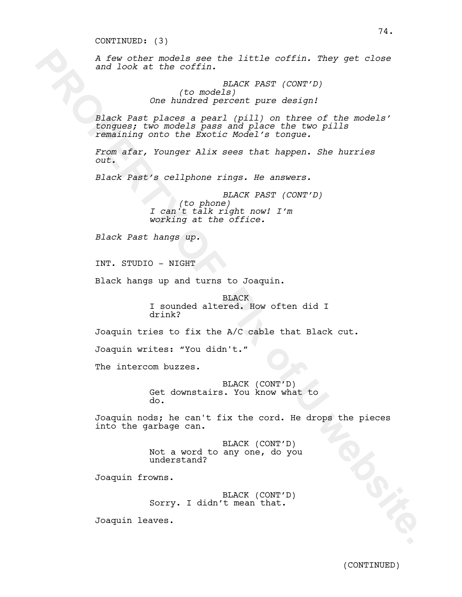## CONTINUED: (3)

*A few other models see the little coffin. They get close and look at the coffin.*

> *BLACK PAST (CONT'D) (to models) One hundred percent pure design!*

A few other models see the little coffin. They get close<br>and look at the coffin. (20 models of the coffin)<br>(20 models pass and places expansion of the models'<br>complete; two models can be code the models'<br>complete pass and *Black Past places a pearl (pill) on three of the models' tongues; two models pass and place the two pills remaining onto the Exotic Model's tongue.*

*From afar, Younger Alix sees that happen. She hurries out.* 

*Black Past's cellphone rings. He answers.*

*BLACK PAST (CONT'D) (to phone) I can't talk right now! I'm working at the office.* 

*Black Past hangs up.*

INT. STUDIO - NIGHT

Black hangs up and turns to Joaquin.

BLACK I sounded altered. How often did I drink?

Joaquin tries to fix the A/C cable that Black cut.

Joaquin writes: "You didn't."

The intercom buzzes.

BLACK (CONT'D) Get downstairs. You know what to do.

Joaquin nods; he can't fix the cord. He drops the pieces into the garbage can.

> BLACK (CONT'D) Not a word to any one, do you understand?

Joaquin frowns.

BLACK (CONT'D) Sorry. I didn't mean that.

Joaquin leaves.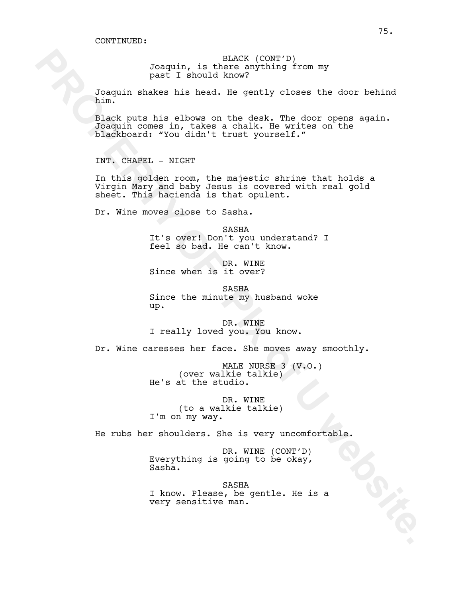BLACK (CONT'D) Joaquin, is there anything from my past I should know?

Joaquin shakes his head. He gently closes the door behind him.

**Passion** is the control when the state of the state of the state of the state of the state of the state of the state of the state of the state of the state of the state of the state of the state of the state of the state Black puts his elbows on the desk. The door opens again. Joaquin comes in, takes a chalk. He writes on the blackboard: "You didn't trust yourself."

INT. CHAPEL - NIGHT

In this golden room, the majestic shrine that holds a Virgin Mary and baby Jesus is covered with real gold sheet. This hacienda is that opulent.

Dr. Wine moves close to Sasha.

SASHA It's over! Don't you understand? I feel so bad. He can't know.

DR. WINE Since when is it over?

SASHA Since the minute my husband woke up.

DR. WINE I really loved you. You know.

Dr. Wine caresses her face. She moves away smoothly.

MALE NURSE 3 (V.O.) (over walkie talkie) He's at the studio.

DR. WINE (to a walkie talkie) I'm on my way.

He rubs her shoulders. She is very uncomfortable.

DR. WINE (CONT'D) Everything is going to be okay,<br>Sasha.

SASHA I know. Please, be gentle. He is a very sensitive man.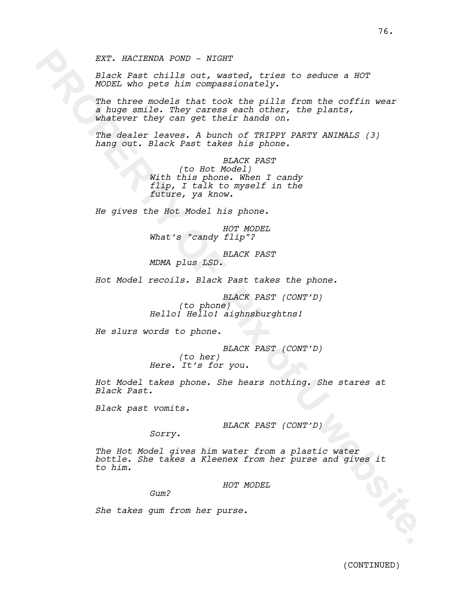*Black Past chills out, wasted, tries to seduce a HOT MODEL who pets him compassionately.*

EXT. NACISSON POND - XIGHT<br>
ROOF Fact chills out yearsed, tries to seduce a HOT<br>
ROOF Fact the context took the pails from the confining<br>
The where models that took the pails from the confining<br>
where models that the hold *The three models that took the pills from the coffin wear a huge smile. They caress each other, the plants, whatever they can get their hands on.* 

*The dealer leaves. A bunch of TRIPPY PARTY ANIMALS (3) hang out. Black Past takes his phone.*

> *BLACK PAST (to Hot Model) With this phone. When I candy flip, I talk to myself in the future, ya know.*

*He gives the Hot Model his phone.*

*HOT MODEL What's "candy flip"?*

*BLACK PAST MDMA plus LSD.*

*Hot Model recoils. Black Past takes the phone.*

*BLACK PAST (CONT'D) (to phone) Hello! Hello! aighnsburghtns!*

*He slurs words to phone.*

*BLACK PAST (CONT'D) (to her) Here. It's for you.*

*Hot Model takes phone. She hears nothing. She stares at Black Past.*

*Black past vomits.*

*BLACK PAST (CONT'D)*

*Sorry.*

*The Hot Model gives him water from a plastic water bottle. She takes a Kleenex from her purse and gives it to him.*

### *HOT MODEL*

*Gum?*

*She takes gum from her purse.*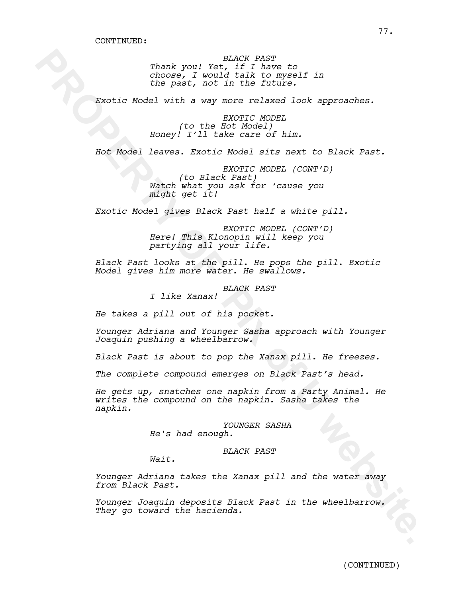*BLACK PAST Thank you! Yet, if I have to choose, I would talk to myself in the past, not in the future.*

*Exotic Model with a way more relaxed look approaches.*

*EXOTIC MODEL (to the Hot Model) Honey! I'll take care of him.*

*Hot Model leaves. Exotic Model sits next to Black Past.*

*EXOTIC MODEL (CONT'D) (to Black Past) Watch what you ask for 'cause you might get it!*

*Exotic Model gives Black Past half a white pill.* 

*EXOTIC MODEL (CONT'D) Here! This Klonopin will keep you partying all your life.*

*Black Past looks at the pill. He pops the pill. Exotic Model gives him more water. He swallows.*

*BLACK PAST*

*I like Xanax!*

*He takes a pill out of his pocket.* 

*Younger Adriana and Younger Sasha approach with Younger Joaquin pushing a wheelbarrow.*

*Black Past is about to pop the Xanax pill. He freezes.*

*The complete compound emerges on Black Past's head.* 

**PRONE TANCE PART AND SECURE TANK FOR TANK CONDUCTS.**<br>
The past, not in the fitter.<br> **ENOTIC ROGES** with a way move relaxed look approaches.<br> **ENOTIC ROGES** with a way move relaxed look approaches.<br> **Honey!** Till take care *He gets up, snatches one napkin from a Party Animal. He writes the compound on the napkin. Sasha takes the napkin.*

*YOUNGER SASHA He's had enough.*

*BLACK PAST*

*Wait.*

*Younger Adriana takes the Xanax pill and the water away from Black Past.*

*Younger Joaquin deposits Black Past in the wheelbarrow. They go toward the hacienda.*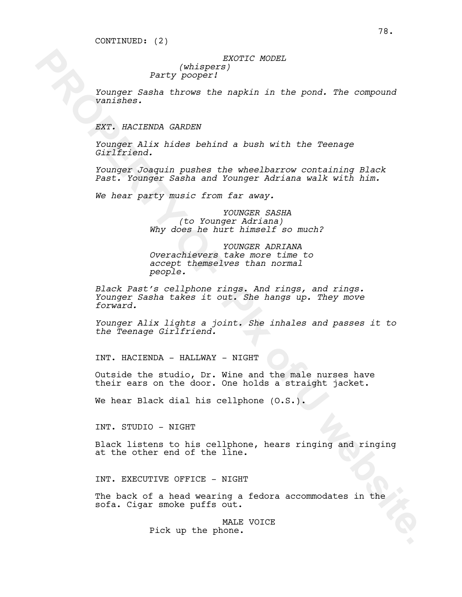## *EXOTIC MODEL (whispers) Party pooper!*

*Younger Sasha throws the napkin in the pond. The compound vanishes.*

*EXT. HACIENDA GARDEN*

*Younger Alix hides behind a bush with the Teenage Girlfriend.*

*Younger Joaquin pushes the wheelbarrow containing Black Past. Younger Sasha and Younger Adriana walk with him.*

*We hear party music from far away.* 

*YOUNGER SASHA (to Younger Adriana) Why does he hurt himself so much?*

*YOUNGER ADRIANA Overachievers take more time to accept themselves than normal people.* 

**PROPERTY ACCESS**<br> **PROPERTY (whispers)**<br> **PROPERTY (MODERTY)**<br> **PROPERTY ANOTESTS**<br> **CONSERT ALCONSING CARDENT**<br> **EXT. AACCESSER CARDENT**<br> **EXT. AACCESSER CARDENT**<br> **PROPERTY TOWERT OF THE ART AND MOTHEM WORKING FOR THE A** *Black Past's cellphone rings. And rings, and rings. Younger Sasha takes it out. She hangs up. They move forward.*

*Younger Alix lights a joint. She inhales and passes it to the Teenage Girlfriend.*

INT. HACIENDA - HALLWAY - NIGHT

Outside the studio, Dr. Wine and the male nurses have their ears on the door. One holds a straight jacket.

We hear Black dial his cellphone (O.S.).

INT. STUDIO - NIGHT

Black listens to his cellphone, hears ringing and ringing at the other end of the line.

INT. EXECUTIVE OFFICE - NIGHT

The back of a head wearing a fedora accommodates in the sofa. Cigar smoke puffs out.

> MALE VOICE Pick up the phone.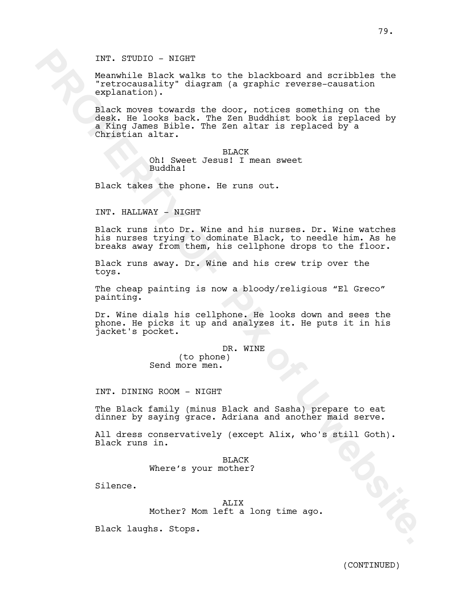INT. STUDIO - NIGHT

Meanwhile Black walks to the blackboard and scribbles the "retrocausality" diagram (a graphic reverse-causation explanation).

INT. STUDIO - NIGHT<br>
Nearthile Blackboard and scribbles the<br>
Prefrocausality' diagram (a graphic reverse-causation<br>
reproduces the results of the door, notices nomething on the<br>
deal moves tower tower of the door, notices Black moves towards the door, notices something on the desk. He looks back. The Zen Buddhist book is replaced by a King James Bible. The Zen altar is replaced by a Christian altar.

BLACK Oh! Sweet Jesus! I mean sweet Buddha!

Black takes the phone. He runs out.

INT. HALLWAY - NIGHT

Black runs into Dr. Wine and his nurses. Dr. Wine watches his nurses trying to dominate Black, to needle him. As he breaks away from them, his cellphone drops to the floor.

Black runs away. Dr. Wine and his crew trip over the toys.

The cheap painting is now a bloody/religious "El Greco" painting.

Dr. Wine dials his cellphone. He looks down and sees the phone. He picks it up and analyzes it. He puts it in his jacket's pocket.

> DR. WINE (to phone) Send more men.

INT. DINING ROOM - NIGHT

The Black family (minus Black and Sasha) prepare to eat dinner by saying grace. Adriana and another maid serve.

All dress conservatively (except Alix, who's still Goth). Black runs in.

> BLACK Where's your mother?

Silence.

ALIX Mother? Mom left a long time ago.

Black laughs. Stops.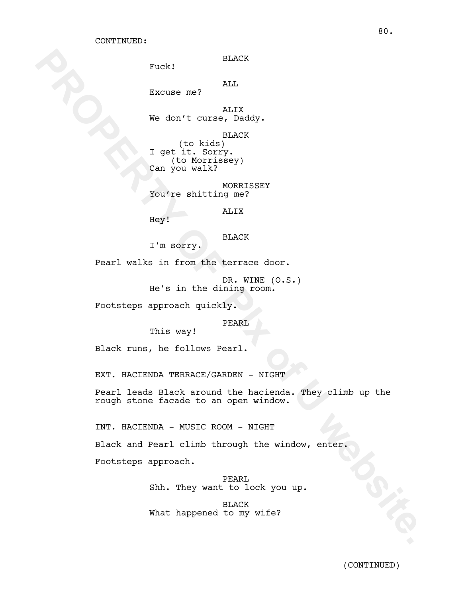Fuck!

ALL

Excuse me?

ALIX We don't curse, Daddy.

BLACK (to kids) I get it. Sorry. (to Morrissey) Can you walk?

MORRISSEY You're shitting me?

ALIX

Hey!

BLACK

I'm sorry.

Pearl walks in from the terrace door.

DR. WINE (O.S.) He's in the dining room.

Footsteps approach quickly.

PEARL

Black runs, he follows Pearl.

This way!

EXT. HACIENDA TERRACE/GARDEN - NIGHT

Puck!<br> **Excuse me?**<br> **Excuse me?**<br> **Redon't cure, baddy.**<br> **Redon't cure, baddy.**<br> **PROPERTY OF PIX OF PIX OF PIX OF PIX OF PIX OF PIX OF PIX OF PIX OF PIX OF PIX OF PIX OF PIX OF PIX OF PIX OF PIX OF PIX OF PIX OF PIX OF** Pearl leads Black around the hacienda. They climb up the rough stone facade to an open window.

INT. HACIENDA - MUSIC ROOM - NIGHT

Black and Pearl climb through the window, enter.

Footsteps approach.

PEARL Shh. They want to lock you up.

BLACK What happened to my wife?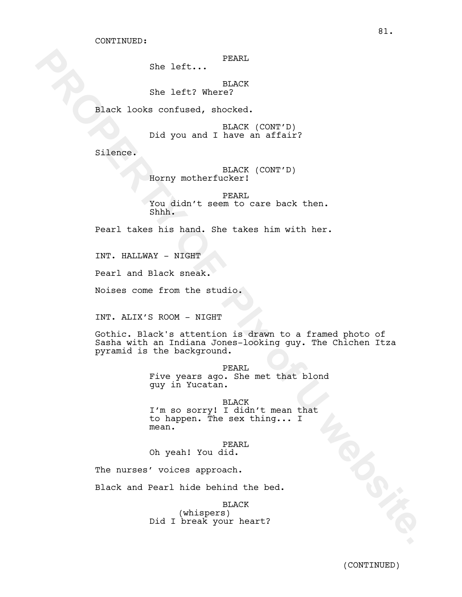PEARL

She left...

BLACK She left? Where?

Black looks confused, shocked.

BLACK (CONT'D) Did you and I have an affair?

Silence.

BLACK (CONT'D) Horny motherfucker!

PEARL You didn't seem to care back then. Shhh.

Pearl takes his hand. She takes him with her.

INT. HALLWAY - NIGHT

Pearl and Black sneak.

Noises come from the studio.

INT. ALIX'S ROOM - NIGHT

Sha left: PRANE<br>
Sha left: Website<br>
Rock looks confunna, shocked.<br>
Did you and I have an arisit?<br>
Silence.<br>
Lory pothericker: (CONT'D)<br>
PRACK (CONT'D)<br>
NACK (CONT'D)<br>
Share an arisit?<br>
Silence.<br>
Lory pothericker:<br>
You didn Gothic. Black's attention is drawn to a framed photo of Sasha with an Indiana Jones-looking guy. The Chichen Itza pyramid is the background.

PEARL Five years ago. She met that blond guy in Yucatan.

BLACK I'm so sorry! I didn't mean that to happen. The sex thing... I mean.

PEARL Oh yeah! You did.

The nurses' voices approach.

Black and Pearl hide behind the bed.

BLACK

(whispers) Did I break your heart?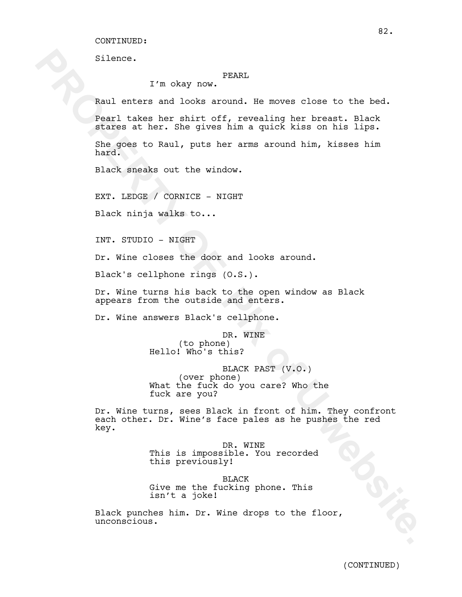CONTINUED:

Silence.

## PEARL

I'm okay now.

Raul enters and looks around. He moves close to the bed.

Pearl takes her shirt off, revealing her breast. Black stares at her. She gives him a quick kiss on his lips.

She goes to Raul, puts her arms around him, kisses him hard.

Black sneaks out the window.

EXT. LEDGE / CORNICE - NIGHT

Black ninja walks to...

INT. STUDIO - NIGHT

Dr. Wine closes the door and looks around.

Black's cellphone rings (O.S.).

Dr. Wine turns his back to the open window as Black appears from the outside and enters.

Dr. Wine answers Black's cellphone.

DR. WINE (to phone) Hello! Who's this?

BLACK PAST (V.O.) (over phone) What the fuck do you care? Who the fuck are you?

I'm okay now PRARI<br> **Raul entres and looks around.** He noves close to the bed,<br>
Raul entres and books around. He noves close to the bed,<br> **PROPERTY CONSECT ACTS** and equal with a spin bed,<br>
principal and equal with a spin Dr. Wine turns, sees Black in front of him. They confront each other. Dr. Wine's face pales as he pushes the red key.

DR. WINE This is impossible. You recorded this previously!

BLACK Give me the fucking phone. This isn't a joke!

Black punches him. Dr. Wine drops to the floor, unconscious.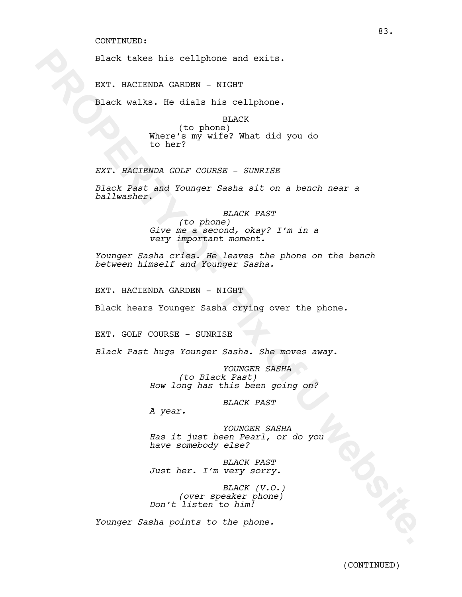#### CONTINUED:

Black takes his cellphone and exits.

EXT. HACIENDA GARDEN - NIGHT

Black walks. He dials his cellphone.

BLACK (to phone) Where's my wife? What did you do to her?

*EXT. HACIENDA GOLF COURSE - SUNRISE*

*Black Past and Younger Sasha sit on a bench near a ballwasher.*

Black takes his cellphone and exits.<br>
EXT. HACIENDA GARDEN - NIGHT<br>
Black walks. He dials his cellphone.<br>
the mean of Disc Pix of the Martin digree of Disc of the mean of the mean of the mean of the mean of the mean of the *BLACK PAST (to phone) Give me a second, okay? I'm in a very important moment.*

*Younger Sasha cries. He leaves the phone on the bench between himself and Younger Sasha.*

EXT. HACIENDA GARDEN - NIGHT

Black hears Younger Sasha crying over the phone.

EXT. GOLF COURSE - SUNRISE

*Black Past hugs Younger Sasha. She moves away.*

*YOUNGER SASHA (to Black Past) How long has this been going on?*

*BLACK PAST*

*A year.*

*YOUNGER SASHA Has it just been Pearl, or do you have somebody else?* 

*BLACK PAST Just her. I'm very sorry.*

*BLACK (V.O.) (over speaker phone) Don't listen to him!*

*Younger Sasha points to the phone.*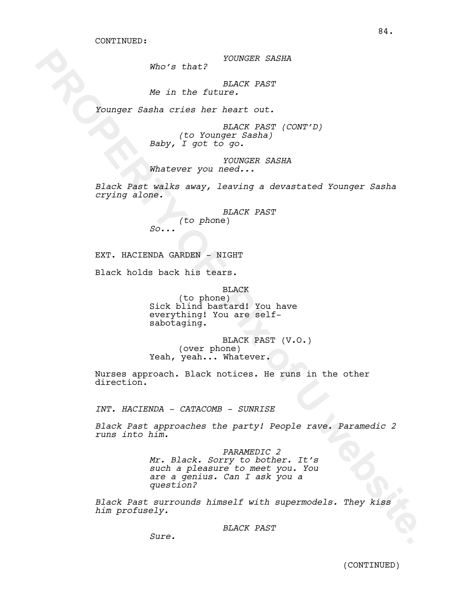*YOUNGER SASHA*

*Who's that?*

*BLACK PAST Me in the future.*

*Younger Sasha cries her heart out.*

*BLACK PAST (CONT'D) (to Younger Sasha) Baby, I got to go.*

*YOUNGER SASHA Whatever you need...*

*Black Past walks away, leaving a devastated Younger Sasha crying alone.*

> *BLACK PAST (to pho*ne) *So...*

EXT. HACIENDA GARDEN - NIGHT

Black holds back his tears.

BLACK

(to phone) Sick blind bastard! You have everything! You are selfsabotaging.

BLACK PAST (V.O.) (over phone) Yeah, yeah... Whatever.

Nurses approach. Black notices. He runs in the other direction.

*INT. HACIENDA - CATACOMB - SUNRISE*

*Black Past approaches the party! People rave. Paramedic 2 runs into him.*

Who's that? YOUNGER SASHA<br>
We in the followed PAST<br>
Younger Seshe of the heart cut.<br>
Younger Seshe of the heart cut.<br>
Saby, (10 Younger Seshes)<br>
Saby, 1 got to go.<br>
Younger Seshes<br>
PROPERTY (CONY'D)<br>
Saby in the same of th *PARAMEDIC 2 Mr. Black. Sorry to bother. It's such a pleasure to meet you. You are a genius. Can I ask you a question?*

*Black Past surrounds himself with supermodels. They kiss him profusely.*

*BLACK PAST*

*Sure.*

84.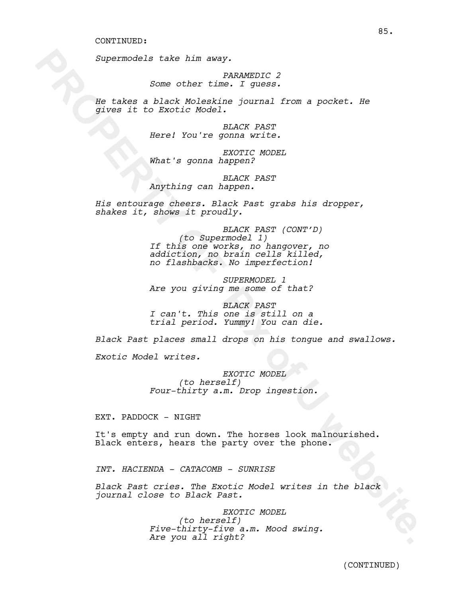*Supermodels take him away.*

*PARAMEDIC 2 Some other time. I guess.*

*He takes a black Moleskine journal from a pocket. He gives it to Exotic Model.*

> *BLACK PAST Here! You're gonna write.*

*EXOTIC MODEL What's gonna happen?*

*BLACK PAST Anything can happen.*

*His entourage cheers. Black Past grabs his dropper, shakes it, shows it proudly.*

Supermodels take him away.<br>
Some other time. I guess.<br> **He take a black Modelshim journal from a pocket. He**<br>
djium it is fixatis Nobelshim journal from a pocket.<br>
Here! You're going exact More!<br>
Nobel is going a happen?<br> *BLACK PAST (CONT'D) (to Supermodel 1) If this one works, no hangover, no addiction, no brain cells killed, no flashbacks. No imperfection!* 

*SUPERMODEL 1 Are you giving me some of that?*

*BLACK PAST I can't. This one is still on a trial period. Yummy! You can die.*

*Black Past places small drops on his tongue and swallows.* 

*Exotic Model writes.*

*EXOTIC MODEL (to herself) Four-thirty a.m. Drop ingestion.*

EXT. PADDOCK - NIGHT

It's empty and run down. The horses look malnourished. Black enters, hears the party over the phone.

*INT. HACIENDA - CATACOMB - SUNRISE*

*Black Past cries. The Exotic Model writes in the black journal close to Black Past.*

> *EXOTIC MODEL (to herself) Five-thirty-five a.m. Mood swing. Are you all right?*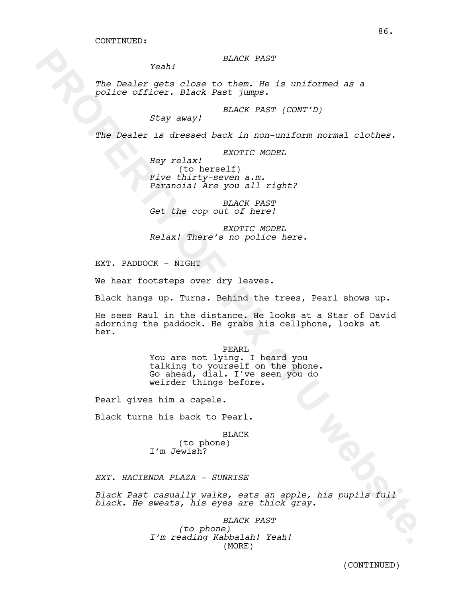*BLACK PAST*

*Yeah!*

*The Dealer gets close to them. He is uniformed as a police officer. Black Past jumps.*

> *BLACK PAST (CONT'D) Stay away!*

*The Dealer is dressed back in non-uniform normal clothes.*

*EXOTIC MODEL*

*Hey relax!*  (to herself)<br>Five thirty-seven a.m. *Five thirty-seven a.m. Paranoia! Are you all right?*

*BLACK PAST Get the cop out of here!*

*EXOTIC MODEL Relax! There's no police here.*

EXT. PADDOCK - NIGHT

We hear footsteps over dry leaves.

Black hangs up. Turns. Behind the trees, Pearl shows up.

**PROPERTY:** Note that the set of the set of the set of the set of the set of the set of the set of the set of the set of the set of the set of the set of the set of the set of the set of the set of the set of the set of th He sees Raul in the distance. He looks at a Star of David adorning the paddock. He grabs his cellphone, looks at her.

PEARL You are not lying. I heard you talking to yourself on the phone.<br>Go ahead, dial. I've seen you do weirder things before.

Pearl gives him a capele.

Black turns his back to Pearl.

BLACK (to phone) I'm Jewish?

*EXT. HACIENDA PLAZA - SUNRISE*

*Black Past casually walks, eats an apple, his pupils full black. He sweats, his eyes are thick gray.*

> *BLACK PAST (to phone) I'm reading Kabbalah! Yeah!*  (MORE)

(CONTINUED)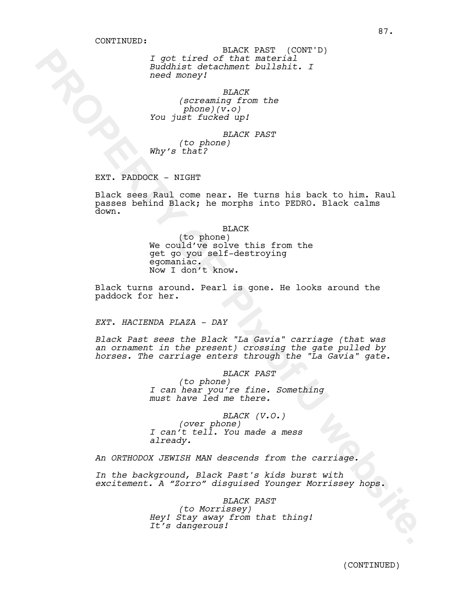*I got tired of that material Buddhist detachment bullshit. I need money!* BLACK PAST (CONT'D)

*BLACK (screaming from the phone)(v.o) You just fucked up!*

*BLACK PAST (to phone) Why's that?* 

EXT. PADDOCK - NIGHT

*Toot Limed Minker Website* (CONFT)<br> **Buddhist decorahoon is also to the state of the state of the state of the state of the state of the state of the state of the state of the state of the state of the state of the state** Black sees Raul come near. He turns his back to him. Raul passes behind Black; he morphs into PEDRO. Black calms down.

BLACK

(to phone) We could've solve this from the get go you self-destroying Now I don't know.

Black turns around. Pearl is gone. He looks around the paddock for her.

*EXT. HACIENDA PLAZA - DAY*

*Black Past sees the Black "La Gavia" carriage (that was an ornament in the present) crossing the gate pulled by horses. The carriage enters through the "La Gavia" gate.*

> *BLACK PAST (to phone) I can hear you're fine. Something must have led me there.*

*BLACK (V.O.) (over phone) I can't tell. You made a mess already.*

*An ORTHODOX JEWISH MAN descends from the carriage.*

*In the background, Black Past's kids burst with excitement. A "Zorro" disguised Younger Morrissey hops.* 

> *BLACK PAST (to Morrissey) Hey! Stay away from that thing! It's dangerous!*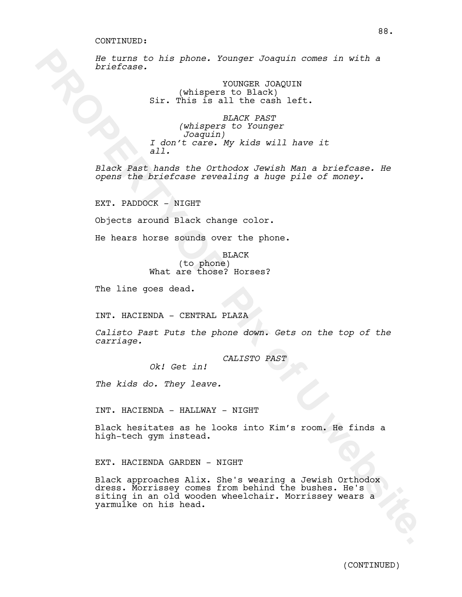#### CONTINUED:

*He turns to his phone. Younger Joaquin comes in with a briefcase.*

> YOUNGER JOAQUIN (whispers to Black) Sir. This is all the cash left.

*BLACK PAST (whispers to Younger Joaquin) I don't care. My kids will have it all.*

*Black Past hands the Orthodox Jewish Man a briefcase. He opens the briefcase revealing a huge pile of money.* 

EXT. PADDOCK - NIGHT

Objects around Black change color.

He hears horse sounds over the phone.

**BLACK** (to phone) What are those? Horses?

The line goes dead.

INT. HACIENDA - CENTRAL PLAZA

*Calisto Past Puts the phone down. Gets on the top of the carriage.*

*CALISTO PAST*

*Ok! Get in!*

*The kids do. They leave.*

INT. HACIENDA - HALLWAY - NIGHT

Black hesitates as he looks into Kim's room. He finds a high-tech gym instead.

EXT. HACIENDA GARDEN - NIGHT

**Excrete the state of the state of the state of the state of the state of the state of the state of the state of the state of the state of the state of the state of the state of the state of the state of the state of the s** Black approaches Alix. She's wearing a Jewish Orthodox dress. Morrissey comes from behind the bushes. He's siting in an old wooden wheelchair. Morrissey wears a yarmulke on his head.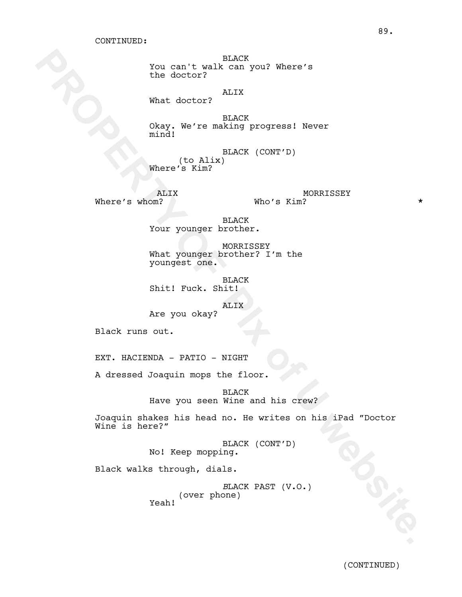BLACK You can't walk can you? Where's the doctor?

# ALIX

What doctor?

BLACK Okay. We're making progress! Never mind!

BLACK (CONT'D) (to Alix) Where's Kim?

ALIX

Where's whom?  $Who's$  Kim? MORRISSEY Who's Kim?

> BLACK Your younger brother.

MORRISSEY What younger brother? I'm the youngest one.

BLACK Shit! Fuck. Shit!

ALIX

Are you okay?

Black runs out.

EXT. HACIENDA - PATIO - NIGHT

A dressed Joaquin mops the floor.

BLACK Have you seen Wine and his crew?

You can't walk congress?<br>
the dector?<br> **Examples of the start of the start of the start of the start of the start of the start of the start of the start of the start of the start of the start of the start of the start of t** Joaquin shakes his head no. He writes on his iPad "Doctor Wine is here?"

BLACK (CONT'D) No! Keep mopping.

Black walks through, dials.

*B*LACK PAST (V.O.) (over phone) Yeah!

89.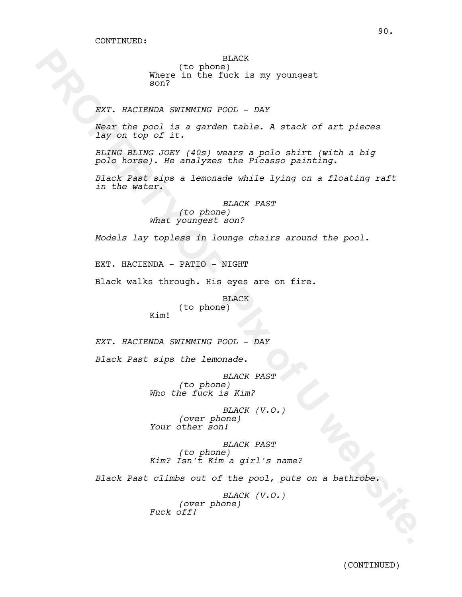# BLACK

(to phone) Where in the fuck is my youngest son?

*EXT. HACIENDA SWIMMING POOL - DAY*

*Near the pool is a garden table. A stack of art pieces lay on top of it.*

*BLING BLING JOEY (40s) wears a polo shirt (with a big polo horse). He analyzes the Picasso painting.*

**PROPERTY IN the fluct is my youngest.**<br> **EXP.** When In the fluct is my youngest.<br> **EXP.** RACTEDEA SURFACE POST. DAY<br>  $\begin{bmatrix}\n\log x & \log x \log x & \log x \log x & \log x \log x & \log x \log x & \log x \log x & \log x \log x & \log x \log x & \log x \log x & \log x \log x & \log x \log x & \log x \log x & \log x \log x & \log x \log x & \$ *Black Past sips a lemonade while lying on a floating raft in the water.*

*BLACK PAST (to phone) What youngest son?*

*Models lay topless in lounge chairs around the pool.*

EXT. HACIENDA - PATIO - NIGHT

Black walks through. His eyes are on fire.

BLACK (to phone)

*EXT. HACIENDA SWIMMING POOL - DAY*

*Black Past sips the lemonade.*

Kim!

*BLACK PAST (to phone) Who the fuck is Kim?*

*BLACK (V.O.) (over phone) Your other son!*

*BLACK PAST (to phone) Kim? Isn't Kim a girl's name?* 

*Black Past climbs out of the pool, puts on a bathrobe.* 

*BLACK (V.O.) (over phone) Fuck off!*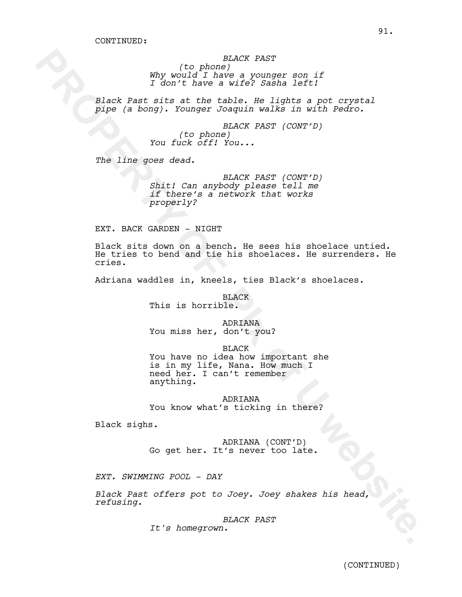*BLACK PAST (to phone) Why would I have a younger son if I don't have a wife? Sasha left!* 

*Black Past sits at the table. He lights a pot crystal pipe (a bong). Younger Joaquin walks in with Pedro.* 

> *BLACK PAST (CONT'D) (to phone) You fuck off! You...*

*The line goes dead.* 

*BLACK PAST (CONT'D) Shit! Can anybody please tell me if there's a network that works properly?*

EXT. BACK GARDEN - NIGHT

Electric phone is the same of the same of the same of the same of the same of the same of the same of the same of the same of the same of the same of the same of the same of the same of the same of the same of the same of Black sits down on a bench. He sees his shoelace untied. He tries to bend and tie his shoelaces. He surrenders. He cries.

Adriana waddles in, kneels, ties Black's shoelaces.

BLACK This is horrible.

# ADRIANA

You miss her, don't you?

BLACK

You have no idea how important she is in my life, Nana. How much I need her. I can't remember anything.

ADRIANA You know what's ticking in there?

Black sighs.

ADRIANA (CONT'D) Go get her. It's never too late.

*EXT. SWIMMING POOL - DAY*

*Black Past offers pot to Joey. Joey shakes his head, refusing.* 

*BLACK PAST*

*It's homegrown.*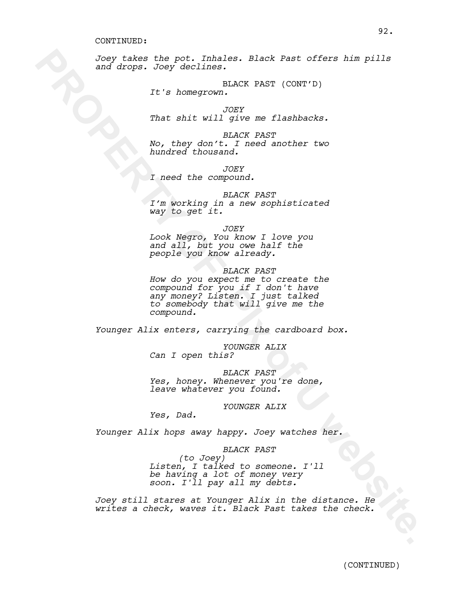#### CONTINUED:

*Joey takes the pot. Inhales. Black Past offers him pills and drops. Joey declines.*

> BLACK PAST (CONT'D) *It's homegrown.*

*JOEY That shit will give me flashbacks.*

*BLACK PAST No, they don't. I need another two hundred thousand.*

*JOEY*

*I need the compound.*

*BLACK PAST*

*I'm working in a new sophisticated way to get it.*

*JOEY*

*Look Negro, You know I love you and all, but you owe half the people you know already.*

*BLACK PAST*

Read the poir. Thales. Black Past offers him pills<br>and drops. Opy dealines. Black Past offers him pills<br>This homogrownlikKK PAST (CORT'D)<br>That shirt will prove me flashbacks.<br>Not they denote a prove method of the strain of *How do you expect me to create the compound for you if I don't have any money? Listen. I just talked to somebody that will give me the compound.*

*Younger Alix enters, carrying the cardboard box.*

*YOUNGER ALIX Can I open this?*

*BLACK PAST Yes, honey. Whenever you're done, leave whatever you found.*

*YOUNGER ALIX*

*Yes, Dad.*

*Younger Alix hops away happy. Joey watches her.*

## *BLACK PAST*

*(to Joey) Listen, I talked to someone. I'll be having a lot of money very soon. I'll pay all my debts.*

*Joey still stares at Younger Alix in the distance. He writes a check, waves it. Black Past takes the check.*

92.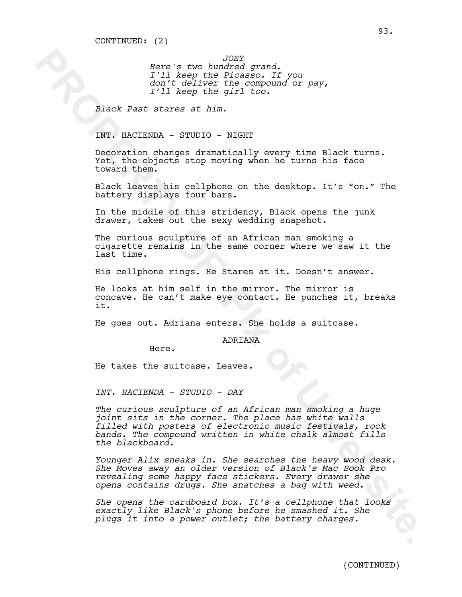*JOEY Here's two hundred grand. I'll keep the Picasso. If you don't deliver the compound or pay, I'll keep the girl too.*

*Black Past stares at him.* 

INT. HACIENDA - STUDIO - NIGHT

Decoration changes dramatically every time Black turns. Yet, the objects stop moving when he turns his face toward them.

Black leaves his cellphone on the desktop. It's "on." The battery displays four bars.

In the middle of this stridency, Black opens the junk drawer, takes out the sexy wedding snapshot.

The curious sculpture of an African man smoking a cigarette remains in the same corner where we saw it the last time.

His cellphone rings. He Stares at it. Doesn't answer.

He looks at him self in the mirror. The mirror is concave. He can't make eye contact. He punches it, breaks it.

He goes out. Adriana enters. She holds a suitcase.

ADRIANA

Here.

He takes the suitcase. Leaves.

*INT. HACIENDA - STUDIO - DAY*

**Bore's two hundred stand.**<br>This way, then the nearest of Your 2017<br> $\frac{1}{2}$  is the Picker of Picker of Your 2017<br> $\frac{1}{2}$  is the state of chinance of U website.<br>Decrease of the state of the state of the state of the st *The curious sculpture of an African man smoking a huge joint sits in the corner. The place has white walls filled with posters of electronic music festivals, rock bands. The compound written in white chalk almost fills the blackboard.* 

*Younger Alix sneaks in. She searches the heavy wood desk. She Moves away an older version of Black's Mac Book Pro revealing some happy face stickers. Every drawer she opens contains drugs. She snatches a bag with weed.*

*She opens the cardboard box. It's a cellphone that looks exactly like Black's phone before he smashed it. She plugs it into a power outlet; the battery charges.*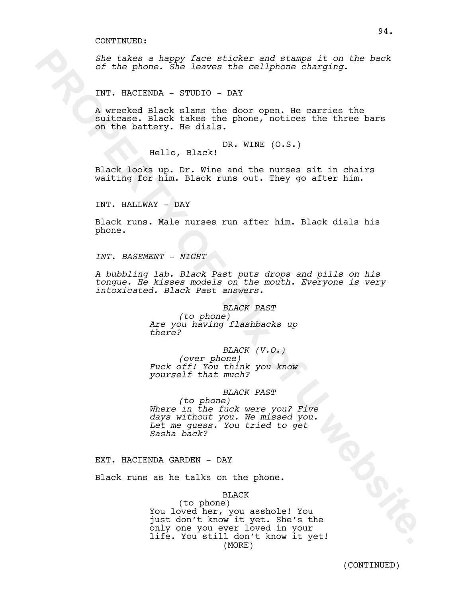*She takes a happy face sticker and stamps it on the back of the phone. She leaves the cellphone charging.*

INT. HACIENDA - STUDIO - DAY

A wrecked Black slams the door open. He carries the suitcase. Black takes the phone, notices the three bars on the battery. He dials.

DR. WINE (O.S.)

Hello, Black!

Black looks up. Dr. Wine and the nurses sit in chairs waiting for him. Black runs out. They go after him.

INT. HALLWAY - DAY

Black runs. Male nurses run after him. Black dials his phone.

*INT. BASEMENT - NIGHT*

*A bubbling lab. Black Past puts drops and pills on his tongue. He kisses models on the mouth. Everyone is very intoxicated. Black Past answers.*

# *BLACK PAST*

*(to phone) Are you having flashbacks up there?*

### *BLACK (V.O.)*

*(over phone) Fuck off! You think you know yourself that much?* 

#### *BLACK PAST*

*(to phone) Where in the fuck were you? Five days without you. We missed you. Let me guess. You tried to get Sasha back?* 

EXT. HACIENDA GARDEN - DAY

Black runs as he talks on the phone.

BLACK

She takes a happy face sticker and starps it on the back<br>of the phone. She leaves the collphone charging.<br>TNT. HACTENDA sTUDTO - DAY<br>N whecked Black slaves the chor open. Ha carries the<br>mittears. Black slaves the chor open (to phone) You loved her, you asshole! You just don't know it yet. She's the only one you ever loved in your life. You still don't know it yet! (MORE)

94.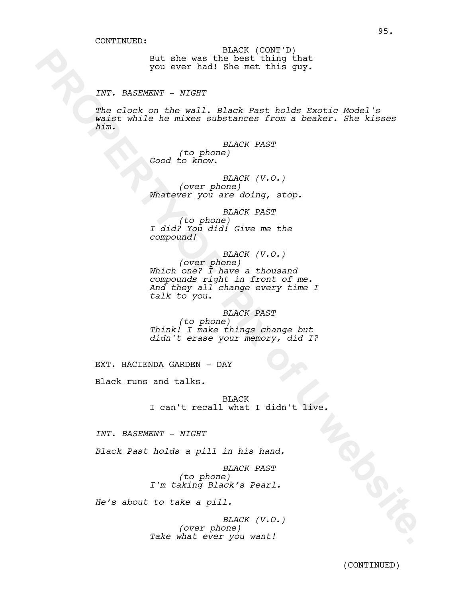But she was the best thing that you ever had! She met this guy. BLACK (CONT'D)

## *INT. BASEMENT - NIGHT*

*The clock on the wall. Black Past holds Exotic Model's waist while he mixes substances from a beaker. She kisses him.*

> *BLACK PAST (to phone) Good to know.*

*BLACK (V.O.) (over phone) Whatever you are doing, stop.*

*BLACK PAST (to phone) I did? You did! Give me the compound!*

**PROPERTY:** The was the set of the space of the space of the space of the space of the space of the space of the space of the space of the space of the space of the space of the space of the space of the space of the space *BLACK (V.O.) (over phone) Which one? I have a thousand compounds right in front of me. And they all change every time I talk to you.* 

*BLACK PAST*

*(to phone) Think! I make things change but didn't erase your memory, did I?*

EXT. HACIENDA GARDEN - DAY

Black runs and talks.

BLACK I can't recall what I didn't live.

*INT. BASEMENT - NIGHT*

*Black Past holds a pill in his hand.*

*BLACK PAST (to phone) I'm taking Black's Pearl.*

*He's about to take a pill.*

*BLACK (V.O.) (over phone) Take what ever you want!*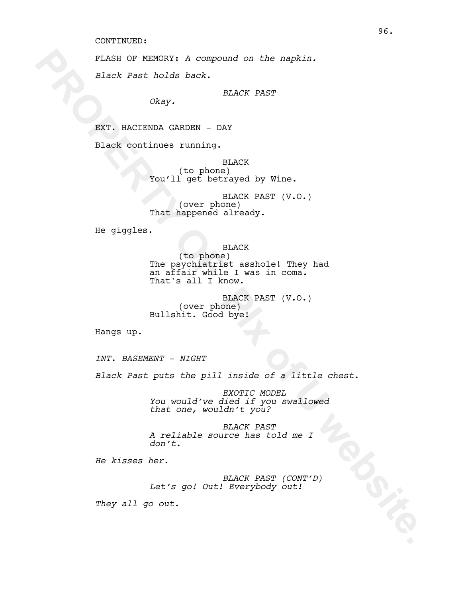#### CONTINUED:

FLASH OF MEMORY: *A compound on the napkin.*

*Black Past holds back.*

*BLACK PAST*

*Okay.* 

EXT. HACIENDA GARDEN - DAY

Black continues running.

BLACK (to phone) You'll get betrayed by Wine.

BLACK PAST (V.O.) (over phone) That happened already.

He giggles.

**PLASH OF NEMORY:** A compound on the naphin.<br> **Black Past** holds back.<br> **EXACK PAST**<br> **EXACK CONCIDENCIPY OF PIX OF PAST<br>
<b>EXACK** continuous running.<br> **PLACK**<br> **PORTY:** DEACK<br> **PORTY:** PHORTY DEACK PAST (V.O.)<br> **PLACK** PAS BLACK (to phone) The psychiatrist asshole! They had an affair while I was in coma. That's all I know.

BLACK PAST (V.O.) (over phone) Bullshit. Good bye!

Hangs up.

*INT. BASEMENT - NIGHT*

*Black Past puts the pill inside of a little chest.*

*EXOTIC MODEL You would've died if you swallowed that one, wouldn't you?*

*BLACK PAST A reliable source has told me I don't.*

*He kisses her.*

*BLACK PAST (CONT'D) Let's go! Out! Everybody out!*

*They all go out.*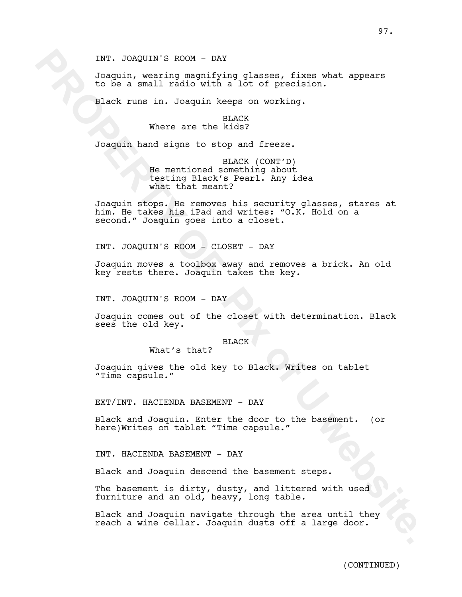INT. JOAQUIN'S ROOM - DAY

Joaquin, wearing magnifying glasses, fixes what appears to be a small radio with a lot of precision.

Black runs in. Joaquin keeps on working.

### BLACK Where are the kids?

Joaquin hand signs to stop and freeze.

BLACK (CONT'D) He mentioned something about testing Black's Pearl. Any idea what that meant?

INT. JOAQUIN'S ROOM - DAY<br>
Joaquin, weaking managriging glasses, fixes what appears<br>
to be a small radio with a lot of precision.<br>
Black runs in. Joaquin keeps on working.<br>
Where are the Kidsy<br>
Joaquin hand signs to the Ru Joaquin stops. He removes his security glasses, stares at him. He takes his iPad and writes: "O.K. Hold on a second." Joaquin goes into a closet.

INT. JOAQUIN'S ROOM - CLOSET - DAY

Joaquin moves a toolbox away and removes a brick. An old key rests there. Joaquin takes the key.

INT. JOAQUIN'S ROOM - DAY

Joaquin comes out of the closet with determination. Black sees the old key.

#### BLACK

What's that?

Joaquin gives the old key to Black. Writes on tablet "Time capsule."

EXT/INT. HACIENDA BASEMENT - DAY

Black and Joaquin. Enter the door to the basement. (or here)Writes on tablet "Time capsule."

INT. HACIENDA BASEMENT - DAY

Black and Joaquin descend the basement steps.

The basement is dirty, dusty, and littered with used furniture and an old, heavy, long table.

Black and Joaquin navigate through the area until they reach a wine cellar. Joaquin dusts off a large door.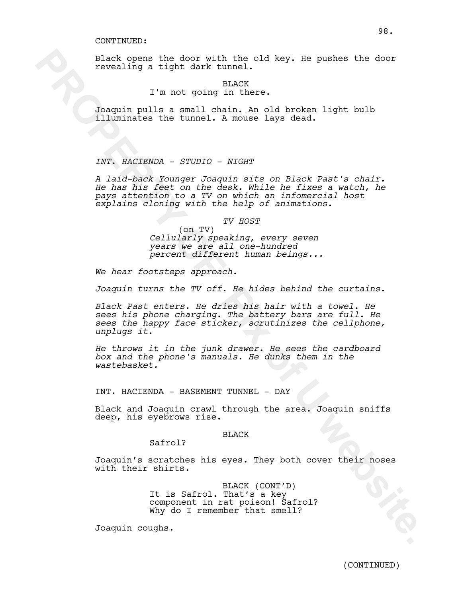Black opens the door with the old key. He pushes the door revealing a tight dark tunnel.

BLACK

# I'm not going in there.

Joaquin pulls a small chain. An old broken light bulb illuminates the tunnel. A mouse lays dead.

*INT. HACIENDA - STUDIO - NIGHT*

Black opens the door with the old key. He pushes the door<br>revoaling a tight dark tunnel.<br>
The not going the stress.<br>
Jongton public a small chain. An old broken light bulb<br>
illuminates the tunnel. A modes lays dead.<br>
The a *A laid-back Younger Joaquin sits on Black Past's chair. He has his feet on the desk. While he fixes a watch, he pays attention to a TV on which an infomercial host explains cloning with the help of animations.* 

*TV HOST*

(on TV) *Cellularly speaking, every seven years we are all one-hundred percent different human beings...* 

*We hear footsteps approach.*

*Joaquin turns the TV off. He hides behind the curtains.*

*Black Past enters. He dries his hair with a towel. He sees his phone charging. The battery bars are full. He sees the happy face sticker, scrutinizes the cellphone, unplugs it.*

*He throws it in the junk drawer. He sees the cardboard box and the phone's manuals. He dunks them in the wastebasket.* 

INT. HACIENDA - BASEMENT TUNNEL - DAY

Black and Joaquin crawl through the area. Joaquin sniffs deep, his eyebrows rise.

# BLACK

Safrol?

Joaquin's scratches his eyes. They both cover their noses with their shirts.

> BLACK (CONT'D) It is Safrol. That's a key component in rat poison! Safrol? Why do I remember that smell?

Joaquin coughs.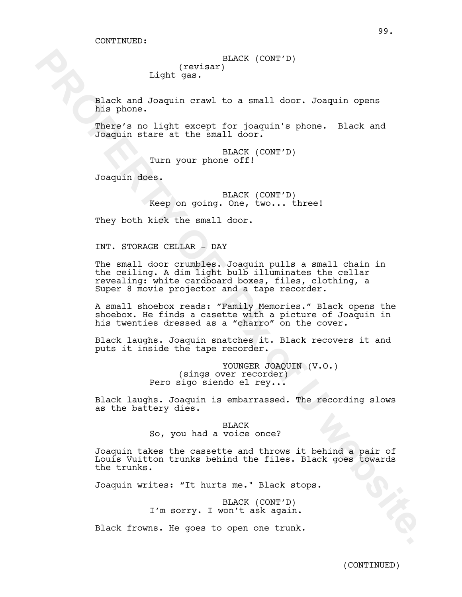BLACK (CONT'D) (revisar) Light gas.

Black and Joaquin crawl to a small door. Joaquin opens his phone.

There's no light except for joaquin's phone. Black and Joaquin stare at the small door.

> BLACK (CONT'D) Turn your phone off!

Joaquin does.

BLACK (CONT'D) Keep on going. One, two... three!

They both kick the small door.

INT. STORAGE CELLAR - DAY

Example of the same of the small door. The small door is a small door in the sphere of the sphere of the sphere of the small door. Property of Dength metars at the small door.<br>
The score for Posquin stars at the small door The small door crumbles. Joaquin pulls a small chain in the ceiling. A dim light bulb illuminates the cellar revealing: white cardboard boxes, files, clothing, a Super 8 movie projector and a tape recorder.

A small shoebox reads: "Family Memories." Black opens the shoebox. He finds a casette with a picture of Joaquin in his twenties dressed as a "charro" on the cover.

Black laughs. Joaquin snatches it. Black recovers it and puts it inside the tape recorder.

> YOUNGER JOAQUIN (V.O.) (sings over recorder) Pero sigo siendo el rey...

Black laughs. Joaquin is embarrassed. The recording slows as the battery dies.

> BLACK So, you had a voice once?

Joaquin takes the cassette and throws it behind a pair of Louis Vuitton trunks behind the files. Black goes towards the trunks.

Joaquin writes: "It hurts me." Black stops.

BLACK (CONT'D) I'm sorry. I won't ask again.

Black frowns. He goes to open one trunk.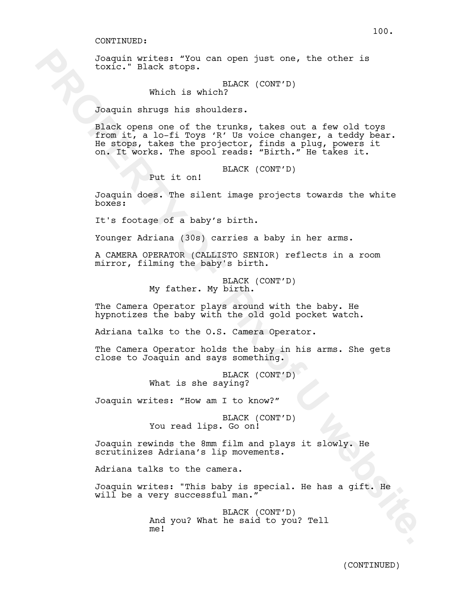Joaquin writes: "You can open just one, the other is toxic." Black stops.

> BLACK (CONT'D) Which is which?

Joaquin shrugs his shoulders.

Joaquín writes: The state of the state of the state of the state of the state of the state of the transmission of the transmission of the state of the state of the state of the state of the state of the state of the state Black opens one of the trunks, takes out a few old toys from it, a lo-fi Toys 'R' Us voice changer, a teddy bear.<br>He stops, takes the projector, finds a plug, powers it He stops, takes the projector, finds a plug, powers it on. It works. The spool reads: "Birth." He takes it.

BLACK (CONT'D)

Put it on!

Joaquin does. The silent image projects towards the white boxes:

It's footage of a baby's birth.

Younger Adriana (30s) carries a baby in her arms.

A CAMERA OPERATOR (CALLISTO SENIOR) reflects in a room mirror, filming the baby's birth.

> BLACK (CONT'D) My father. My birth.

The Camera Operator plays around with the baby. He hypnotizes the baby with the old gold pocket watch.

Adriana talks to the O.S. Camera Operator.

The Camera Operator holds the baby in his arms. She gets close to Joaquin and says something.

> BLACK (CONT'D) What is she saying?

Joaquin writes: "How am I to know?"

BLACK (CONT'D) You read lips. Go on!

Joaquin rewinds the 8mm film and plays it slowly. He scrutinizes Adriana's lip movements.

Adriana talks to the camera.

Joaquin writes: "This baby is special. He has a gift. He will be a very successful man."

> BLACK (CONT'D) And you? What he said to you? Tell me!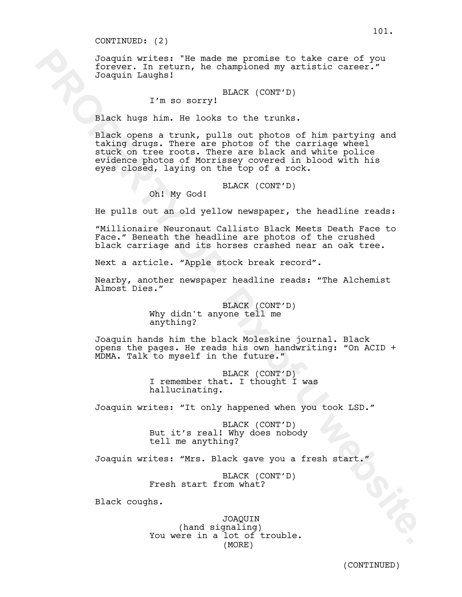#### CONTINUED: (2)

Joaquin writes: "He made me promise to take care of you forever. In return, he championed my artistic career." Joaquin Laughs!

BLACK (CONT'D)

# I'm so sorry!

Black hugs him. He looks to the trunks.

Joseph Territor: The made may promise to take care of you<br>Torover. In return, he changehood my untilatio career."<br>
Theory of Dempise in Reflective CONTTER (CONTTER)<br>
The mass property of CONTTER (CONTTER)<br>
The mass of the Black opens a trunk, pulls out photos of him partying and taking drugs. There are photos of the carriage wheel stuck on tree roots. There are black and white police evidence photos of Morrissey covered in blood with his eyes closed, laying on the top of a rock.

BLACK (CONT'D)

Oh! My God!

He pulls out an old yellow newspaper, the headline reads:

"Millionaire Neuronaut Callisto Black Meets Death Face to Face." Beneath the headline are photos of the crushed black carriage and its horses crashed near an oak tree.

Next a article. "Apple stock break record".

Nearby, another newspaper headline reads: "The Alchemist Almost Dies."

> BLACK (CONT'D) Why didn't anyone tell me anything?

Joaquin hands him the black Moleskine journal. Black opens the pages. He reads his own handwriting: "On ACID + MDMA. Talk to myself in the future."

> BLACK (CONT'D) I remember that. I thought I was hallucinating.

Joaquin writes: "It only happened when you took LSD."

BLACK (CONT'D) But it's real! Why does nobody tell me anything?

Joaquin writes: "Mrs. Black gave you a fresh start."

BLACK (CONT'D) Fresh start from what?

Black coughs.

JOAQUIN (hand signaling) You were in a lot of trouble. (MORE)

101.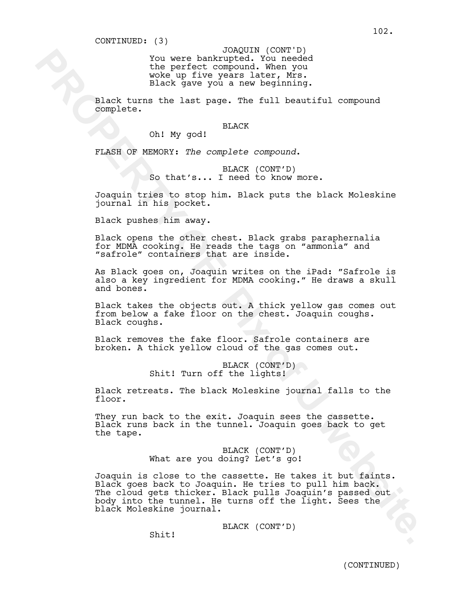You were bankrupted. You needed the perfect compound. When you<br>woke up five years later, Mrs. Black gave you a new beginning. JOAQUIN (CONT'D)

Black turns the last page. The full beautiful compound complete.

# **BLACK**

Oh! My god!

FLASH OF MEMORY: *The complete compound*.

BLACK (CONT'D) So that's... I need to know more.

Joaquin tries to stop him. Black puts the black Moleskine journal in his pocket.

Black pushes him away.

Black opens the other chest. Black grabs paraphernalia for MDMA cooking. He reads the tags on "ammonia" and "safrole" containers that are inside.

As Black goes on, Joaquin writes on the iPad: "Safrole is also a key ingredient for MDMA cooking." He draws a skull and bones.

Black takes the objects out. A thick yellow gas comes out from below a fake floor on the chest. Joaquin coughs. Black coughs.

Black removes the fake floor. Safrole containers are broken. A thick yellow cloud of the gas comes out.

> BLACK (CONT'D) Shit! Turn off the lights!

Black retreats. The black Moleskine journal falls to the floor.

They run back to the exit. Joaquin sees the cassette. Black runs back in the tunnel. Joaquin goes back to get the tape.

> BLACK (CONT'D) What are you doing? Let's go!

Xou were bent Youser and Your Philosophers<br>
the perfect compound, when you<br>
when yive you a new beginning.<br>
Elack gave you a new beginning.<br>
Elack turns the last page. The full beautiful compound<br>
complete.<br>
Oh! My god!<br>
P Joaquin is close to the cassette. He takes it but faints.<br>Black goes back to Joaquin. He tries to pull him back. The cloud gets thicker. Black pulls Joaquin's passed out body into the tunnel. He turns off the light. Sees the black Moleskine journal.

BLACK (CONT'D)

Shit!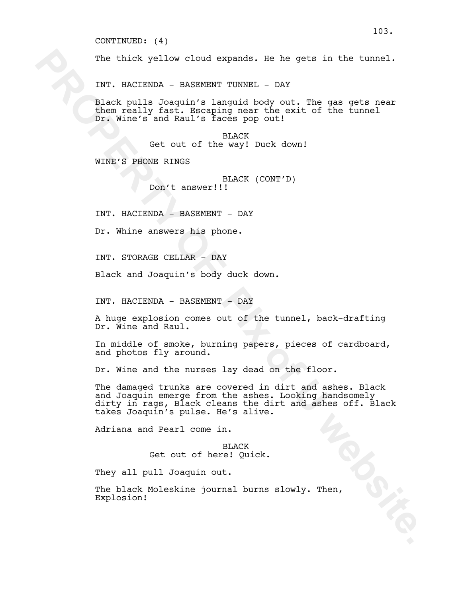#### CONTINUED: (4)

The thick yellow cloud expands. He he gets in the tunnel.

INT. HACIENDA - BASEMENT TUNNEL - DAY

Black pulls Joaquin's languid body out. The gas gets near them really fast. Escaping near the exit of the tunnel Dr. Wine's and Raul's faces pop out!

> BLACK Get out of the way! Duck down!

WINE'S PHONE RINGS

BLACK (CONT'D) Don't answer!!!

INT. HACIENDA - BASEMENT - DAY

Dr. Whine answers his phone.

INT. STORAGE CELLAR - DAY

Black and Joaquin's body duck down.

INT. HACIENDA - BASEMENT - DAY

A huge explosion comes out of the tunnel, back-drafting Dr. Wine and Raul.

In middle of smoke, burning papers, pieces of cardboard, and photos fly around.

Dr. Wine and the nurses lay dead on the floor.

The thick yellow cloud expande. Be he gets in the tunnel.<br>
INT. HACIENDA - BASEMENT TUNNEL - DAY<br>
elact yoular doayun's languaid body out. The gas gets near<br>
blue and ly fast. Factor the way: Decay out:<br>
Then weally fast. The damaged trunks are covered in dirt and ashes. Black and Joaquin emerge from the ashes. Looking handsomely dirty in rags, Black cleans the dirt and ashes off. Black takes Joaquin's pulse. He's alive.

Adriana and Pearl come in.

BLACK Get out of here! Quick.

They all pull Joaquin out.

The black Moleskine journal burns slowly. Then, Explosion!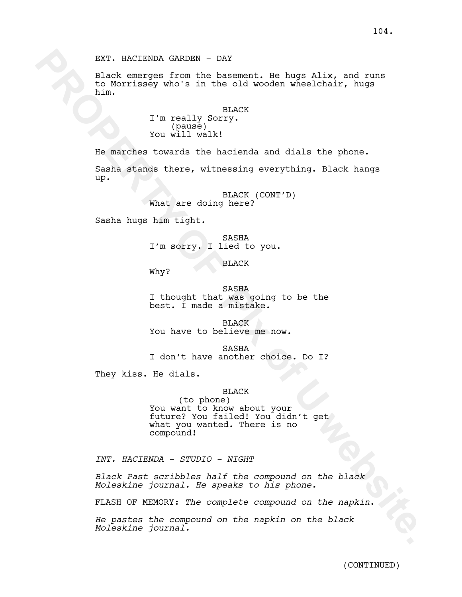EXT. HACIENDA GARDEN - DAY

Black emerges from the basement. He hugs Alix, and runs to Morrissey who's in the old wooden wheelchair, hugs him.

> BLACK I'm really Sorry. (pause) You will walk!

He marches towards the hacienda and dials the phone.

Sasha stands there, witnessing everything. Black hangs up.

> BLACK (CONT'D) What are doing here?

Sasha hugs him tight.

SASHA I'm sorry. I lied to you.

BLACK

Why?

SASHA I thought that was going to be the best. I made a mistake.

**BLACK** You have to believe me now.

SASHA I don't have another choice. Do I?

They kiss. He dials.

### BLACK

EXT. NACIENDA GARDEN - DAY<br>
place energee from the basement. He huge Alix, and runs<br>
replace from the basement. He huge Alix, and runs<br>
replace to the control of the control of the second with the second with  $\mathbf{F}$ .<br>
Fo (to phone) You want to know about your future? You failed! You didn't get what you wanted. There is no compound!

*INT. HACIENDA - STUDIO - NIGHT*

*Black Past scribbles half the compound on the black Moleskine journal. He speaks to his phone.* 

FLASH OF MEMORY: *The complete compound on the napkin*.

*He pastes the compound on the napkin on the black Moleskine journal.*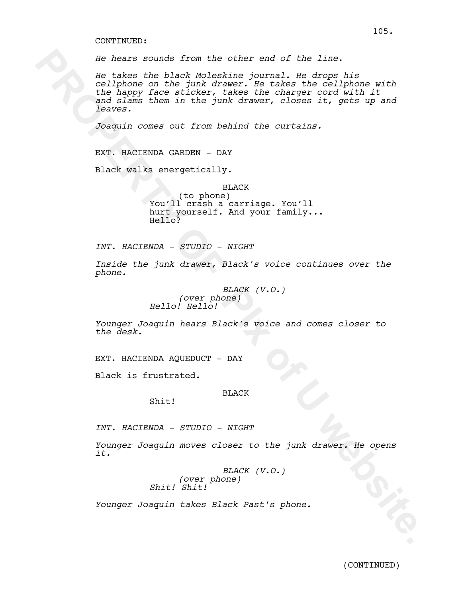#### CONTINUED:

*He hears sounds from the other end of the line.*

He hears sounds from the other end of the line.<br>
Yes akse the black Moleskins gournal. Me drope his<br>
caliform of the line of the caliform with<br>
vand slams them in the junk drawer, closes it, gets up and<br>
and slams them in *He takes the black Moleskine journal. He drops his cellphone on the junk drawer. He takes the cellphone with the happy face sticker, takes the charger cord with it and slams them in the junk drawer, closes it, gets up and leaves.* 

*Joaquin comes out from behind the curtains.* 

EXT. HACIENDA GARDEN - DAY

Black walks energetically.

BLACK (to phone) You'll crash a carriage. You'll hurt yourself. And your family...<br>Hello?

*INT. HACIENDA - STUDIO - NIGHT*

*Inside the junk drawer, Black's voice continues over the phone.* 

> *BLACK (V.O.) (over phone) Hello! Hello!*

*Younger Joaquin hears Black's voice and comes closer to the desk.*

EXT. HACIENDA AQUEDUCT - DAY

Shit!

Black is frustrated.

## BLACK

*INT. HACIENDA - STUDIO - NIGHT*

*Younger Joaquin moves closer to the junk drawer. He opens it.*

> *BLACK (V.O.) (over phone) Shit! Shit!*

*Younger Joaquin takes Black Past's phone.* 

105.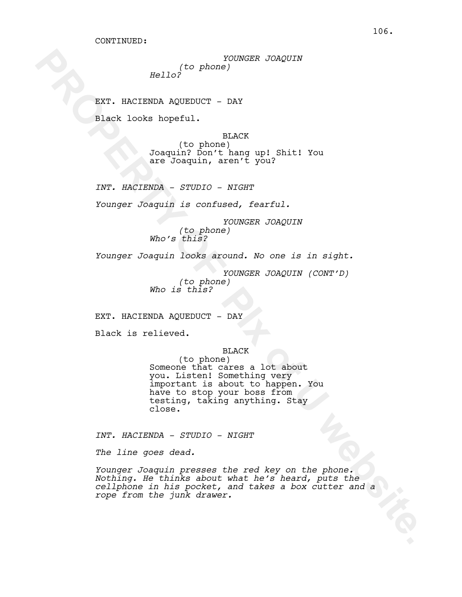*YOUNGER JOAQUIN (to phone) Hello?* 

EXT. HACIENDA AQUEDUCT - DAY

Black looks hopeful.

BLACK (to phone) Joaquin? Don't hang up! Shit! You are Joaquin, aren't you?

*INT. HACIENDA - STUDIO - NIGHT*

*Younger Joaquin is confused, fearful.* 

*YOUNGER JOAQUIN (to phone) Who's this?*

*Younger Joaquin looks around. No one is in sight.* 

*YOUNGER JOAQUIN (CONT'D) (to phone) Who is this?*

EXT. HACIENDA AQUEDUCT - DAY

Black is relieved.

# BLACK

**PROPERTY:**<br> **EXT. HACIENDA AQUEDUCT - DAY**<br> **EXT. HACIENDA AQUEDUCT - DAY**<br> **EXT. HACIENDA AQUEDUCT - DAY**<br> **DAMPLE TROP**<br> **SECURE THE PIX OF PIX OF PIX OF PIX OF PIX OF PIX OF PIX OF PIX OF PIX OF PIX OF PIX OF PIX OF PI** (to phone) Someone that cares a lot about you. Listen! Something very important is about to happen. You have to stop your boss from testing, taking anything. Stay close.

*INT. HACIENDA - STUDIO - NIGHT*

*The line goes dead.* 

*Younger Joaquin presses the red key on the phone. Nothing. He thinks about what he's heard, puts the cellphone in his pocket, and takes a box cutter and a rope from the junk drawer.*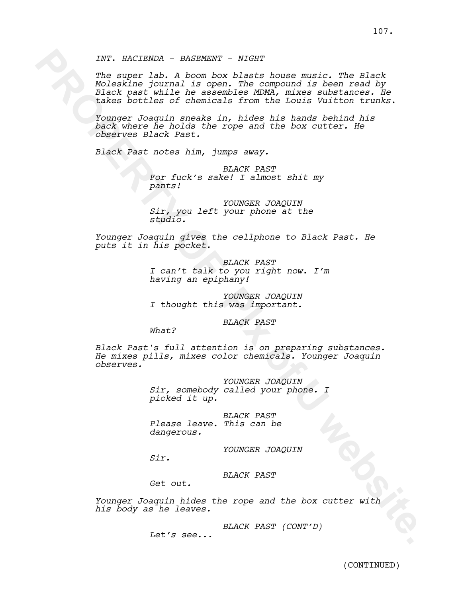XXT. NACISSNA - BASENENT - NIGHT<br>
The super labor a boost blasts howes russic. The Black<br>
Realting Journal is open. The super units are interneted by<br>
takes boottles of chemicals from the louis virtuals.<br>
Younger Josenial *The super lab. A boom box blasts house music. The Black Moleskine journal is open. The compound is been read by Black past while he assembles MDMA, mixes substances. He takes bottles of chemicals from the Louis Vuitton trunks.*

*Younger Joaquin sneaks in, hides his hands behind his back where he holds the rope and the box cutter. He observes Black Past.* 

*Black Past notes him, jumps away.*

*BLACK PAST For fuck's sake! I almost shit my pants!* 

*YOUNGER JOAQUIN Sir, you left your phone at the studio.* 

*Younger Joaquin gives the cellphone to Black Past. He puts it in his pocket.*

> *BLACK PAST I can't talk to you right now. I'm having an epiphany!*

*YOUNGER JOAQUIN I thought this was important.*

*BLACK PAST*

*What?*

*Black Past's full attention is on preparing substances. He mixes pills, mixes color chemicals. Younger Joaquin observes.*

> *YOUNGER JOAQUIN Sir, somebody called your phone. I picked it up.*

*BLACK PAST Please leave. This can be dangerous.*

*YOUNGER JOAQUIN*

*Sir.*

*BLACK PAST*

*Get out.*

*Younger Joaquin hides the rope and the box cutter with his body as he leaves.* 

*BLACK PAST (CONT'D)*

*Let's see...*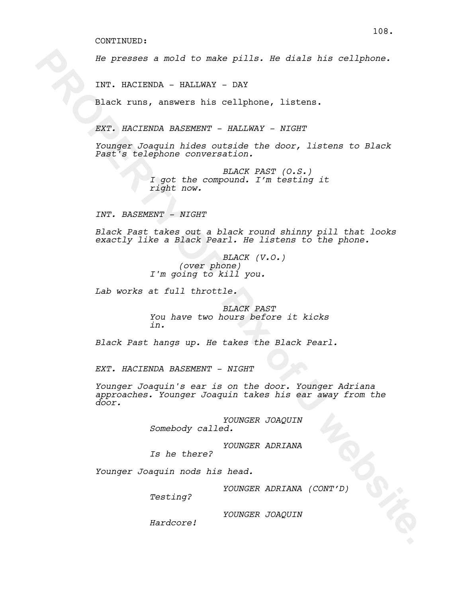*He presses a mold to make pills. He dials his cellphone.* 

INT. HACIENDA - HALLWAY - DAY

Black runs, answers his cellphone, listens.

*EXT. HACIENDA BASEMENT - HALLWAY - NIGHT*

*Younger Joaquin hides outside the door, listens to Black Past's telephone conversation.* 

> *BLACK PAST (O.S.) I got the compound. I'm testing it right now.*

*INT. BASEMENT - NIGHT*

*Black Past takes out a black round shinny pill that looks exactly like a Black Pearl. He listens to the phone.*

> *BLACK (V.O.) (over phone) I'm going to kill you.*

*Lab works at full throttle.*

*BLACK PAST You have two hours before it kicks in.*

*Black Past hangs up. He takes the Black Pearl.*

*EXT. HACIENDA BASEMENT - NIGHT*

*He* presses a mold to make pills. Re-dials his cellphons.<br>
INT. HACIENDA - HALLWAY - DAY<br> **Elack runs, answere his cellphone, listens.**<br>
RXT. RACTENDA RASHWAY - MAILWAY WITHOTHER CONDUCT AND MORE TO AND THE CONDUCT CONDUC *Younger Joaquin's ear is on the door. Younger Adriana approaches. Younger Joaquin takes his ear away from the door.*

*YOUNGER JOAQUIN Somebody called.* 

*YOUNGER ADRIANA Is he there?*

*Younger Joaquin nods his head.*

*YOUNGER ADRIANA (CONT'D)*

*Testing?*

*YOUNGER JOAQUIN*

*Hardcore!*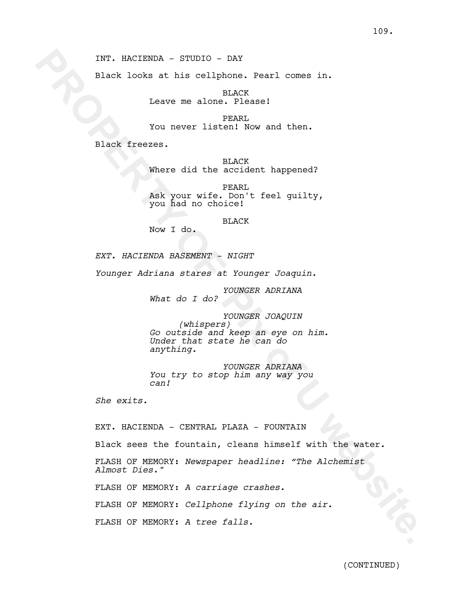Black looks at his cellphone. Pearl comes in.

BLACK Leave me alone. Please!

PEARL You never listen! Now and then.

Black freezes.

BLACK Where did the accident happened?

PEARL Ask your wife. Don't feel guilty, you had no choice!

BLACK

Now I do.

*EXT. HACIENDA BASEMENT - NIGHT*

*Younger Adriana stares at Younger Joaquin.*

*YOUNGER ADRIANA*

*What do I do?*

INT. NACIENDA - STUDIO - DAY<br>
black looks at his cellphas. Pearl comes in.<br> **FACK**<br> **Exact Property Intensity and then.**<br> **PROPERTY:**<br> **PROPERTY:**<br> **PROPERTY:**<br> **PROPERTY:**<br> **PROPERTY:**<br> **PROPERTY:**<br> **PROPERTY:**<br> **PROPERTY** *YOUNGER JOAQUIN (whispers) Go outside and keep an eye on him. Under that state he can do anything.*

*YOUNGER ADRIANA You try to stop him any way you can!* 

*She exits.*

EXT. HACIENDA - CENTRAL PLAZA - FOUNTAIN

Black sees the fountain, cleans himself with the water.

FLASH OF MEMORY: *Newspaper headline: "The Alchemist Almost Dies."*

FLASH OF MEMORY: *A carriage crashes.*

FLASH OF MEMORY: *Cellphone flying on the air.*

FLASH OF MEMORY: *A tree falls.*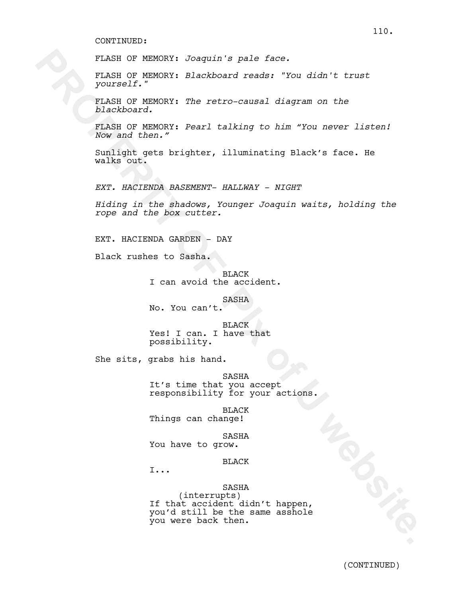FLASH OF MEMORY: *Joaquin's pale face.*

FLASH OF MEMORY: *Blackboard reads: "You didn't trust yourself."*

FLASH OF MEMORY: *The retro-causal diagram on the blackboard.*

FLASH OF MEMORY: *Pearl talking to him "You never listen! Now and then."*

Sunlight gets brighter, illuminating Black's face. He walks out.

*EXT. HACIENDA BASEMENT- HALLWAY - NIGHT*

*Hiding in the shadows, Younger Joaquin waits, holding the rope and the box cutter.*

EXT. HACIENDA GARDEN - DAY

Black rushes to Sasha.

BLACK I can avoid the accident.

SASHA

No. You can't.

BLACK Yes! I can. I have that possibility.

She sits, grabs his hand.

SASHA It's time that you accept responsibility for your actions.

BLACK Things can change!

SASHA You have to grow.

BLACK

I...

# SASHA

**PLASH OF NEMORY:** Josephary Pale face.<br> **PLASH OF NEMORY:** Blackboard reads: 'You didn't trust<br> **PORESH OF NEMORY:** The retro-causal diagram on the<br> **PROPERTY OF NEMORY:** Fearl talking to him "You never listen!<br> **PROPERTY** (interrupts) If that accident didn't happen, you'd still be the same asshole you were back then.

110.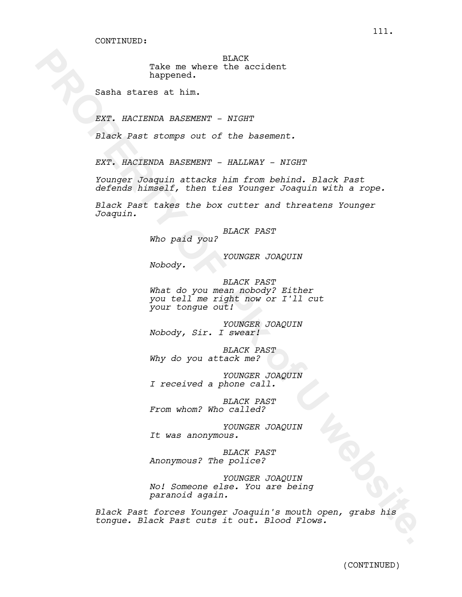BLACK Take me where the accident happened.

Sasha stares at him.

*EXT. HACIENDA BASEMENT - NIGHT*

*Black Past stomps out of the basement.*

*EXT. HACIENDA BASEMENT - HALLWAY - NIGHT*

*Younger Joaquin attacks him from behind. Black Past defends himself, then ties Younger Joaquin with a rope.*

*Black Past takes the box cutter and threatens Younger Joaquin.*

*BLACK PAST*

*Who paid you?*

*YOUNGER JOAQUIN*

*Nobody.*

Take mo where the scribest<br>
harmed. In:<br>
Sambs strained. In:<br>
SEX: HACISONA RASSESSY: - NIGHT<br>
Disc, Fact stomps out of the basement.<br>
EXT: RACISONA RASSESSY: - RALEWAY - NIGHT<br>
Fourname Roomanin attacks him from bothiod. *BLACK PAST What do you mean nobody? Either you tell me right now or I'll cut your tongue out!*

*YOUNGER JOAQUIN Nobody, Sir. I swear!*

*BLACK PAST Why do you attack me?* 

*YOUNGER JOAQUIN I received a phone call.*

*BLACK PAST From whom? Who called?*

*YOUNGER JOAQUIN It was anonymous.*

*BLACK PAST Anonymous? The police?*

*YOUNGER JOAQUIN No! Someone else. You are being paranoid again.*

*Black Past forces Younger Joaquin's mouth open, grabs his tongue. Black Past cuts it out. Blood Flows.*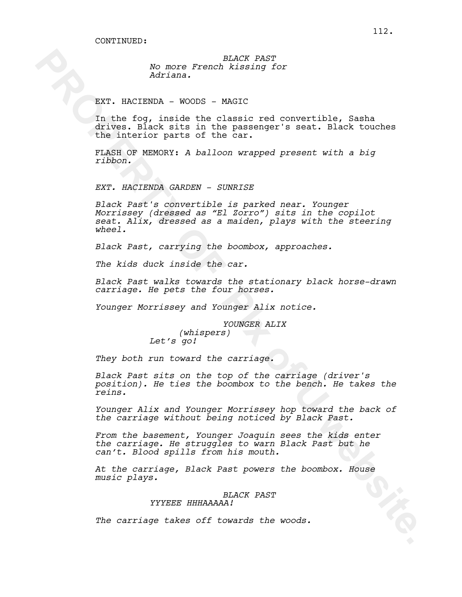*BLACK PAST No more French kissing for Adriana.*

EXT. HACIENDA - WOODS - MAGIC

In the fog, inside the classic red convertible, Sasha drives. Black sits in the passenger's seat. Black touches the interior parts of the car.

FLASH OF MEMORY: *A balloon wrapped present with a big ribbon.*

*EXT. HACIENDA GARDEN - SUNRISE*

**PROPERTY AND ANOTHER CONSULTER AND ANOTHER CONSULTER AND ANOTHER CONSULTER AND ANOTHER CONSULTER AND ANOTHER CONSULTER AND ANOTHER CONSULTER AND ANOTHER CONSULTER CONSULTER AND CONSULTER CONSULTER AND CONSULTER AND CONSUL** *Black Past's convertible is parked near. Younger Morrissey (dressed as "El Zorro") sits in the copilot seat. Alix, dressed as a maiden, plays with the steering wheel.*

*Black Past, carrying the boombox, approaches.*

*The kids duck inside the car.*

*Black Past walks towards the stationary black horse-drawn carriage. He pets the four horses.*

*Younger Morrissey and Younger Alix notice.*

*YOUNGER ALIX (whispers) Let's go!* 

*They both run toward the carriage.* 

*Black Past sits on the top of the carriage (driver's position). He ties the boombox to the bench. He takes the reins.* 

*Younger Alix and Younger Morrissey hop toward the back of the carriage without being noticed by Black Past.*

*From the basement, Younger Joaquin sees the kids enter the carriage. He struggles to warn Black Past but he can't. Blood spills from his mouth.* 

*At the carriage, Black Past powers the boombox. House music plays.*

*BLACK PAST*

*YYYEEE HHHAAAAA!*

*The carriage takes off towards the woods.*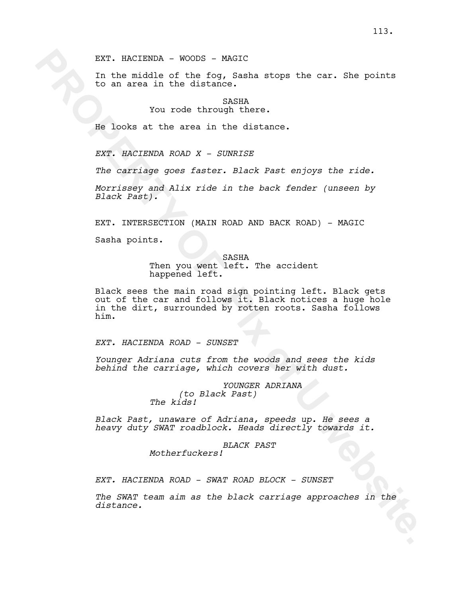EXT. HACIENDA - WOODS - MAGIC

In the middle of the fog, Sasha stops the car. She points to an area in the distance.

> SASHA You rode through there.

He looks at the area in the distance.

*EXT. HACIENDA ROAD X - SUNRISE*

*The carriage goes faster. Black Past enjoys the ride.*

*Morrissey and Alix ride in the back fender (unseen by Black Past).*

EXT. INTERSECTION (MAIN ROAD AND BACK ROAD) - MAGIC

Sasha points.

SASHA Then you went left. The accident happened left.

EXT. NACIENDA - WOODS - HOOSIC<br>
In the middle of the Soy Rambs stops the car. She points<br>
to an area in the distance.<br>
You rode through there.<br>
You rode through there.<br>
EB looks at the area in the distance.<br>
EFR NACIENDA R Black sees the main road sign pointing left. Black gets out of the car and follows it. Black notices a huge hole in the dirt, surrounded by rotten roots. Sasha follows him.

*EXT. HACIENDA ROAD - SUNSET*

*Younger Adriana cuts from the woods and sees the kids behind the carriage, which covers her with dust.*

> *YOUNGER ADRIANA (to Black Past) The kids!*

*Black Past, unaware of Adriana, speeds up. He sees a heavy duty SWAT roadblock. Heads directly towards it.*

> *BLACK PAST Motherfuckers!*

*EXT. HACIENDA ROAD - SWAT ROAD BLOCK - SUNSET*

*The SWAT team aim as the black carriage approaches in the distance.*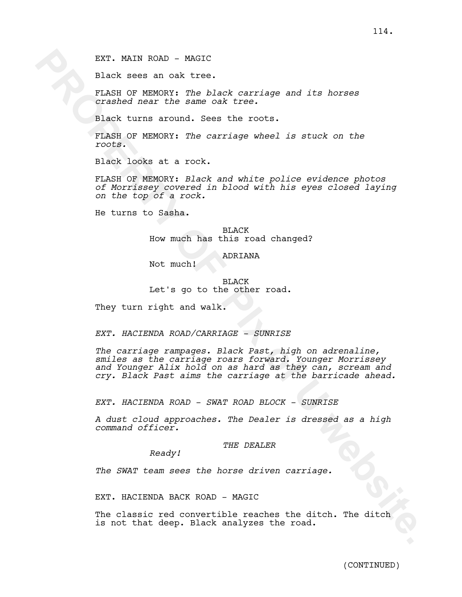EXT. MAIN ROAD - MAGIC

Black sees an oak tree.

FLASH OF MEMORY: *The black carriage and its horses crashed near the same oak tree.*

Black turns around. Sees the roots.

FLASH OF MEMORY: *The carriage wheel is stuck on the roots.* 

Black looks at a rock.

FLASH OF MEMORY: *Black and white police evidence photos of Morrissey covered in blood with his eyes closed laying on the top of a rock.*

He turns to Sasha.

BLACK How much has this road changed?

## ADRIANA

Not much!

BLACK Let's go to the other road.

They turn right and walk.

*EXT. HACIENDA ROAD/CARRIAGE - SUNRISE*

EXT. MAIN ROAD - XAGIC<br>
Black means and the same onk tree.<br>
TARS of MPNOSY: The black corridge and its horens<br>
crashed mean the same onk tree.<br>
Black turns around. Sees the roots.<br>
Fixed turns around. Sees the roots.<br>
PLAS *The carriage rampages. Black Past, high on adrenaline, smiles as the carriage roars forward. Younger Morrissey and Younger Alix hold on as hard as they can, scream and cry. Black Past aims the carriage at the barricade ahead.*

*EXT. HACIENDA ROAD - SWAT ROAD BLOCK - SUNRISE*

*A dust cloud approaches. The Dealer is dressed as a high command officer.*

#### *THE DEALER*

*Ready!*

*The SWAT team sees the horse driven carriage.*

EXT. HACIENDA BACK ROAD - MAGIC

The classic red convertible reaches the ditch. The ditch is not that deep. Black analyzes the road.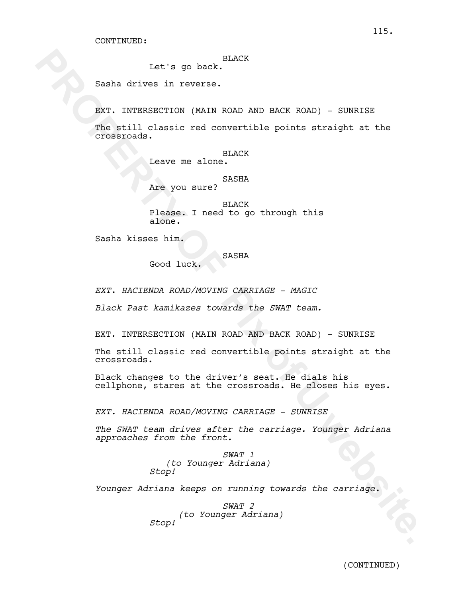# BLACK

Let's go back.

Sasha drives in reverse.

EXT. INTERSECTION (MAIN ROAD AND BACK ROAD) - SUNRISE

Let's go back.<br>
Rasha drives in reverse.<br>
RNT. TWTFRATCTOX (WATM ROAD NAD PACK ROAD) SUBRITST<br>
The still cleaned red convertible points atraight at the<br>
crosscoals.<br>
New poising:<br>
New Doughland.<br>
Plasse. I med to go throug The still classic red convertible points straight at the crossroads.

# BLACK

Leave me alone.

SASHA

Are you sure?

BLACK Please. I need to go through this alone.

Sasha kisses him.

## SASHA

Good luck.

*EXT. HACIENDA ROAD/MOVING CARRIAGE - MAGIC*

*Black Past kamikazes towards the SWAT team.*

EXT. INTERSECTION (MAIN ROAD AND BACK ROAD) - SUNRISE

The still classic red convertible points straight at the crossroads.

Black changes to the driver's seat. He dials his cellphone, stares at the crossroads. He closes his eyes.

*EXT. HACIENDA ROAD/MOVING CARRIAGE - SUNRISE*

*The SWAT team drives after the carriage. Younger Adriana approaches from the front.*

> *SWAT 1 (to Younger Adriana) Stop!*

*Younger Adriana keeps on running towards the carriage.*

*SWAT 2 (to Younger Adriana) Stop!*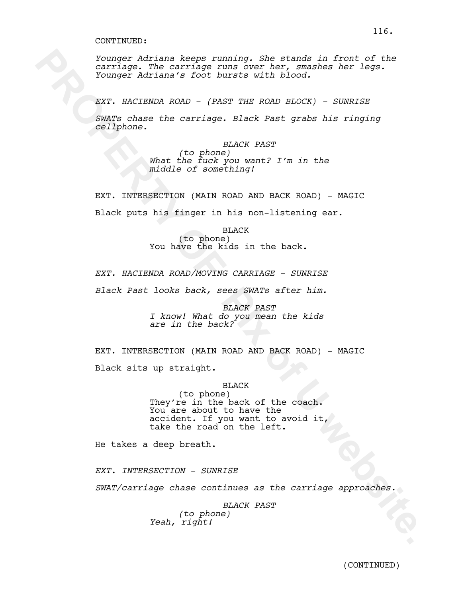**Proper Addition Asege runder, She stands in front of the contribute of PIx of Transformation**<br> **PROPERTY OF PIX ONE CONTRACT CONTRACT CONTRACT AND ASSESS CONTRACT CONTRACT CONTRACT THE ROAD BLOCK) - SUNNISE<br>
<b>EXP.** ARCTES *Younger Adriana keeps running. She stands in front of the carriage. The carriage runs over her, smashes her legs. Younger Adriana's foot bursts with blood.* 

*EXT. HACIENDA ROAD - (PAST THE ROAD BLOCK) - SUNRISE*

*SWATs chase the carriage. Black Past grabs his ringing cellphone.*

> *BLACK PAST (to phone) What the fuck you want? I'm in the middle of something!*

EXT. INTERSECTION (MAIN ROAD AND BACK ROAD) - MAGIC Black puts his finger in his non-listening ear.

> BLACK (to phone) You have the kids in the back.

*EXT. HACIENDA ROAD/MOVING CARRIAGE - SUNRISE*

*Black Past looks back, sees SWATs after him.*

*BLACK PAST I know! What do you mean the kids are in the back?*

EXT. INTERSECTION (MAIN ROAD AND BACK ROAD) - MAGIC Black sits up straight.

# BLACK

(to phone) They're in the back of the coach. You are about to have the accident. If you want to avoid it, take the road on the left.

He takes a deep breath.

*EXT. INTERSECTION - SUNRISE*

*SWAT/carriage chase continues as the carriage approaches.*

*BLACK PAST (to phone) Yeah, right!*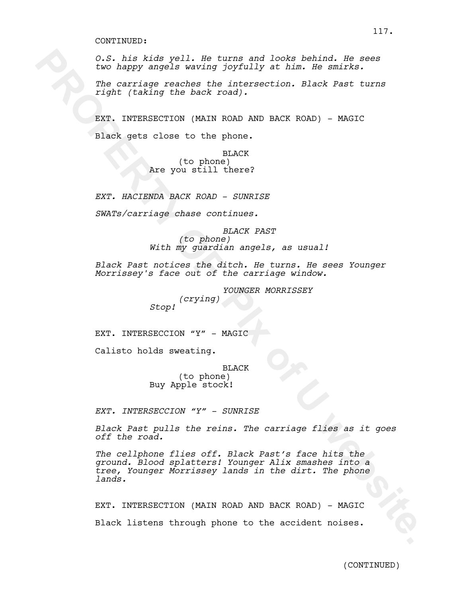*O.S. his kids yell. He turns and looks behind. He sees two happy angels waving joyfully at him. He smirks.*

*The carriage reaches the intersection. Black Past turns right (taking the back road).* 

EXT. INTERSECTION (MAIN ROAD AND BACK ROAD) - MAGIC Black gets close to the phone.

> BLACK (to phone) Are you still there?

*EXT. HACIENDA BACK ROAD - SUNRISE*

*SWATs/carriage chase continues.*

*BLACK PAST (to phone) With my guardian angels, as usual!*

*Black Past notices the ditch. He turns. He sees Younger Morrissey's face out of the carriage window.* 

> *YOUNGER MORRISSEY (crying) Stop!*

EXT. INTERSECCION "Y" - MAGIC

Calisto holds sweating.

BLACK

(to phone) Buy Apple stock!

*EXT. INTERSECCION "Y" - SUNRISE*

*Black Past pulls the reins. The carriage flies as it goes off the road.*

9.5, his kids yell. He turns and looks behind. He sees<br>the carriage reaches the intersection. Black heat turns<br> $P(t)$  (Lating University (2002) and the main of Pix of Pix of University<br>the carrier property (MANN NOW) and NO *The cellphone flies off. Black Past's face hits the ground. Blood splatters! Younger Alix smashes into a tree, Younger Morrissey lands in the dirt. The phone lands.* 

EXT. INTERSECTION (MAIN ROAD AND BACK ROAD) - MAGIC Black listens through phone to the accident noises.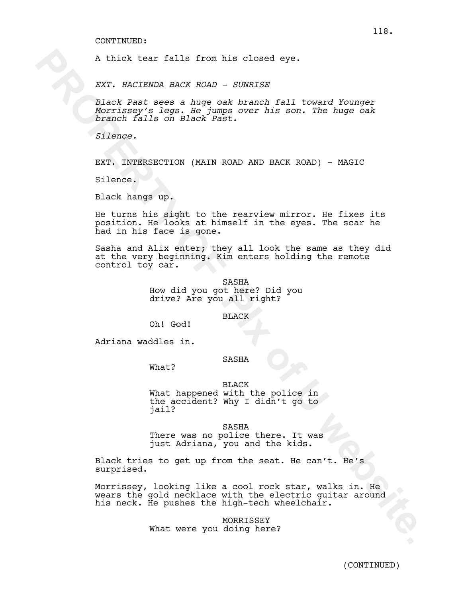A thick tear falls from his closed eye.

*EXT. HACIENDA BACK ROAD - SUNRISE*

*Black Past sees a huge oak branch fall toward Younger Morrissey's legs. He jumps over his son. The huge oak branch falls on Black Past.*

*Silence.*

EXT. INTERSECTION (MAIN ROAD AND BACK ROAD) - MAGIC

Silence.

Black hangs up.

He turns his sight to the rearview mirror. He fixes its position. He looks at himself in the eyes. The scar he had in his face is gone.

A thick tear falls from his closed eye.<br>
EXT. HACISNDA BACK ROAD - 80NRISE<br>
elact Dass, a hange cak branch fall toward Younger<br>
elact Dass, The Jumps cak branch fall toward hypers cak<br>
from the Alls on Black Past.<br>
filence Sasha and Alix enter; they all look the same as they did at the very beginning. Kim enters holding the remote control toy car.

SASHA How did you got here? Did you drive? Are you all right?

BLACK

Oh! God!

Adriana waddles in.

### SASHA

What?

BLACK What happened with the police in the accident? Why I didn't go to jail?

SASHA There was no police there. It was just Adriana, you and the kids.

Black tries to get up from the seat. He can't. He's surprised.

Morrissey, looking like a cool rock star, walks in. He wears the gold necklace with the electric guitar around his neck. He pushes the high-tech wheelchair.

> MORRISSEY What were you doing here?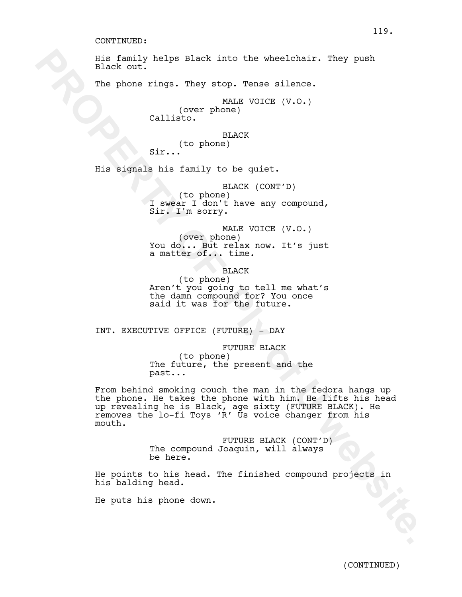His family helps Black into the wheelchair. They push Black out.

The phone rings. They stop. Tense silence.

MALE VOICE (V.O.) (over phone) Callisto.

BLACK (to phone) Sir...

His signals his family to be quiet.

BLACK (CONT'D) (to phone) I swear I don't have any compound,<br>Sir. I'm sorry.

MALE VOICE (V.O.) (over phone) You do... But relax now. It's just a matter of... time.

BLACK

(to phone) Aren't you going to tell me what's the damn compound for? You once said it was for the future.

INT. EXECUTIVE OFFICE (FUTURE) - DAY

FUTURE BLACK (to phone) The future, the present and the past...

**Example 2013** The phase like the shape like the shape of the shape of the shape of the shape of the shape of the state of the state of the state of the state of the state of the state of the state of the state of the stat From behind smoking couch the man in the fedora hangs up the phone. He takes the phone with him. He lifts his head up revealing he is Black, age sixty (FUTURE BLACK). He removes the lo-fi Toys 'R' Us voice changer from his mouth.

FUTURE BLACK (CONT'D) The compound Joaquin, will always be here.

He points to his head. The finished compound projects in his balding head.

He puts his phone down.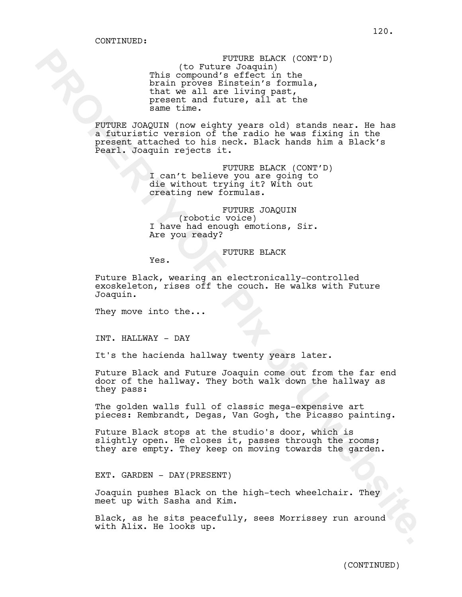**PROPERTY (CONTIFIES SIGNATE)**<br>
This component's effect. In the fix of the signal<br>
India System and fitter, in the<br>
India System and fitter, all at the<br>
present and fitter, all at the<br>
same time.<br> **PROPERTY of UNITE CONSUL** FUTURE BLACK (CONT'D) (to Future Joaquin) This compound's effect in the brain proves Einstein's formula,<br>that we all are living past, present and future, all at the same time.

FUTURE JOAQUIN (now eighty years old) stands near. He has a futuristic version of the radio he was fixing in the present attached to his neck. Black hands him a Black's Pearl. Joaquin rejects it.

> FUTURE BLACK (CONT'D) I can't believe you are going to die without trying it? With out creating new formulas.

FUTURE JOAQUIN (robotic voice) I have had enough emotions, Sir. Are you ready?

FUTURE BLACK

Yes.

Future Black, wearing an electronically-controlled exoskeleton, rises off the couch. He walks with Future Joaquin.

They move into the...

INT. HALLWAY - DAY

It's the hacienda hallway twenty years later.

Future Black and Future Joaquin come out from the far end door of the hallway. They both walk down the hallway as they pass:

The golden walls full of classic mega-expensive art pieces: Rembrandt, Degas, Van Gogh, the Picasso painting.

Future Black stops at the studio's door, which is slightly open. He closes it, passes through the rooms; they are empty. They keep on moving towards the garden.

EXT. GARDEN - DAY(PRESENT)

Joaquin pushes Black on the high-tech wheelchair. They meet up with Sasha and Kim.

Black, as he sits peacefully, sees Morrissey run around with Alix. He looks up.